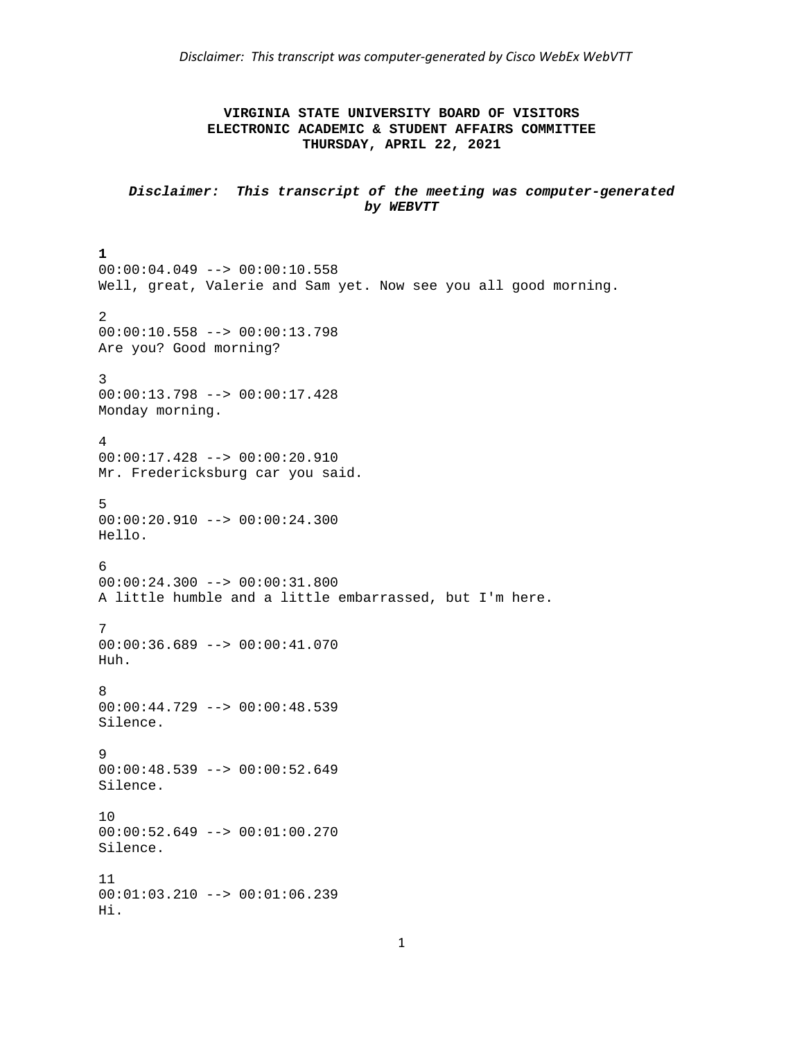## **VIRGINIA STATE UNIVERSITY BOARD OF VISITORS ELECTRONIC ACADEMIC & STUDENT AFFAIRS COMMITTEE THURSDAY, APRIL 22, 2021**

*Disclaimer: This transcript of the meeting was computer-generated by WEBVTT* 

**1**  00:00:04.049 --> 00:00:10.558 Well, great, Valerie and Sam yet. Now see you all good morning. 2 00:00:10.558 --> 00:00:13.798 Are you? Good morning? 3 00:00:13.798 --> 00:00:17.428 Monday morning. 4 00:00:17.428 --> 00:00:20.910 Mr. Fredericksburg car you said. 5  $00:00:20.910$  -->  $00:00:24.300$ Hello. 6 00:00:24.300 --> 00:00:31.800 A little humble and a little embarrassed, but I'm here. 7 00:00:36.689 --> 00:00:41.070 Huh. 8 00:00:44.729 --> 00:00:48.539 Silence.  $\mathsf{Q}$ 00:00:48.539 --> 00:00:52.649 Silence. 10 00:00:52.649 --> 00:01:00.270 Silence. 11 00:01:03.210 --> 00:01:06.239 Hi.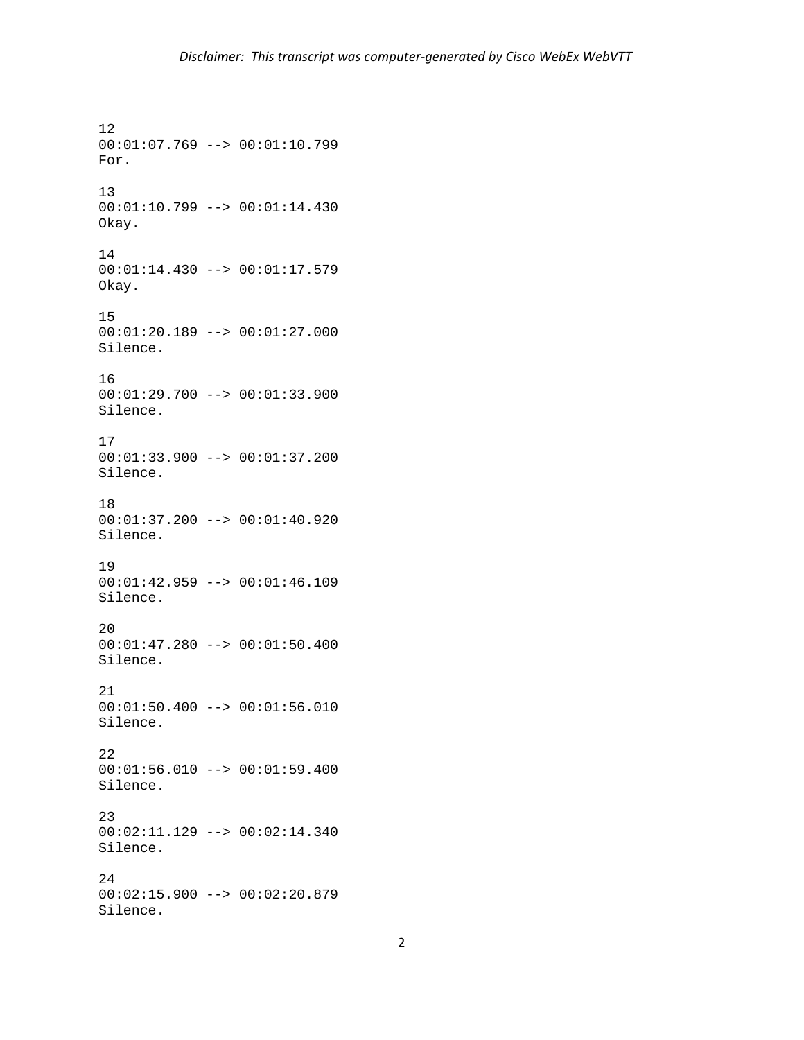12 00:01:07.769 --> 00:01:10.799 For. 13 00:01:10.799 --> 00:01:14.430 Okay. 14 00:01:14.430 --> 00:01:17.579 Okay. 15 00:01:20.189 --> 00:01:27.000 Silence. 16 00:01:29.700 --> 00:01:33.900 Silence. 17 00:01:33.900 --> 00:01:37.200 Silence. 18 00:01:37.200 --> 00:01:40.920 Silence. 19 00:01:42.959 --> 00:01:46.109 Silence. 20  $00:01:47.280$  -->  $00:01:50.400$ Silence. 21 00:01:50.400 --> 00:01:56.010 Silence. 22 00:01:56.010 --> 00:01:59.400 Silence. 23  $00:02:11.129$  -->  $00:02:14.340$ Silence. 24 00:02:15.900 --> 00:02:20.879 Silence.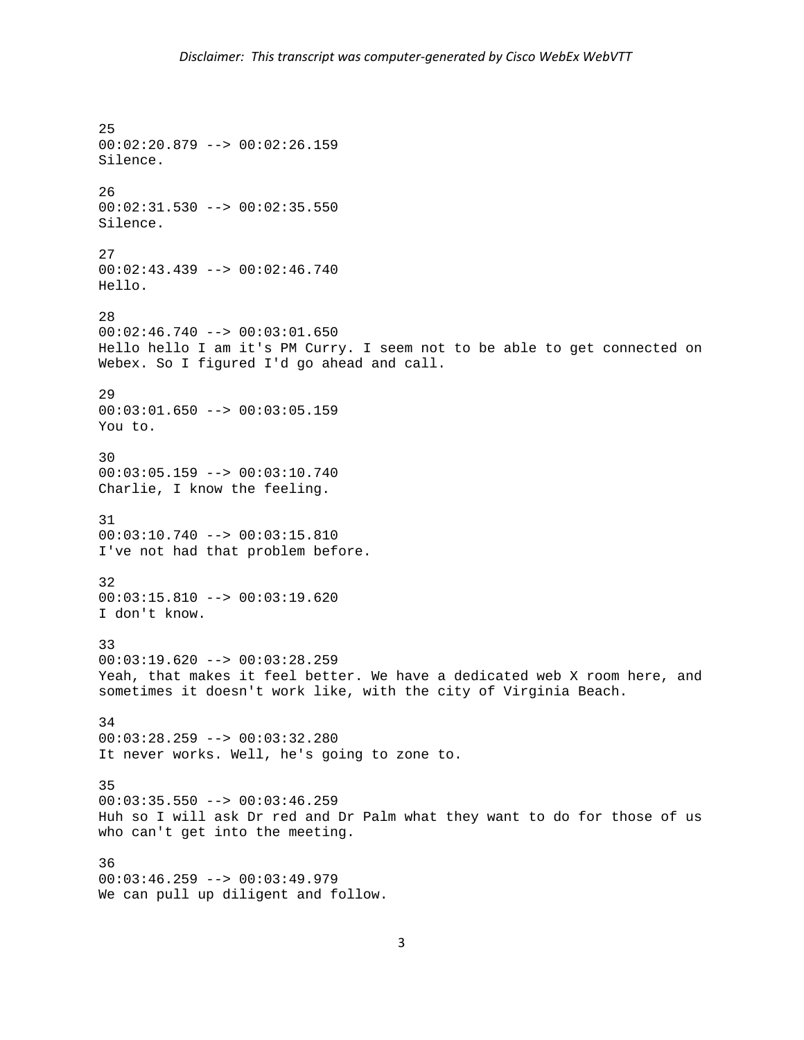25 00:02:20.879 --> 00:02:26.159 Silence. 26 00:02:31.530 --> 00:02:35.550 Silence. 27 00:02:43.439 --> 00:02:46.740 Hello. 28 00:02:46.740 --> 00:03:01.650 Hello hello I am it's PM Curry. I seem not to be able to get connected on Webex. So I figured I'd go ahead and call. 29 00:03:01.650 --> 00:03:05.159 You to. 30 00:03:05.159 --> 00:03:10.740 Charlie, I know the feeling. 31 00:03:10.740 --> 00:03:15.810 I've not had that problem before. 32 00:03:15.810 --> 00:03:19.620 I don't know. 33 00:03:19.620 --> 00:03:28.259 Yeah, that makes it feel better. We have a dedicated web X room here, and sometimes it doesn't work like, with the city of Virginia Beach. 34 00:03:28.259 --> 00:03:32.280 It never works. Well, he's going to zone to. 35 00:03:35.550 --> 00:03:46.259 Huh so I will ask Dr red and Dr Palm what they want to do for those of us who can't get into the meeting. 36 00:03:46.259 --> 00:03:49.979 We can pull up diligent and follow.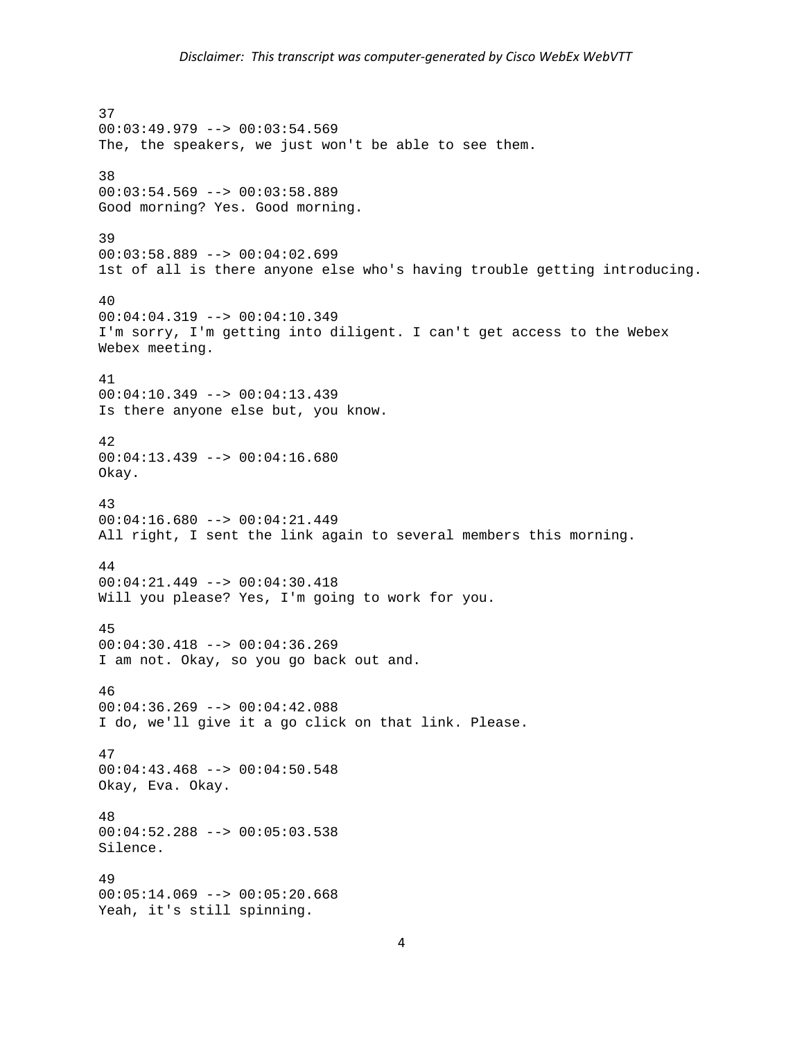37 00:03:49.979 --> 00:03:54.569 The, the speakers, we just won't be able to see them. 38 00:03:54.569 --> 00:03:58.889 Good morning? Yes. Good morning. 39 00:03:58.889 --> 00:04:02.699 1st of all is there anyone else who's having trouble getting introducing. 40 00:04:04.319 --> 00:04:10.349 I'm sorry, I'm getting into diligent. I can't get access to the Webex Webex meeting. 41 00:04:10.349 --> 00:04:13.439 Is there anyone else but, you know. 42  $00:04:13.439$  -->  $00:04:16.680$ Okay. 43  $00:04:16.680$  -->  $00:04:21.449$ All right, I sent the link again to several members this morning. 44 00:04:21.449 --> 00:04:30.418 Will you please? Yes, I'm going to work for you. 45 00:04:30.418 --> 00:04:36.269 I am not. Okay, so you go back out and. 46 00:04:36.269 --> 00:04:42.088 I do, we'll give it a go click on that link. Please. 47 00:04:43.468 --> 00:04:50.548 Okay, Eva. Okay. 48 00:04:52.288 --> 00:05:03.538 Silence. 49 00:05:14.069 --> 00:05:20.668 Yeah, it's still spinning.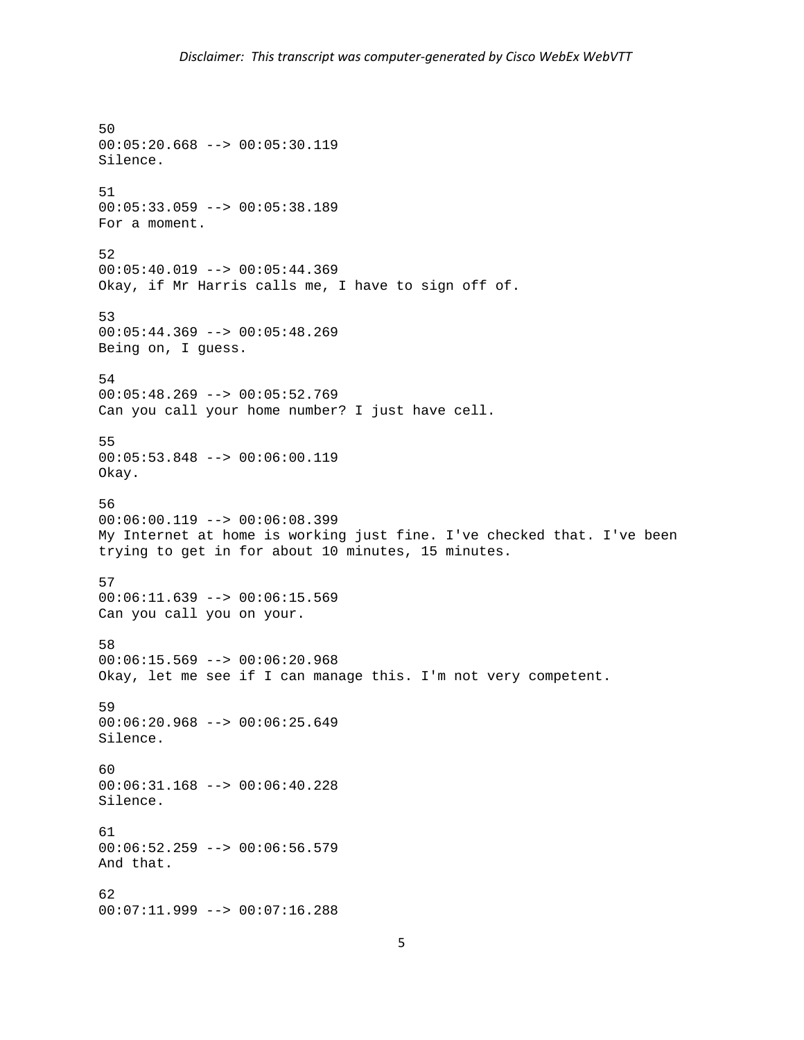50 00:05:20.668 --> 00:05:30.119 Silence. 51 00:05:33.059 --> 00:05:38.189 For a moment. 52  $00:05:40.019$  -->  $00:05:44.369$ Okay, if Mr Harris calls me, I have to sign off of. 53 00:05:44.369 --> 00:05:48.269 Being on, I guess. 54 00:05:48.269 --> 00:05:52.769 Can you call your home number? I just have cell. 55 00:05:53.848 --> 00:06:00.119 Okay. 56 00:06:00.119 --> 00:06:08.399 My Internet at home is working just fine. I've checked that. I've been trying to get in for about 10 minutes, 15 minutes. 57 00:06:11.639 --> 00:06:15.569 Can you call you on your. 58 00:06:15.569 --> 00:06:20.968 Okay, let me see if I can manage this. I'm not very competent. 59  $00:06:20.968$  -->  $00:06:25.649$ Silence. 60 00:06:31.168 --> 00:06:40.228 Silence. 61  $00:06:52.259$  -->  $00:06:56.579$ And that. 62 00:07:11.999 --> 00:07:16.288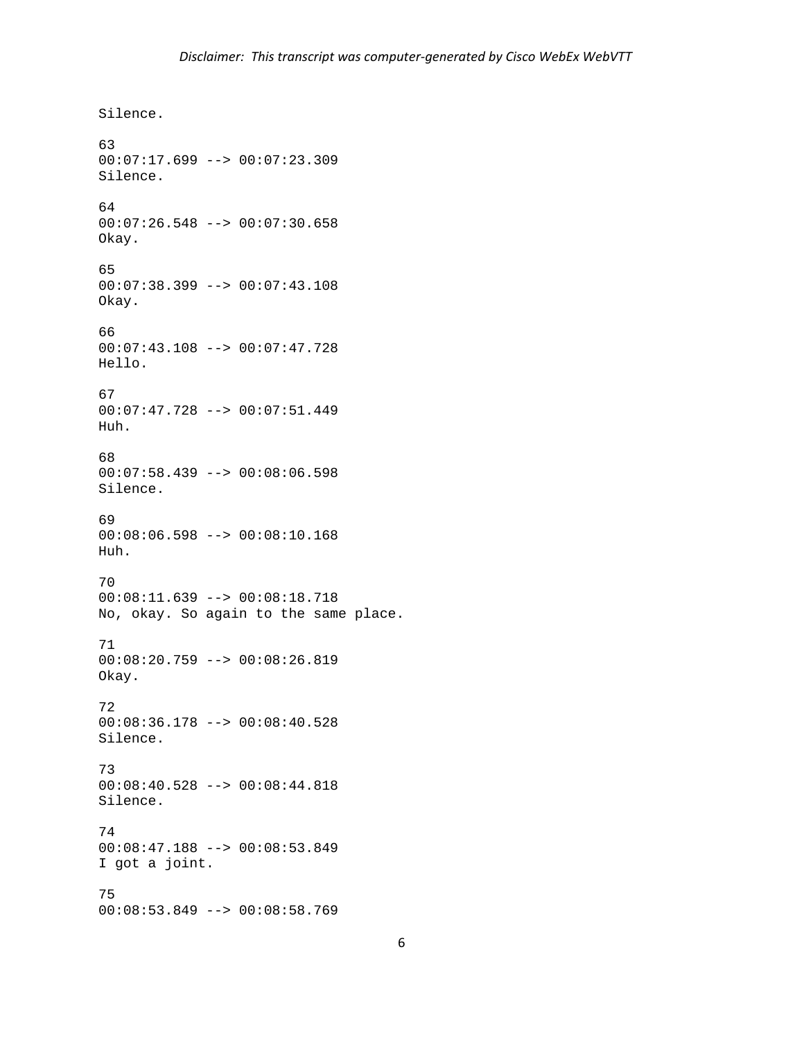Silence. 63 00:07:17.699 --> 00:07:23.309 Silence. 64 00:07:26.548 --> 00:07:30.658 Okay. 65 00:07:38.399 --> 00:07:43.108 Okay. 66 00:07:43.108 --> 00:07:47.728 Hello. 67 00:07:47.728 --> 00:07:51.449 Huh. 68 00:07:58.439 --> 00:08:06.598 Silence. 69 00:08:06.598 --> 00:08:10.168 Huh. 70 00:08:11.639 --> 00:08:18.718 No, okay. So again to the same place. 71 00:08:20.759 --> 00:08:26.819 Okay. 72 00:08:36.178 --> 00:08:40.528 Silence. 73 00:08:40.528 --> 00:08:44.818 Silence. 74 00:08:47.188 --> 00:08:53.849 I got a joint. 75 00:08:53.849 --> 00:08:58.769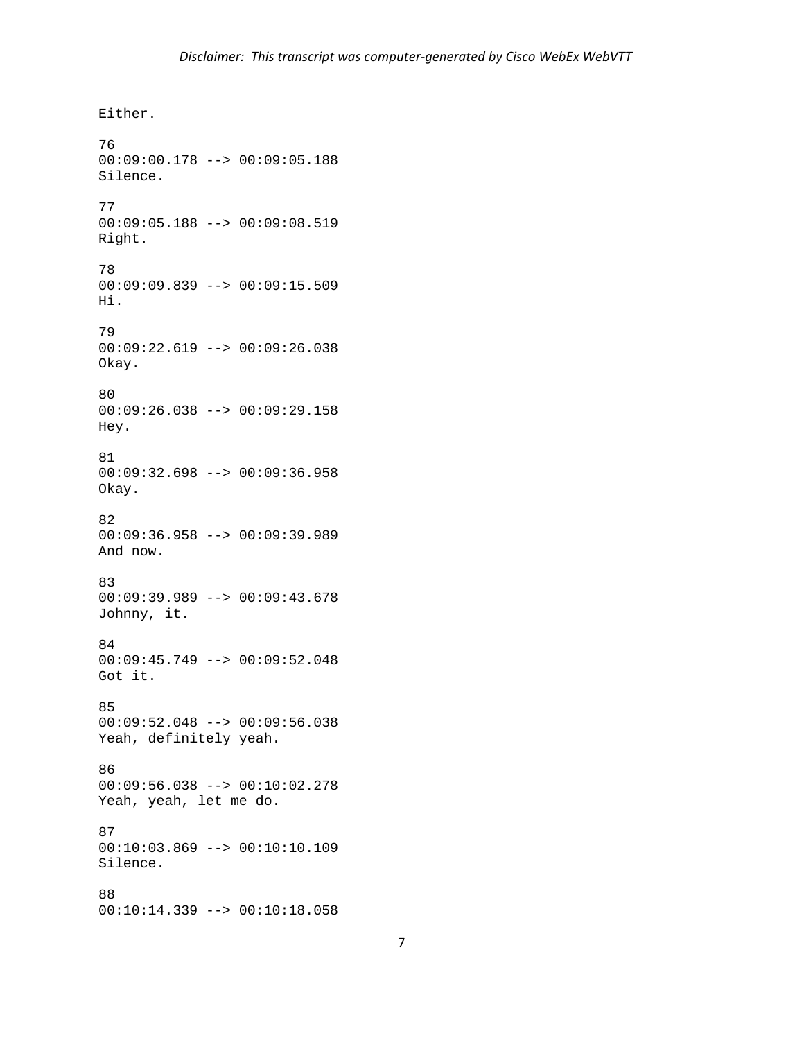Either. 76 00:09:00.178 --> 00:09:05.188 Silence. 77 00:09:05.188 --> 00:09:08.519 Right. 78 00:09:09.839 --> 00:09:15.509 Hi. 79 00:09:22.619 --> 00:09:26.038 Okay. 80 00:09:26.038 --> 00:09:29.158 Hey. 81 00:09:32.698 --> 00:09:36.958 Okay. 82 00:09:36.958 --> 00:09:39.989 And now. 83 00:09:39.989 --> 00:09:43.678 Johnny, it. 84 00:09:45.749 --> 00:09:52.048 Got it. 85 00:09:52.048 --> 00:09:56.038 Yeah, definitely yeah. 86 00:09:56.038 --> 00:10:02.278 Yeah, yeah, let me do. 87 00:10:03.869 --> 00:10:10.109 Silence. 88 00:10:14.339 --> 00:10:18.058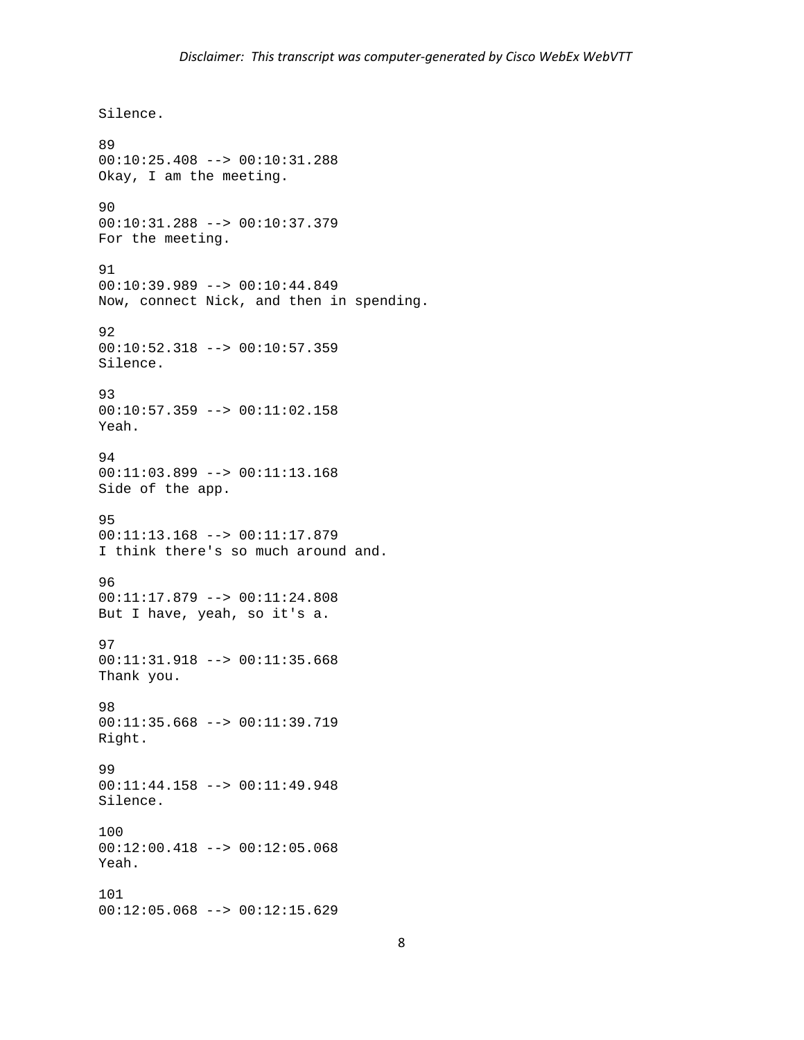Silence. 89 00:10:25.408 --> 00:10:31.288 Okay, I am the meeting. 90 00:10:31.288 --> 00:10:37.379 For the meeting. 91 00:10:39.989 --> 00:10:44.849 Now, connect Nick, and then in spending. 92 00:10:52.318 --> 00:10:57.359 Silence. 93 00:10:57.359 --> 00:11:02.158 Yeah. 94 00:11:03.899 --> 00:11:13.168 Side of the app. 95 00:11:13.168 --> 00:11:17.879 I think there's so much around and. 96 00:11:17.879 --> 00:11:24.808 But I have, yeah, so it's a. 97 00:11:31.918 --> 00:11:35.668 Thank you. 98 00:11:35.668 --> 00:11:39.719 Right. 99 00:11:44.158 --> 00:11:49.948 Silence. 100 00:12:00.418 --> 00:12:05.068 Yeah. 101 00:12:05.068 --> 00:12:15.629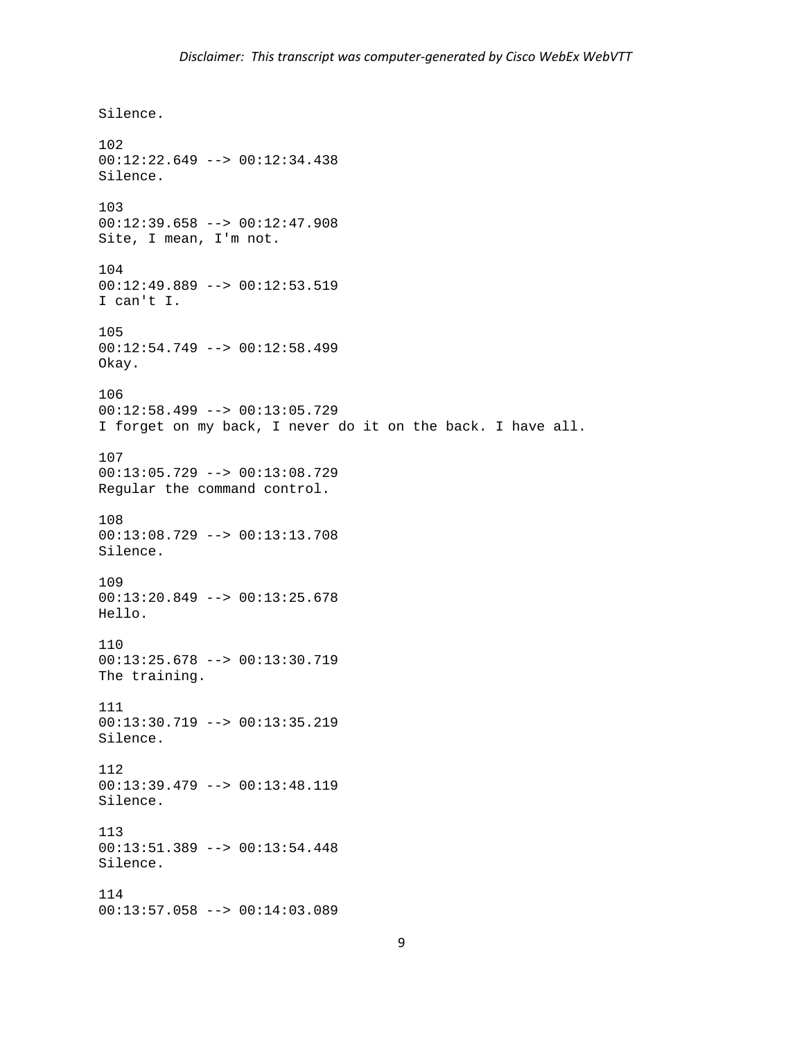Silence. 102 00:12:22.649 --> 00:12:34.438 Silence. 103 00:12:39.658 --> 00:12:47.908 Site, I mean, I'm not. 104 00:12:49.889 --> 00:12:53.519 I can't I. 105 00:12:54.749 --> 00:12:58.499 Okay. 106 00:12:58.499 --> 00:13:05.729 I forget on my back, I never do it on the back. I have all. 107 00:13:05.729 --> 00:13:08.729 Regular the command control. 108 00:13:08.729 --> 00:13:13.708 Silence. 109 00:13:20.849 --> 00:13:25.678 Hello. 110 00:13:25.678 --> 00:13:30.719 The training. 111 00:13:30.719 --> 00:13:35.219 Silence. 112 00:13:39.479 --> 00:13:48.119 Silence. 113 00:13:51.389 --> 00:13:54.448 Silence. 114 00:13:57.058 --> 00:14:03.089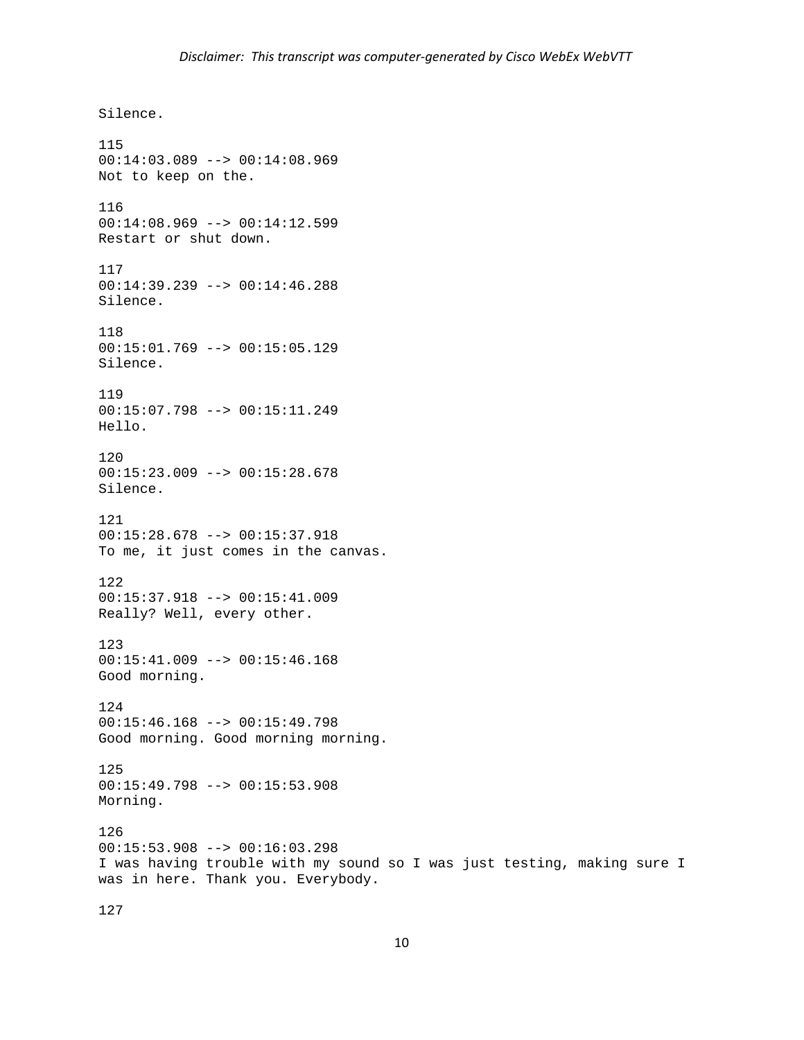Silence. 115 00:14:03.089 --> 00:14:08.969 Not to keep on the. 116 00:14:08.969 --> 00:14:12.599 Restart or shut down. 117 00:14:39.239 --> 00:14:46.288 Silence. 118 00:15:01.769 --> 00:15:05.129 Silence. 119 00:15:07.798 --> 00:15:11.249 Hello. 120 00:15:23.009 --> 00:15:28.678 Silence. 121 00:15:28.678 --> 00:15:37.918 To me, it just comes in the canvas. 122 00:15:37.918 --> 00:15:41.009 Really? Well, every other. 123 00:15:41.009 --> 00:15:46.168 Good morning. 124 00:15:46.168 --> 00:15:49.798 Good morning. Good morning morning. 125 00:15:49.798 --> 00:15:53.908 Morning. 126 00:15:53.908 --> 00:16:03.298 I was having trouble with my sound so I was just testing, making sure I was in here. Thank you. Everybody.

127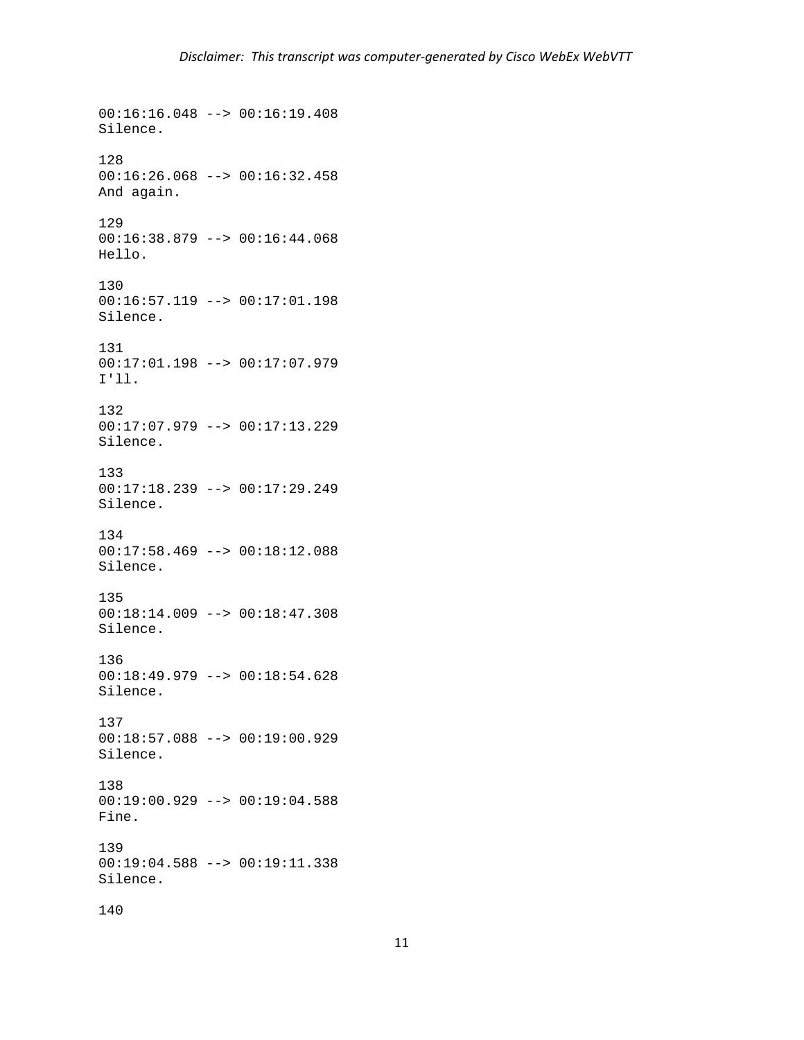00:16:16.048 --> 00:16:19.408 Silence. 128  $00:16:26.068$  -->  $00:16:32.458$ And again. 129 00:16:38.879 --> 00:16:44.068 Hello. 130 00:16:57.119 --> 00:17:01.198 Silence. 131 00:17:01.198 --> 00:17:07.979 I'll. 132 00:17:07.979 --> 00:17:13.229 Silence. 133 00:17:18.239 --> 00:17:29.249 Silence. 134 00:17:58.469 --> 00:18:12.088 Silence. 135 00:18:14.009 --> 00:18:47.308 Silence. 136 00:18:49.979 --> 00:18:54.628 Silence. 137 00:18:57.088 --> 00:19:00.929 Silence. 138 00:19:00.929 --> 00:19:04.588 Fine. 139 00:19:04.588 --> 00:19:11.338 Silence.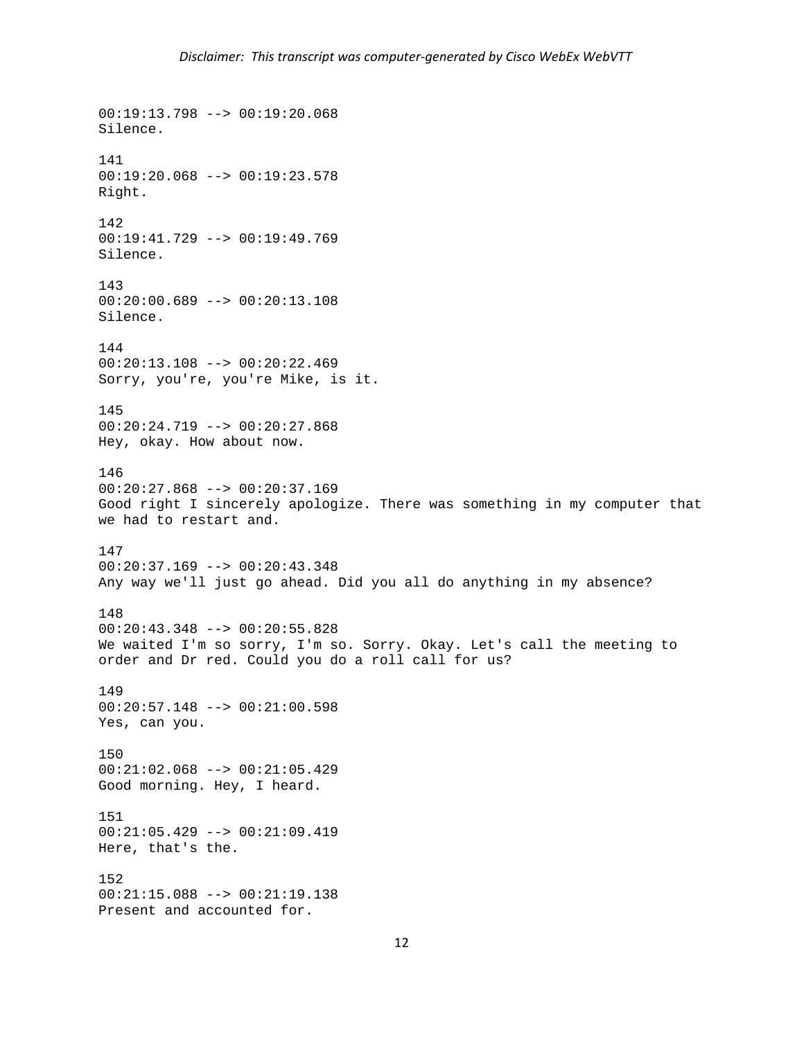00:19:13.798 --> 00:19:20.068 Silence. 141  $00:19:20.068$  -->  $00:19:23.578$ Right. 142 00:19:41.729 --> 00:19:49.769 Silence. 143 00:20:00.689 --> 00:20:13.108 Silence. 144 00:20:13.108 --> 00:20:22.469 Sorry, you're, you're Mike, is it. 145 00:20:24.719 --> 00:20:27.868 Hey, okay. How about now. 146 00:20:27.868 --> 00:20:37.169 Good right I sincerely apologize. There was something in my computer that we had to restart and. 147 00:20:37.169 --> 00:20:43.348 Any way we'll just go ahead. Did you all do anything in my absence? 148 00:20:43.348 --> 00:20:55.828 We waited I'm so sorry, I'm so. Sorry. Okay. Let's call the meeting to order and Dr red. Could you do a roll call for us? 149 00:20:57.148 --> 00:21:00.598 Yes, can you. 150 00:21:02.068 --> 00:21:05.429 Good morning. Hey, I heard. 151 00:21:05.429 --> 00:21:09.419 Here, that's the. 152 00:21:15.088 --> 00:21:19.138 Present and accounted for.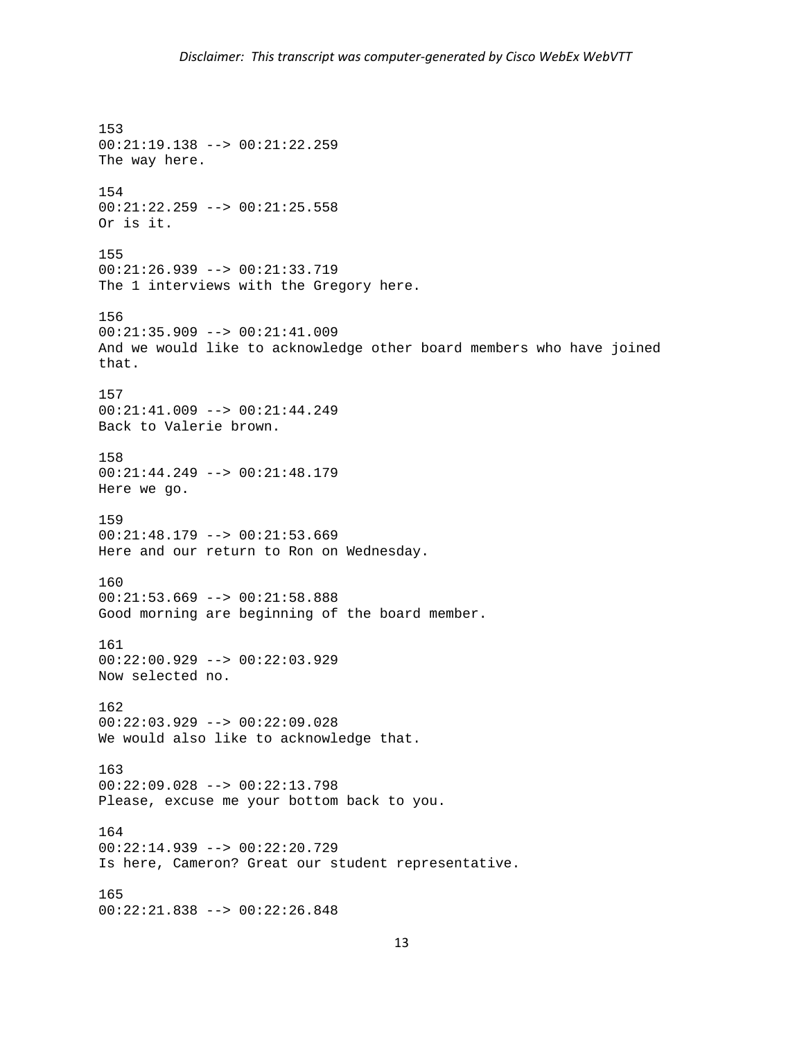153 00:21:19.138 --> 00:21:22.259 The way here. 154 00:21:22.259 --> 00:21:25.558 Or is it. 155 00:21:26.939 --> 00:21:33.719 The 1 interviews with the Gregory here. 156 00:21:35.909 --> 00:21:41.009 And we would like to acknowledge other board members who have joined that. 157 00:21:41.009 --> 00:21:44.249 Back to Valerie brown. 158 00:21:44.249 --> 00:21:48.179 Here we go. 159 00:21:48.179 --> 00:21:53.669 Here and our return to Ron on Wednesday. 160 00:21:53.669 --> 00:21:58.888 Good morning are beginning of the board member. 161 00:22:00.929 --> 00:22:03.929 Now selected no. 162 00:22:03.929 --> 00:22:09.028 We would also like to acknowledge that. 163 00:22:09.028 --> 00:22:13.798 Please, excuse me your bottom back to you. 164 00:22:14.939 --> 00:22:20.729 Is here, Cameron? Great our student representative. 165 00:22:21.838 --> 00:22:26.848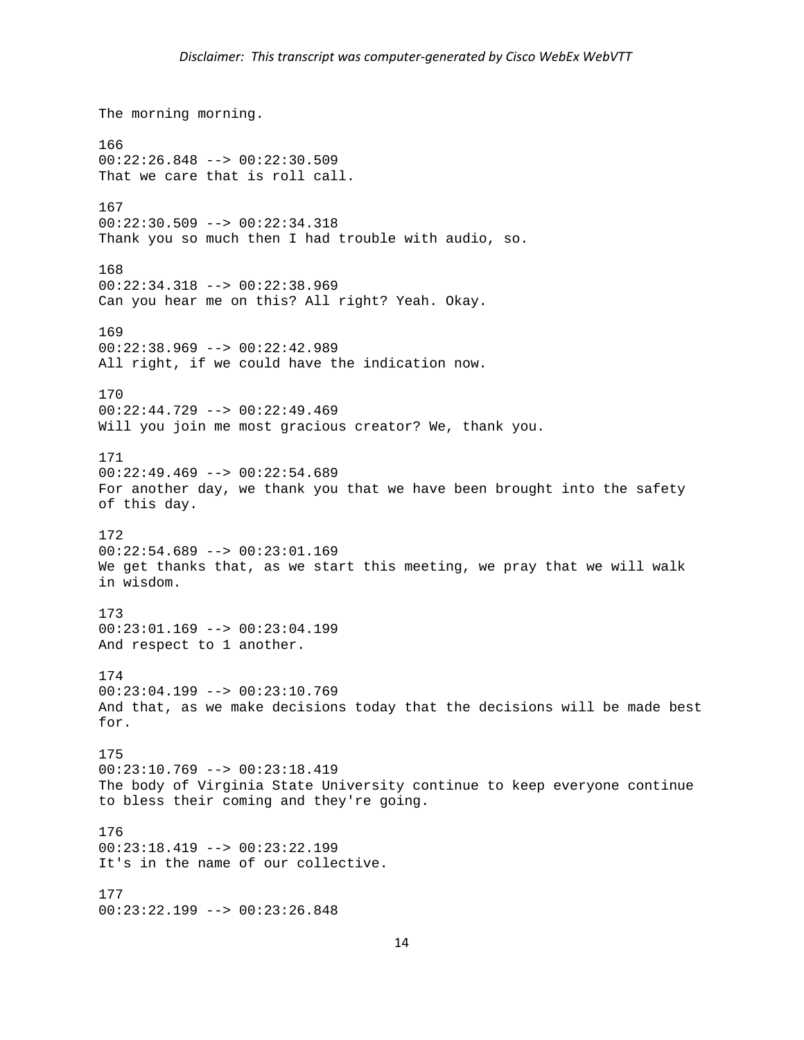The morning morning. 166 00:22:26.848 --> 00:22:30.509 That we care that is roll call. 167 00:22:30.509 --> 00:22:34.318 Thank you so much then I had trouble with audio, so. 168 00:22:34.318 --> 00:22:38.969 Can you hear me on this? All right? Yeah. Okay. 169 00:22:38.969 --> 00:22:42.989 All right, if we could have the indication now. 170 00:22:44.729 --> 00:22:49.469 Will you join me most gracious creator? We, thank you. 171 00:22:49.469 --> 00:22:54.689 For another day, we thank you that we have been brought into the safety of this day. 172  $00:22:54.689$  -->  $00:23:01.169$ We get thanks that, as we start this meeting, we pray that we will walk in wisdom. 173  $00:23:01.169$  -->  $00:23:04.199$ And respect to 1 another. 174 00:23:04.199 --> 00:23:10.769 And that, as we make decisions today that the decisions will be made best for. 175  $00:23:10.769$  -->  $00:23:18.419$ The body of Virginia State University continue to keep everyone continue to bless their coming and they're going. 176 00:23:18.419 --> 00:23:22.199 It's in the name of our collective. 177 00:23:22.199 --> 00:23:26.848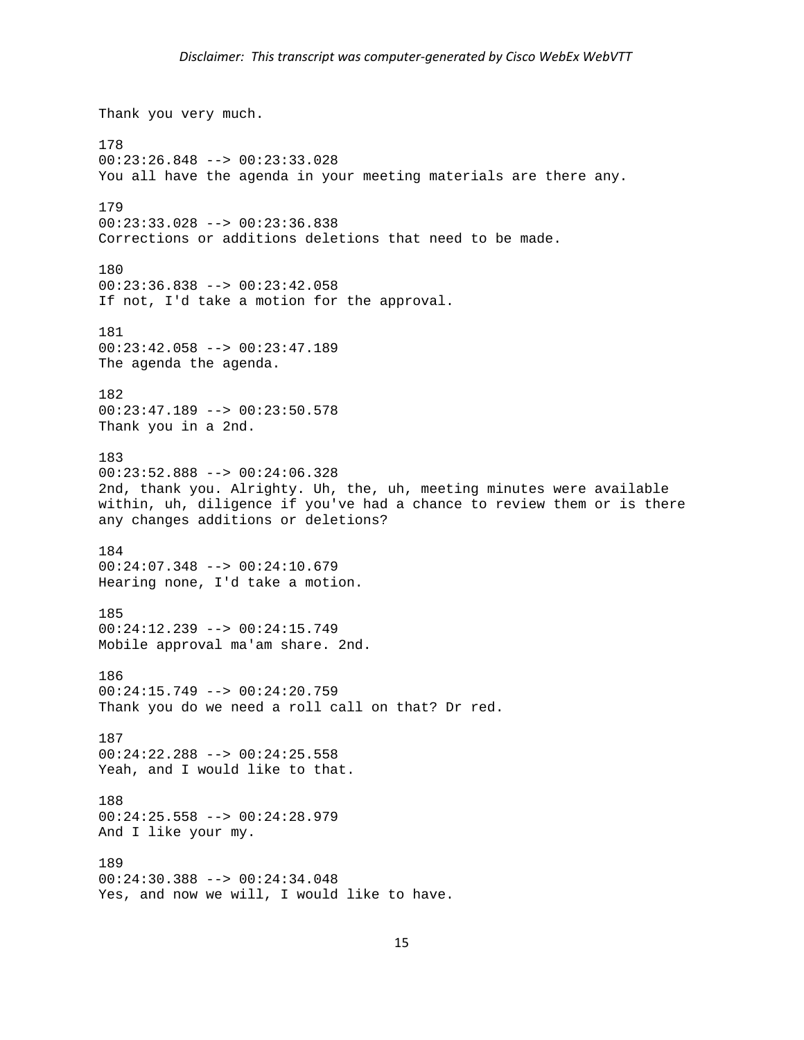```
Thank you very much. 
178 
00:23:26.848 --> 00:23:33.028 
You all have the agenda in your meeting materials are there any. 
179 
00:23:33.028 --> 00:23:36.838 
Corrections or additions deletions that need to be made. 
180 
00:23:36.838 --> 00:23:42.058 
If not, I'd take a motion for the approval. 
181 
00:23:42.058 --> 00:23:47.189 
The agenda the agenda. 
182 
00:23:47.189 --> 00:23:50.578 
Thank you in a 2nd. 
183 
00:23:52.888 --> 00:24:06.328 
2nd, thank you. Alrighty. Uh, the, uh, meeting minutes were available 
within, uh, diligence if you've had a chance to review them or is there 
any changes additions or deletions? 
184 
00:24:07.348 --> 00:24:10.679 
Hearing none, I'd take a motion. 
185 
00:24:12.239 --> 00:24:15.749 
Mobile approval ma'am share. 2nd. 
186 
00:24:15.749 --> 00:24:20.759 
Thank you do we need a roll call on that? Dr red. 
187 
00:24:22.288 --> 00:24:25.558 
Yeah, and I would like to that. 
188 
00:24:25.558 --> 00:24:28.979 
And I like your my. 
189 
00:24:30.388 --> 00:24:34.048 
Yes, and now we will, I would like to have.
```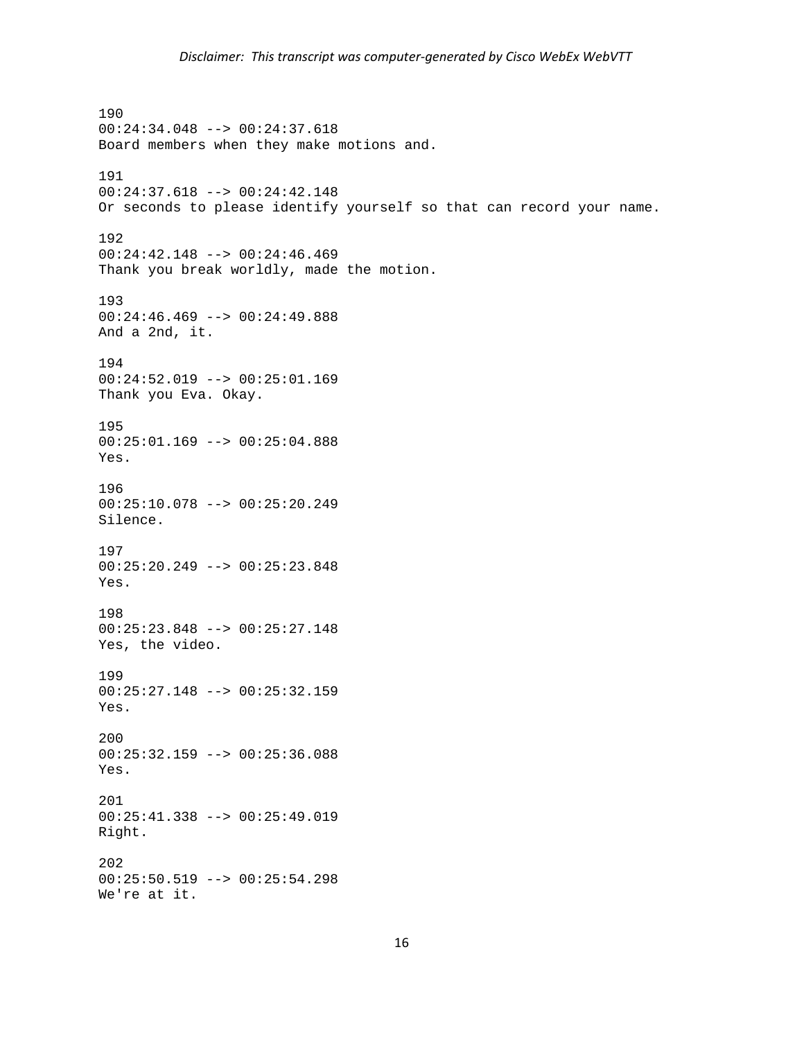190 00:24:34.048 --> 00:24:37.618 Board members when they make motions and. 191 00:24:37.618 --> 00:24:42.148 Or seconds to please identify yourself so that can record your name. 192 00:24:42.148 --> 00:24:46.469 Thank you break worldly, made the motion. 193 00:24:46.469 --> 00:24:49.888 And a 2nd, it. 194 00:24:52.019 --> 00:25:01.169 Thank you Eva. Okay. 195 00:25:01.169 --> 00:25:04.888 Yes. 196 00:25:10.078 --> 00:25:20.249 Silence. 197 00:25:20.249 --> 00:25:23.848 Yes. 198 00:25:23.848 --> 00:25:27.148 Yes, the video. 199 00:25:27.148 --> 00:25:32.159 Yes. 200 00:25:32.159 --> 00:25:36.088 Yes. 201 00:25:41.338 --> 00:25:49.019 Right. 202 00:25:50.519 --> 00:25:54.298 We're at it.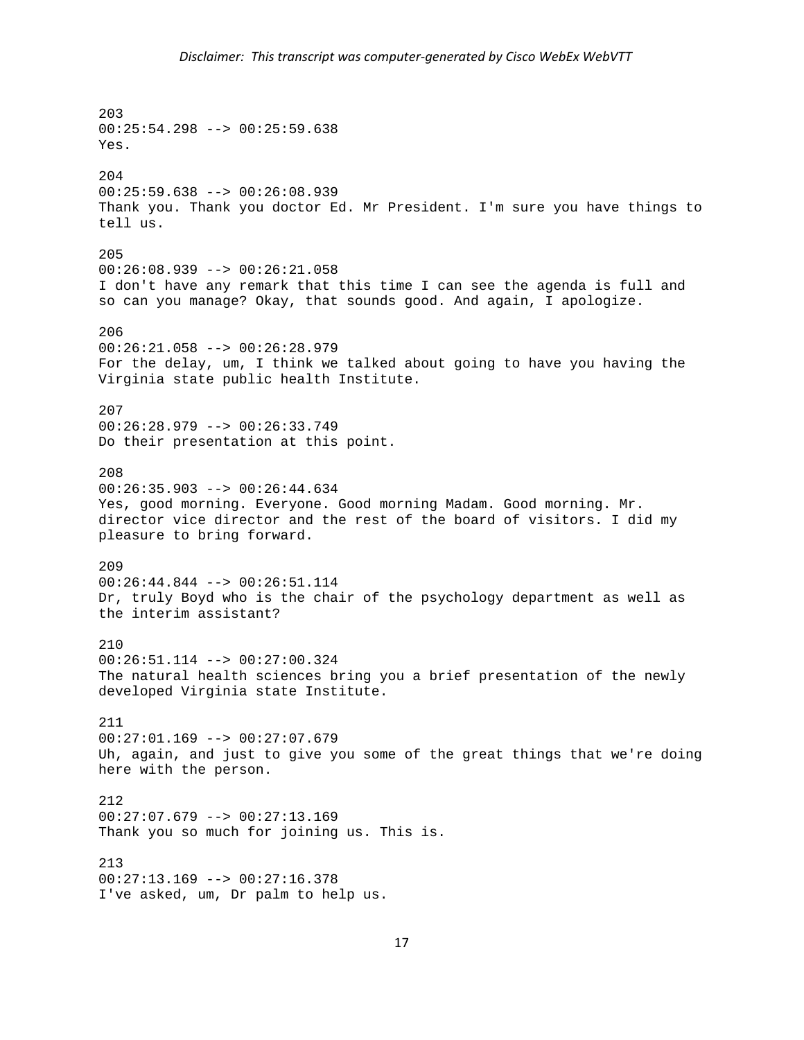203 00:25:54.298 --> 00:25:59.638 Yes. 204 00:25:59.638 --> 00:26:08.939 Thank you. Thank you doctor Ed. Mr President. I'm sure you have things to tell us. 205 00:26:08.939 --> 00:26:21.058 I don't have any remark that this time I can see the agenda is full and so can you manage? Okay, that sounds good. And again, I apologize. 206 00:26:21.058 --> 00:26:28.979 For the delay, um, I think we talked about going to have you having the Virginia state public health Institute. 207 00:26:28.979 --> 00:26:33.749 Do their presentation at this point. 208 00:26:35.903 --> 00:26:44.634 Yes, good morning. Everyone. Good morning Madam. Good morning. Mr. director vice director and the rest of the board of visitors. I did my pleasure to bring forward. 209 00:26:44.844 --> 00:26:51.114 Dr, truly Boyd who is the chair of the psychology department as well as the interim assistant? 210 00:26:51.114 --> 00:27:00.324 The natural health sciences bring you a brief presentation of the newly developed Virginia state Institute. 211 00:27:01.169 --> 00:27:07.679 Uh, again, and just to give you some of the great things that we're doing here with the person. 212 00:27:07.679 --> 00:27:13.169 Thank you so much for joining us. This is. 213 00:27:13.169 --> 00:27:16.378 I've asked, um, Dr palm to help us.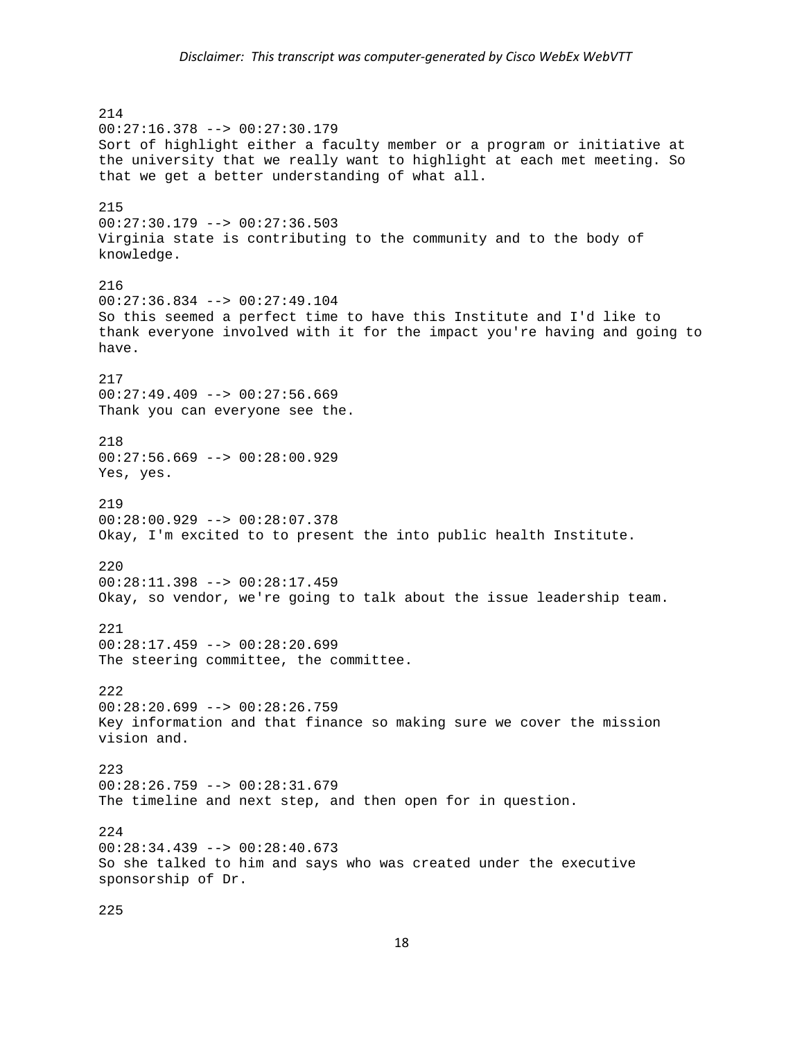214 00:27:16.378 --> 00:27:30.179 Sort of highlight either a faculty member or a program or initiative at the university that we really want to highlight at each met meeting. So that we get a better understanding of what all. 215 00:27:30.179 --> 00:27:36.503 Virginia state is contributing to the community and to the body of knowledge. 216 00:27:36.834 --> 00:27:49.104 So this seemed a perfect time to have this Institute and I'd like to thank everyone involved with it for the impact you're having and going to have. 217  $00:27:49.409$  -->  $00:27:56.669$ Thank you can everyone see the. 218  $00:27:56.669$  -->  $00:28:00.929$ Yes, yes. 219 00:28:00.929 --> 00:28:07.378 Okay, I'm excited to to present the into public health Institute. 220 00:28:11.398 --> 00:28:17.459 Okay, so vendor, we're going to talk about the issue leadership team. 221 00:28:17.459 --> 00:28:20.699 The steering committee, the committee. 222  $00:28:20.699$  -->  $00:28:26.759$ Key information and that finance so making sure we cover the mission vision and. 223 00:28:26.759 --> 00:28:31.679 The timeline and next step, and then open for in question. 224  $00:28:34.439$  -->  $00:28:40.673$ So she talked to him and says who was created under the executive sponsorship of Dr. 225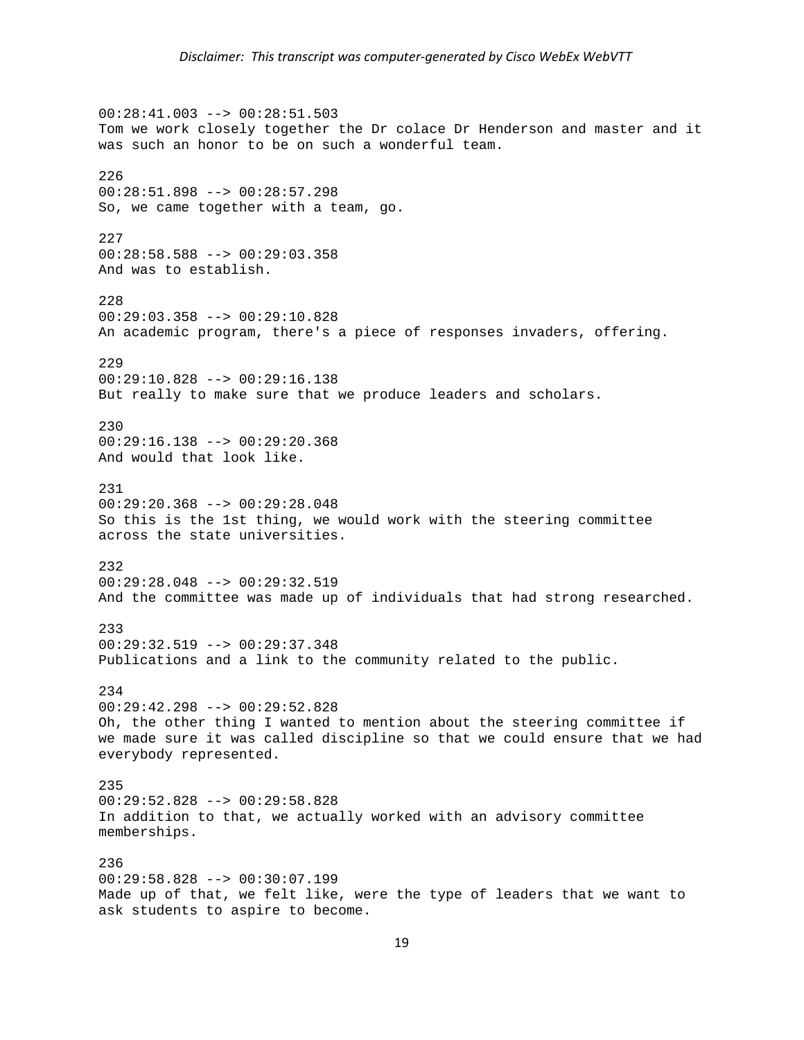00:28:41.003 --> 00:28:51.503 Tom we work closely together the Dr colace Dr Henderson and master and it was such an honor to be on such a wonderful team. 226 00:28:51.898 --> 00:28:57.298 So, we came together with a team, go. 227 00:28:58.588 --> 00:29:03.358 And was to establish. 228 00:29:03.358 --> 00:29:10.828 An academic program, there's a piece of responses invaders, offering. 229 00:29:10.828 --> 00:29:16.138 But really to make sure that we produce leaders and scholars. 230 00:29:16.138 --> 00:29:20.368 And would that look like. 231  $00:29:20.368$  -->  $00:29:28.048$ So this is the 1st thing, we would work with the steering committee across the state universities. 232 00:29:28.048 --> 00:29:32.519 And the committee was made up of individuals that had strong researched. 233 00:29:32.519 --> 00:29:37.348 Publications and a link to the community related to the public. 234 00:29:42.298 --> 00:29:52.828 Oh, the other thing I wanted to mention about the steering committee if we made sure it was called discipline so that we could ensure that we had everybody represented. 235 00:29:52.828 --> 00:29:58.828 In addition to that, we actually worked with an advisory committee memberships. 236 00:29:58.828 --> 00:30:07.199 Made up of that, we felt like, were the type of leaders that we want to ask students to aspire to become.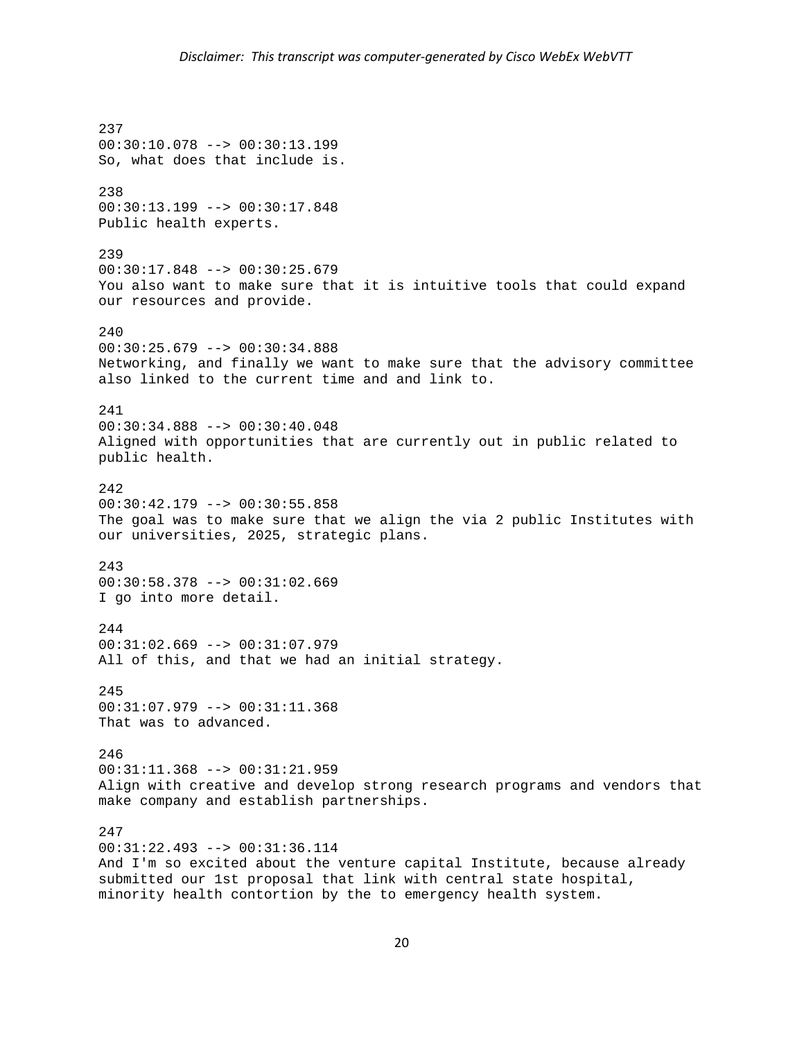237 00:30:10.078 --> 00:30:13.199 So, what does that include is. 238 00:30:13.199 --> 00:30:17.848 Public health experts. 239 00:30:17.848 --> 00:30:25.679 You also want to make sure that it is intuitive tools that could expand our resources and provide. 240 00:30:25.679 --> 00:30:34.888 Networking, and finally we want to make sure that the advisory committee also linked to the current time and and link to. 241 00:30:34.888 --> 00:30:40.048 Aligned with opportunities that are currently out in public related to public health. 242 00:30:42.179 --> 00:30:55.858 The goal was to make sure that we align the via 2 public Institutes with our universities, 2025, strategic plans. 243 00:30:58.378 --> 00:31:02.669 I go into more detail. 244 00:31:02.669 --> 00:31:07.979 All of this, and that we had an initial strategy. 245 00:31:07.979 --> 00:31:11.368 That was to advanced. 246 00:31:11.368 --> 00:31:21.959 Align with creative and develop strong research programs and vendors that make company and establish partnerships. 247 00:31:22.493 --> 00:31:36.114 And I'm so excited about the venture capital Institute, because already submitted our 1st proposal that link with central state hospital,

minority health contortion by the to emergency health system.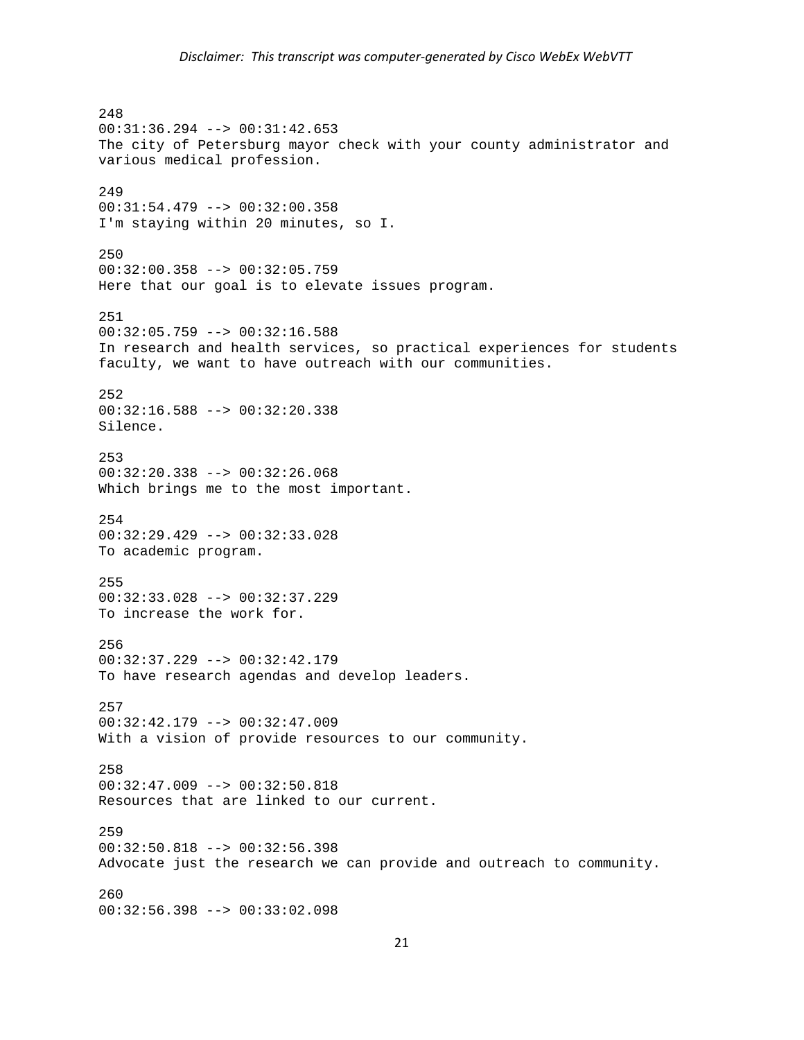248 00:31:36.294 --> 00:31:42.653 The city of Petersburg mayor check with your county administrator and various medical profession. 249 00:31:54.479 --> 00:32:00.358 I'm staying within 20 minutes, so I. 250 00:32:00.358 --> 00:32:05.759 Here that our goal is to elevate issues program. 251 00:32:05.759 --> 00:32:16.588 In research and health services, so practical experiences for students faculty, we want to have outreach with our communities. 252 00:32:16.588 --> 00:32:20.338 Silence. 253 00:32:20.338 --> 00:32:26.068 Which brings me to the most important. 254 00:32:29.429 --> 00:32:33.028 To academic program. 255 00:32:33.028 --> 00:32:37.229 To increase the work for. 256 00:32:37.229 --> 00:32:42.179 To have research agendas and develop leaders. 257 00:32:42.179 --> 00:32:47.009 With a vision of provide resources to our community. 258 00:32:47.009 --> 00:32:50.818 Resources that are linked to our current. 259 00:32:50.818 --> 00:32:56.398 Advocate just the research we can provide and outreach to community. 260 00:32:56.398 --> 00:33:02.098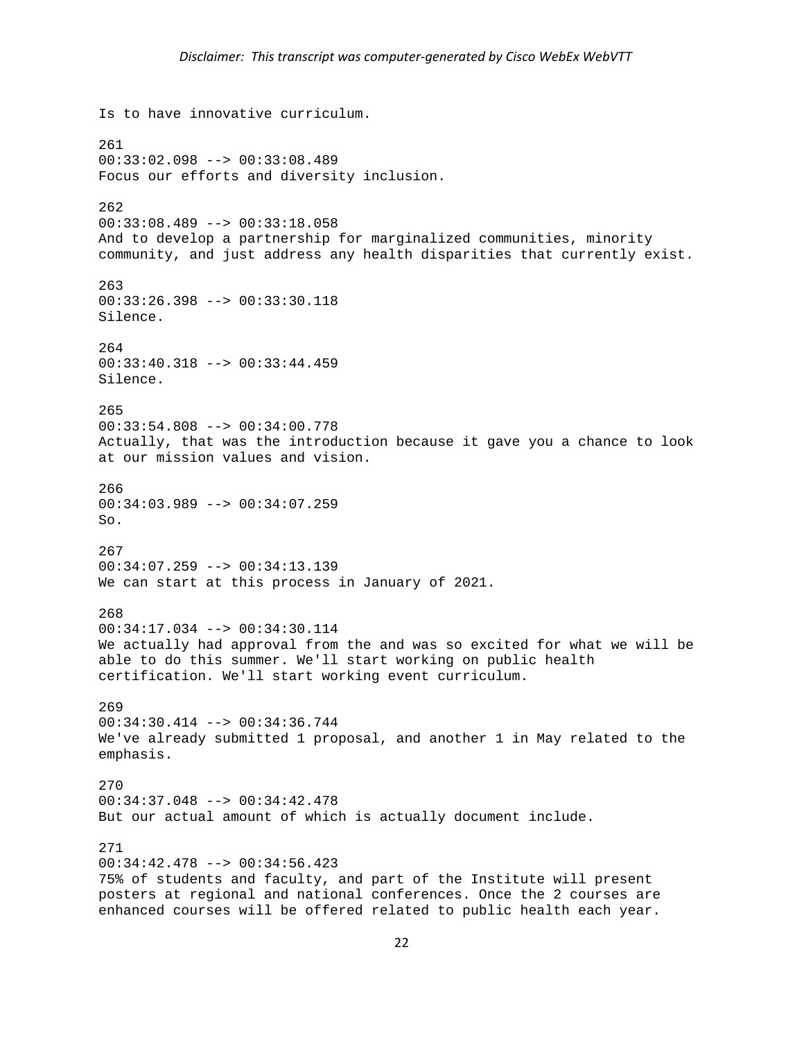Is to have innovative curriculum. 261 00:33:02.098 --> 00:33:08.489 Focus our efforts and diversity inclusion. 262 00:33:08.489 --> 00:33:18.058 And to develop a partnership for marginalized communities, minority community, and just address any health disparities that currently exist. 263 00:33:26.398 --> 00:33:30.118 Silence. 264 00:33:40.318 --> 00:33:44.459 Silence. 265 00:33:54.808 --> 00:34:00.778 Actually, that was the introduction because it gave you a chance to look at our mission values and vision. 266 00:34:03.989 --> 00:34:07.259  $S<sub>O</sub>$ 267 00:34:07.259 --> 00:34:13.139 We can start at this process in January of 2021. 268 00:34:17.034 --> 00:34:30.114 We actually had approval from the and was so excited for what we will be able to do this summer. We'll start working on public health certification. We'll start working event curriculum. 269 00:34:30.414 --> 00:34:36.744 We've already submitted 1 proposal, and another 1 in May related to the emphasis. 270 00:34:37.048 --> 00:34:42.478 But our actual amount of which is actually document include. 271 00:34:42.478 --> 00:34:56.423 75% of students and faculty, and part of the Institute will present posters at regional and national conferences. Once the 2 courses are enhanced courses will be offered related to public health each year.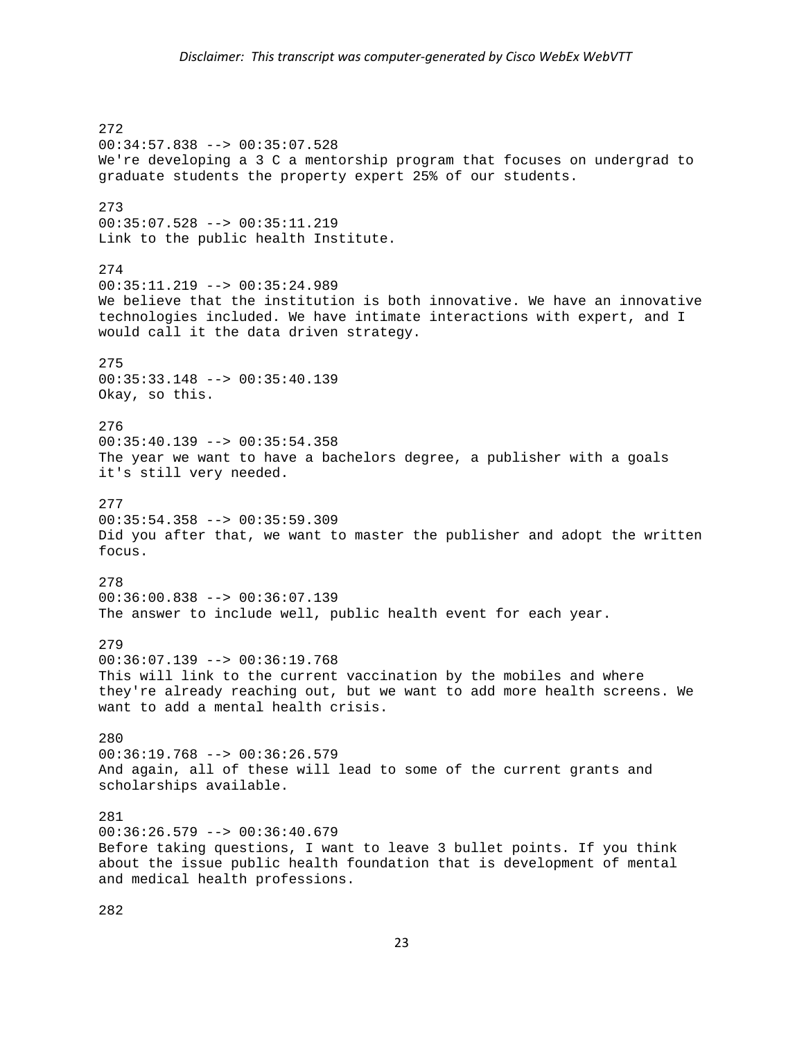272 00:34:57.838 --> 00:35:07.528 We're developing a 3 C a mentorship program that focuses on undergrad to graduate students the property expert 25% of our students. 273 00:35:07.528 --> 00:35:11.219 Link to the public health Institute. 274  $00:35:11.219$  -->  $00:35:24.989$ We believe that the institution is both innovative. We have an innovative technologies included. We have intimate interactions with expert, and I would call it the data driven strategy. 275 00:35:33.148 --> 00:35:40.139 Okay, so this. 276 00:35:40.139 --> 00:35:54.358 The year we want to have a bachelors degree, a publisher with a goals it's still very needed. 277 00:35:54.358 --> 00:35:59.309 Did you after that, we want to master the publisher and adopt the written focus. 278 00:36:00.838 --> 00:36:07.139 The answer to include well, public health event for each year. 279 00:36:07.139 --> 00:36:19.768 This will link to the current vaccination by the mobiles and where they're already reaching out, but we want to add more health screens. We want to add a mental health crisis. 280  $00:36:19.768$  -->  $00:36:26.579$ And again, all of these will lead to some of the current grants and scholarships available. 281  $00:36:26.579$  -->  $00:36:40.679$ Before taking questions, I want to leave 3 bullet points. If you think about the issue public health foundation that is development of mental and medical health professions.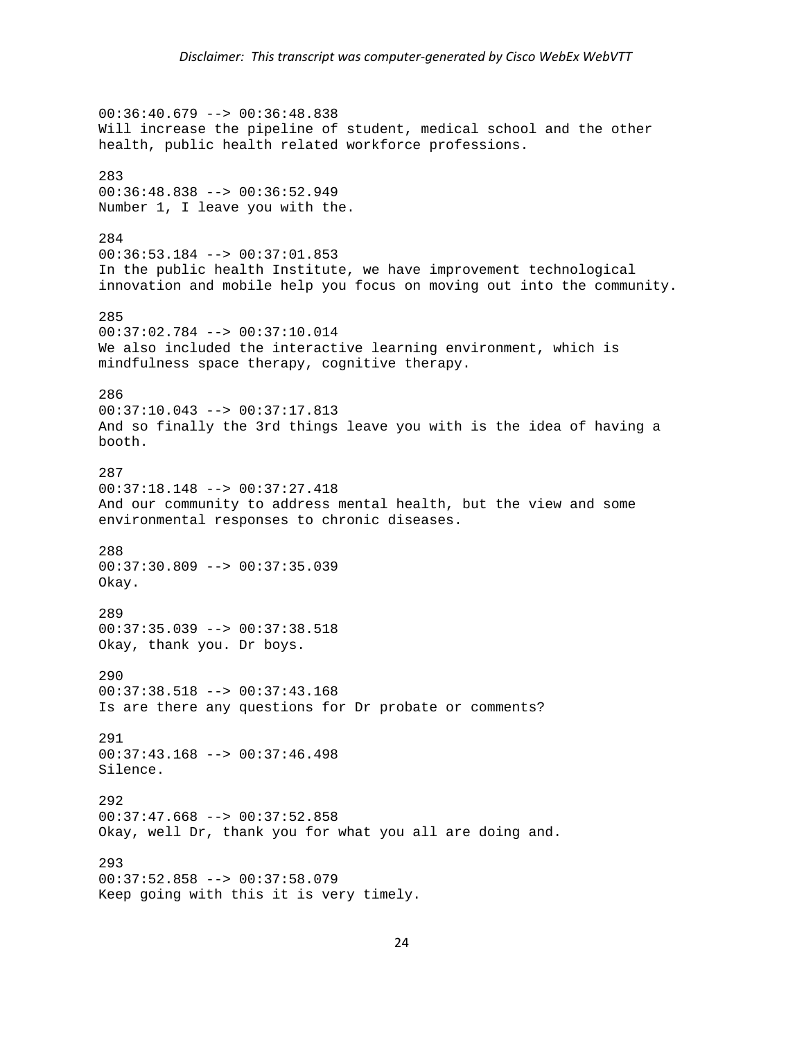00:36:40.679 --> 00:36:48.838 Will increase the pipeline of student, medical school and the other health, public health related workforce professions. 283 00:36:48.838 --> 00:36:52.949 Number 1, I leave you with the. 284 00:36:53.184 --> 00:37:01.853 In the public health Institute, we have improvement technological innovation and mobile help you focus on moving out into the community. 285 00:37:02.784 --> 00:37:10.014 We also included the interactive learning environment, which is mindfulness space therapy, cognitive therapy. 286 00:37:10.043 --> 00:37:17.813 And so finally the 3rd things leave you with is the idea of having a booth. 287 00:37:18.148 --> 00:37:27.418 And our community to address mental health, but the view and some environmental responses to chronic diseases. 288 00:37:30.809 --> 00:37:35.039 Okay. 289 00:37:35.039 --> 00:37:38.518 Okay, thank you. Dr boys. 290 00:37:38.518 --> 00:37:43.168 Is are there any questions for Dr probate or comments? 291 00:37:43.168 --> 00:37:46.498 Silence. 292 00:37:47.668 --> 00:37:52.858 Okay, well Dr, thank you for what you all are doing and. 293 00:37:52.858 --> 00:37:58.079 Keep going with this it is very timely.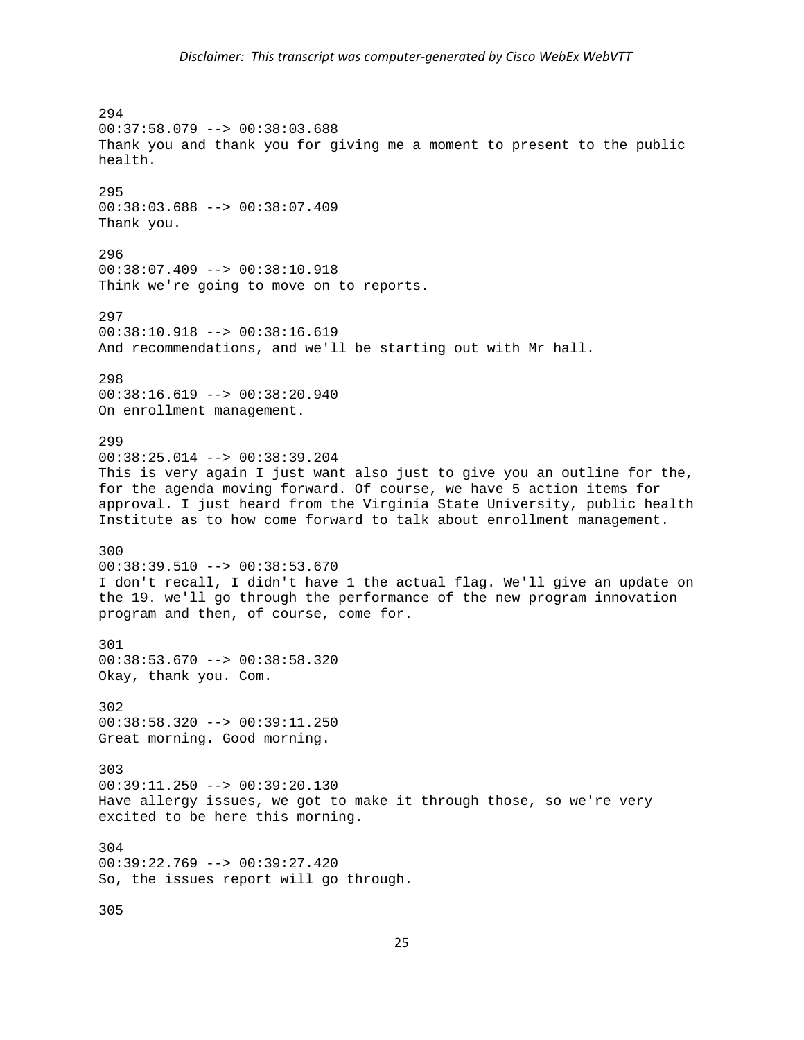294 00:37:58.079 --> 00:38:03.688 Thank you and thank you for giving me a moment to present to the public health. 295 00:38:03.688 --> 00:38:07.409 Thank you. 296 00:38:07.409 --> 00:38:10.918 Think we're going to move on to reports. 297 00:38:10.918 --> 00:38:16.619 And recommendations, and we'll be starting out with Mr hall. 298 00:38:16.619 --> 00:38:20.940 On enrollment management. 299 00:38:25.014 --> 00:38:39.204 This is very again I just want also just to give you an outline for the, for the agenda moving forward. Of course, we have 5 action items for approval. I just heard from the Virginia State University, public health Institute as to how come forward to talk about enrollment management. 300 00:38:39.510 --> 00:38:53.670 I don't recall, I didn't have 1 the actual flag. We'll give an update on the 19. we'll go through the performance of the new program innovation program and then, of course, come for. 301 00:38:53.670 --> 00:38:58.320 Okay, thank you. Com. 302 00:38:58.320 --> 00:39:11.250 Great morning. Good morning. 303 00:39:11.250 --> 00:39:20.130 Have allergy issues, we got to make it through those, so we're very excited to be here this morning. 304 00:39:22.769 --> 00:39:27.420 So, the issues report will go through. 305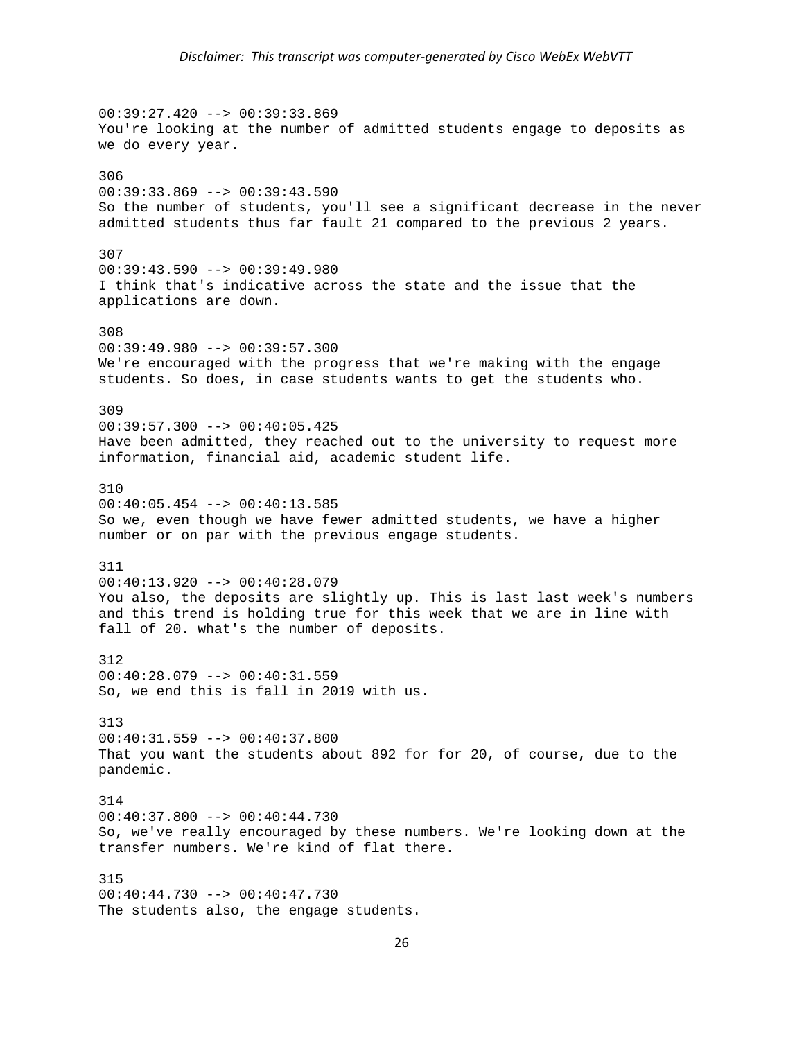00:39:27.420 --> 00:39:33.869 You're looking at the number of admitted students engage to deposits as we do every year. 306 00:39:33.869 --> 00:39:43.590 So the number of students, you'll see a significant decrease in the never admitted students thus far fault 21 compared to the previous 2 years. 307 00:39:43.590 --> 00:39:49.980 I think that's indicative across the state and the issue that the applications are down. 308 00:39:49.980 --> 00:39:57.300 We're encouraged with the progress that we're making with the engage students. So does, in case students wants to get the students who. 309 00:39:57.300 --> 00:40:05.425 Have been admitted, they reached out to the university to request more information, financial aid, academic student life. 310 00:40:05.454 --> 00:40:13.585 So we, even though we have fewer admitted students, we have a higher number or on par with the previous engage students. 311 00:40:13.920 --> 00:40:28.079 You also, the deposits are slightly up. This is last last week's numbers and this trend is holding true for this week that we are in line with fall of 20. what's the number of deposits. 312 00:40:28.079 --> 00:40:31.559 So, we end this is fall in 2019 with us. 313 00:40:31.559 --> 00:40:37.800 That you want the students about 892 for for 20, of course, due to the pandemic. 314 00:40:37.800 --> 00:40:44.730 So, we've really encouraged by these numbers. We're looking down at the transfer numbers. We're kind of flat there. 315 00:40:44.730 --> 00:40:47.730 The students also, the engage students.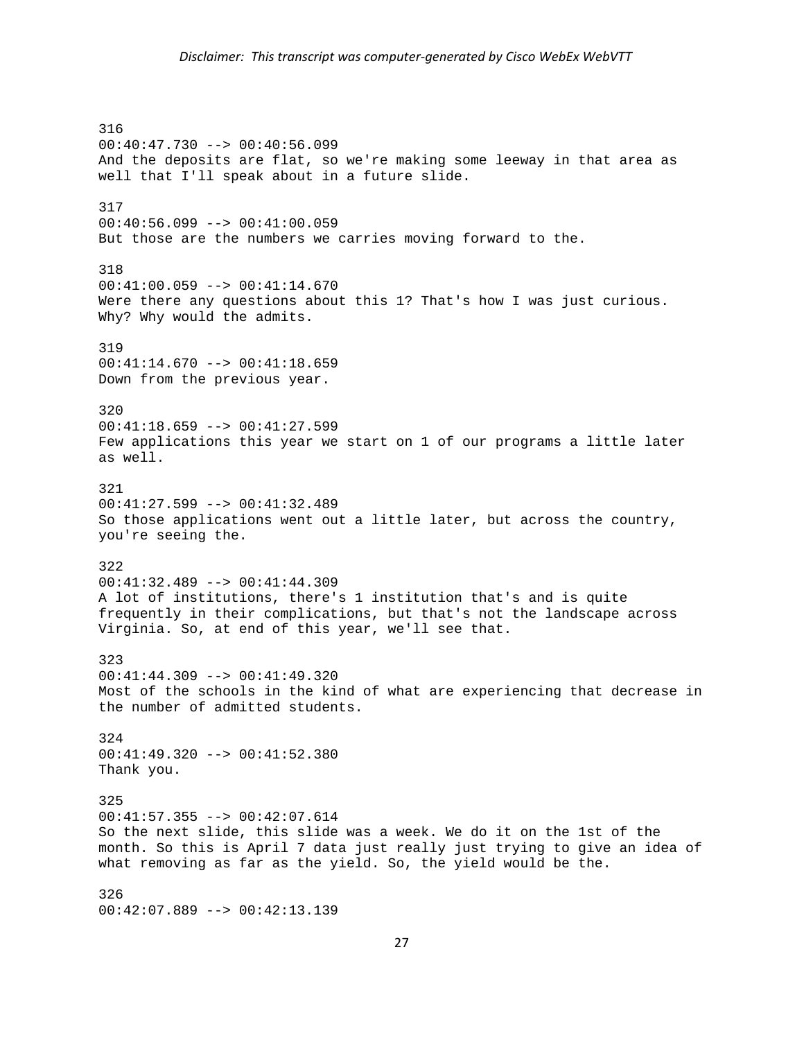316 00:40:47.730 --> 00:40:56.099 And the deposits are flat, so we're making some leeway in that area as well that I'll speak about in a future slide. 317 00:40:56.099 --> 00:41:00.059 But those are the numbers we carries moving forward to the. 318  $00:41:00.059$  -->  $00:41:14.670$ Were there any questions about this 1? That's how I was just curious. Why? Why would the admits. 319  $00:41:14.670$  -->  $00:41:18.659$ Down from the previous year. 320 00:41:18.659 --> 00:41:27.599 Few applications this year we start on 1 of our programs a little later as well. 321 00:41:27.599 --> 00:41:32.489 So those applications went out a little later, but across the country, you're seeing the. 322 00:41:32.489 --> 00:41:44.309 A lot of institutions, there's 1 institution that's and is quite frequently in their complications, but that's not the landscape across Virginia. So, at end of this year, we'll see that. 323  $00:41:44.309$  -->  $00:41:49.320$ Most of the schools in the kind of what are experiencing that decrease in the number of admitted students. 324 00:41:49.320 --> 00:41:52.380 Thank you. 325 00:41:57.355 --> 00:42:07.614 So the next slide, this slide was a week. We do it on the 1st of the month. So this is April 7 data just really just trying to give an idea of what removing as far as the yield. So, the yield would be the. 326 00:42:07.889 --> 00:42:13.139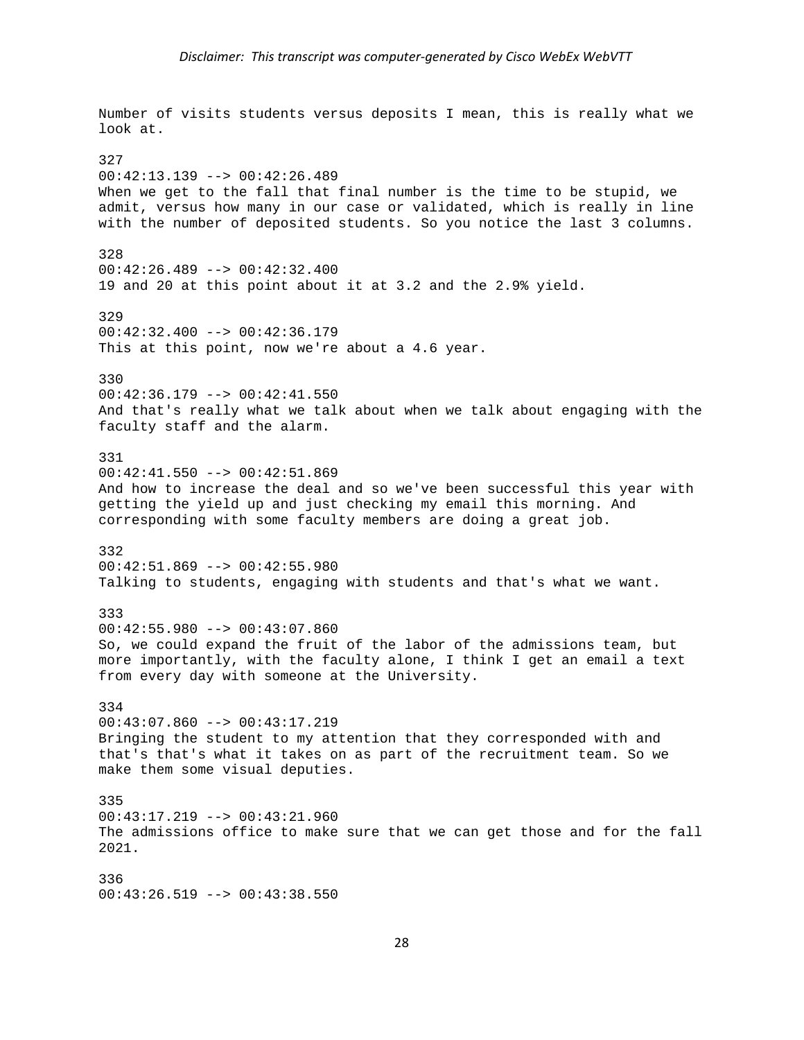Number of visits students versus deposits I mean, this is really what we look at. 327  $00:42:13.139$  -->  $00:42:26.489$ When we get to the fall that final number is the time to be stupid, we admit, versus how many in our case or validated, which is really in line with the number of deposited students. So you notice the last 3 columns. 328 00:42:26.489 --> 00:42:32.400 19 and 20 at this point about it at 3.2 and the 2.9% yield. 329 00:42:32.400 --> 00:42:36.179 This at this point, now we're about a 4.6 year. 330 00:42:36.179 --> 00:42:41.550 And that's really what we talk about when we talk about engaging with the faculty staff and the alarm. 331 00:42:41.550 --> 00:42:51.869 And how to increase the deal and so we've been successful this year with getting the yield up and just checking my email this morning. And corresponding with some faculty members are doing a great job. 332  $00:42:51.869$  -->  $00:42:55.980$ Talking to students, engaging with students and that's what we want. 333 00:42:55.980 --> 00:43:07.860 So, we could expand the fruit of the labor of the admissions team, but more importantly, with the faculty alone, I think I get an email a text from every day with someone at the University. 334 00:43:07.860 --> 00:43:17.219 Bringing the student to my attention that they corresponded with and that's that's what it takes on as part of the recruitment team. So we make them some visual deputies. 335 00:43:17.219 --> 00:43:21.960 The admissions office to make sure that we can get those and for the fall 2021. 336 00:43:26.519 --> 00:43:38.550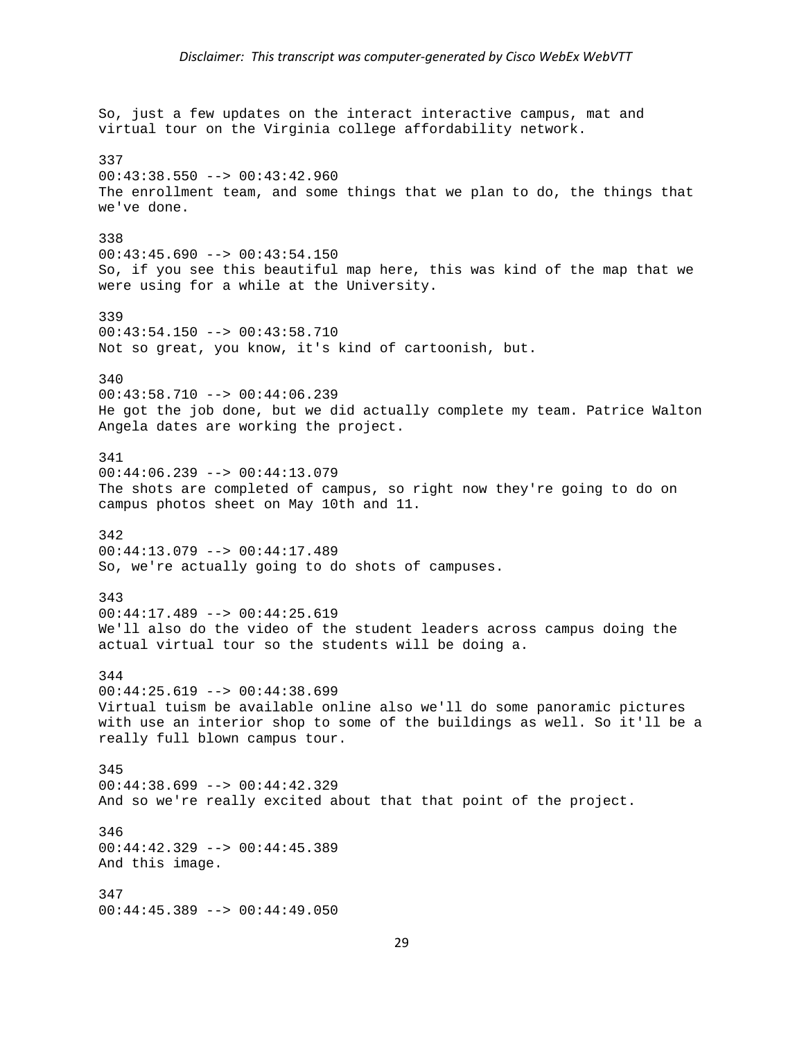So, just a few updates on the interact interactive campus, mat and virtual tour on the Virginia college affordability network. 337 00:43:38.550 --> 00:43:42.960 The enrollment team, and some things that we plan to do, the things that we've done. 338 00:43:45.690 --> 00:43:54.150 So, if you see this beautiful map here, this was kind of the map that we were using for a while at the University. 339 00:43:54.150 --> 00:43:58.710 Not so great, you know, it's kind of cartoonish, but. 340  $00:43:58.710$  -->  $00:44:06.239$ He got the job done, but we did actually complete my team. Patrice Walton Angela dates are working the project. 341 00:44:06.239 --> 00:44:13.079 The shots are completed of campus, so right now they're going to do on campus photos sheet on May 10th and 11. 342 00:44:13.079 --> 00:44:17.489 So, we're actually going to do shots of campuses. 343 00:44:17.489 --> 00:44:25.619 We'll also do the video of the student leaders across campus doing the actual virtual tour so the students will be doing a. 344 00:44:25.619 --> 00:44:38.699 Virtual tuism be available online also we'll do some panoramic pictures with use an interior shop to some of the buildings as well. So it'll be a really full blown campus tour. 345 00:44:38.699 --> 00:44:42.329 And so we're really excited about that that point of the project. 346 00:44:42.329 --> 00:44:45.389 And this image. 347 00:44:45.389 --> 00:44:49.050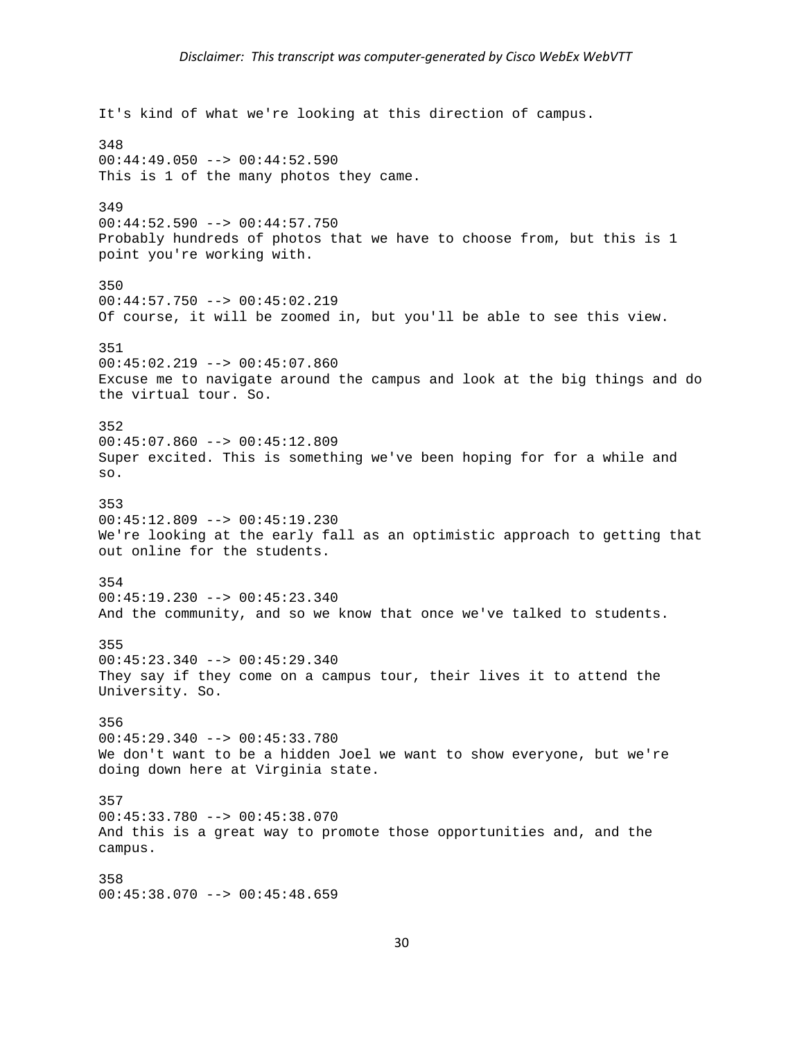It's kind of what we're looking at this direction of campus. 348 00:44:49.050 --> 00:44:52.590 This is 1 of the many photos they came. 349 00:44:52.590 --> 00:44:57.750 Probably hundreds of photos that we have to choose from, but this is 1 point you're working with. 350 00:44:57.750 --> 00:45:02.219 Of course, it will be zoomed in, but you'll be able to see this view. 351  $00:45:02.219$  -->  $00:45:07.860$ Excuse me to navigate around the campus and look at the big things and do the virtual tour. So. 352 00:45:07.860 --> 00:45:12.809 Super excited. This is something we've been hoping for for a while and so. 353 00:45:12.809 --> 00:45:19.230 We're looking at the early fall as an optimistic approach to getting that out online for the students. 354 00:45:19.230 --> 00:45:23.340 And the community, and so we know that once we've talked to students. 355 00:45:23.340 --> 00:45:29.340 They say if they come on a campus tour, their lives it to attend the University. So. 356  $00:45:29.340$  -->  $00:45:33.780$ We don't want to be a hidden Joel we want to show everyone, but we're doing down here at Virginia state. 357 00:45:33.780 --> 00:45:38.070 And this is a great way to promote those opportunities and, and the campus. 358 00:45:38.070 --> 00:45:48.659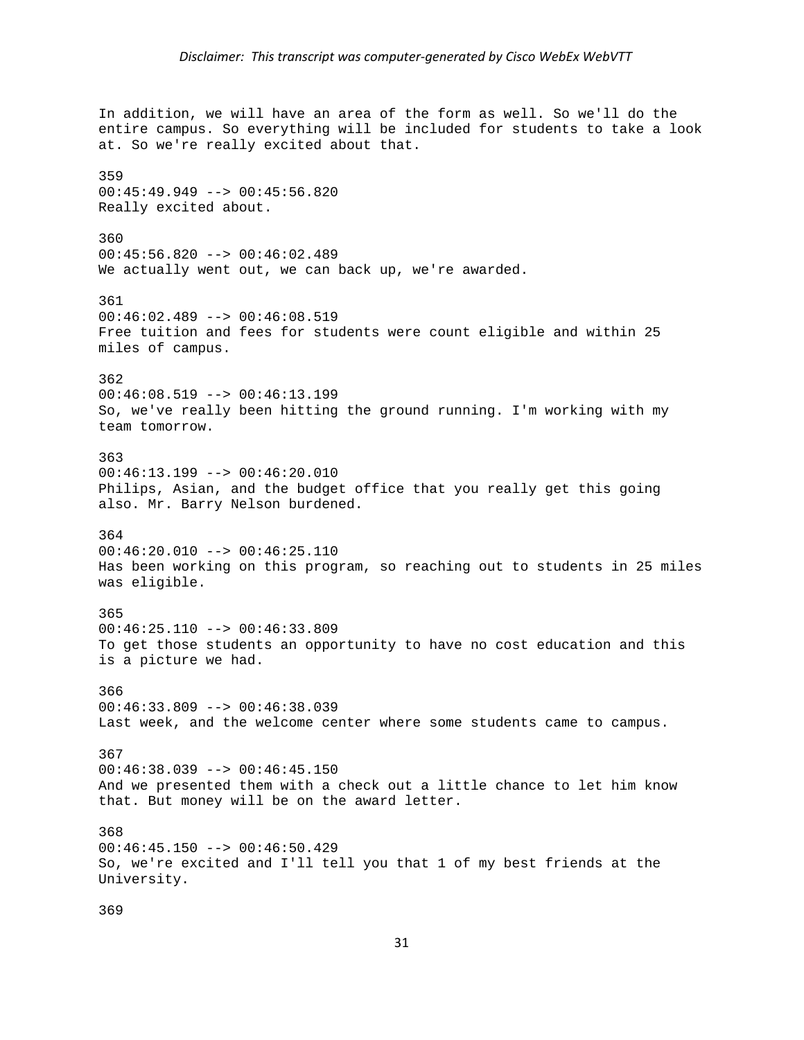In addition, we will have an area of the form as well. So we'll do the entire campus. So everything will be included for students to take a look at. So we're really excited about that. 359 00:45:49.949 --> 00:45:56.820 Really excited about. 360 00:45:56.820 --> 00:46:02.489 We actually went out, we can back up, we're awarded. 361 00:46:02.489 --> 00:46:08.519 Free tuition and fees for students were count eligible and within 25 miles of campus. 362 00:46:08.519 --> 00:46:13.199 So, we've really been hitting the ground running. I'm working with my team tomorrow. 363 00:46:13.199 --> 00:46:20.010 Philips, Asian, and the budget office that you really get this going also. Mr. Barry Nelson burdened. 364  $00:46:20.010$  -->  $00:46:25.110$ Has been working on this program, so reaching out to students in 25 miles was eligible. 365 00:46:25.110 --> 00:46:33.809 To get those students an opportunity to have no cost education and this is a picture we had. 366 00:46:33.809 --> 00:46:38.039 Last week, and the welcome center where some students came to campus. 367  $00:46:38.039$  -->  $00:46:45.150$ And we presented them with a check out a little chance to let him know that. But money will be on the award letter. 368  $00:46:45.150$  -->  $00:46:50.429$ So, we're excited and I'll tell you that 1 of my best friends at the University.

```
369
```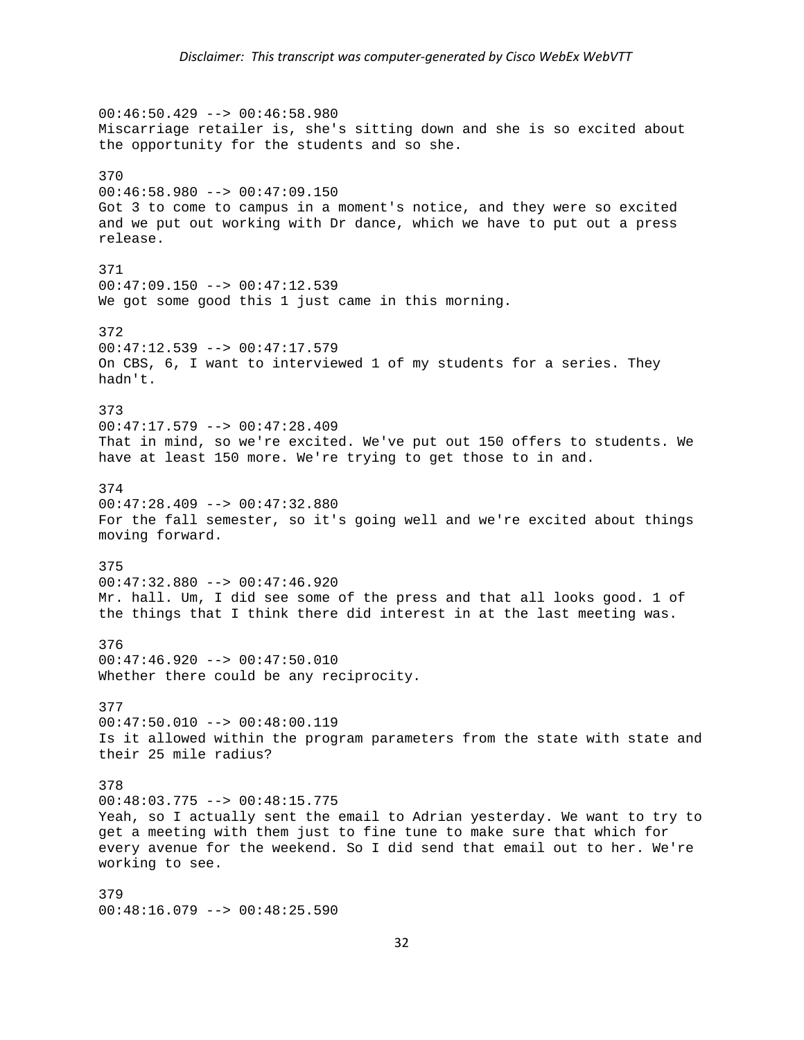$00:46:50.429$  -->  $00:46:58.980$ Miscarriage retailer is, she's sitting down and she is so excited about the opportunity for the students and so she. 370 00:46:58.980 --> 00:47:09.150 Got 3 to come to campus in a moment's notice, and they were so excited and we put out working with Dr dance, which we have to put out a press release. 371  $00:47:09.150$  -->  $00:47:12.539$ We got some good this 1 just came in this morning. 372 00:47:12.539 --> 00:47:17.579 On CBS, 6, I want to interviewed 1 of my students for a series. They hadn't. 373 00:47:17.579 --> 00:47:28.409 That in mind, so we're excited. We've put out 150 offers to students. We have at least 150 more. We're trying to get those to in and. 374 00:47:28.409 --> 00:47:32.880 For the fall semester, so it's going well and we're excited about things moving forward. 375 00:47:32.880 --> 00:47:46.920 Mr. hall. Um, I did see some of the press and that all looks good. 1 of the things that I think there did interest in at the last meeting was. 376 00:47:46.920 --> 00:47:50.010 Whether there could be any reciprocity. 377 00:47:50.010 --> 00:48:00.119 Is it allowed within the program parameters from the state with state and their 25 mile radius? 378 00:48:03.775 --> 00:48:15.775 Yeah, so I actually sent the email to Adrian yesterday. We want to try to get a meeting with them just to fine tune to make sure that which for every avenue for the weekend. So I did send that email out to her. We're working to see. 379 00:48:16.079 --> 00:48:25.590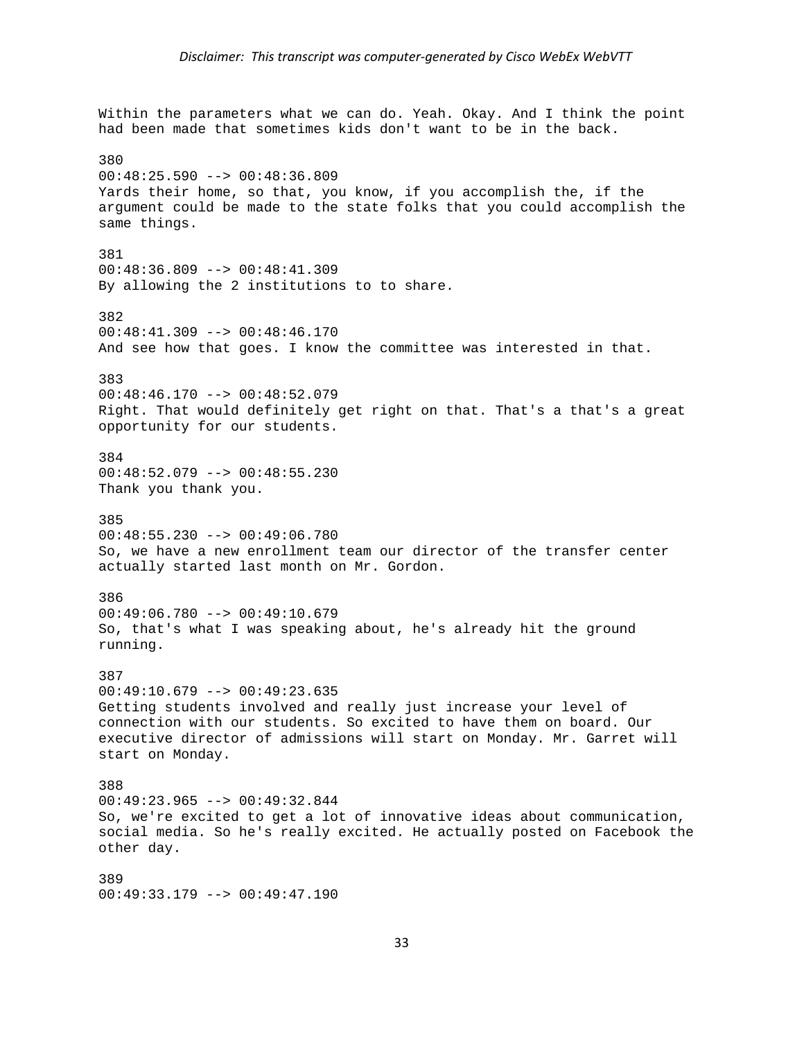Within the parameters what we can do. Yeah. Okay. And I think the point had been made that sometimes kids don't want to be in the back. 380 00:48:25.590 --> 00:48:36.809 Yards their home, so that, you know, if you accomplish the, if the argument could be made to the state folks that you could accomplish the same things. 381 00:48:36.809 --> 00:48:41.309 By allowing the 2 institutions to to share. 382 00:48:41.309 --> 00:48:46.170 And see how that goes. I know the committee was interested in that. 383 00:48:46.170 --> 00:48:52.079 Right. That would definitely get right on that. That's a that's a great opportunity for our students. 384 00:48:52.079 --> 00:48:55.230 Thank you thank you. 385 00:48:55.230 --> 00:49:06.780 So, we have a new enrollment team our director of the transfer center actually started last month on Mr. Gordon. 386  $00:49:06.780$  -->  $00:49:10.679$ So, that's what I was speaking about, he's already hit the ground running. 387 00:49:10.679 --> 00:49:23.635 Getting students involved and really just increase your level of connection with our students. So excited to have them on board. Our executive director of admissions will start on Monday. Mr. Garret will start on Monday. 388 00:49:23.965 --> 00:49:32.844 So, we're excited to get a lot of innovative ideas about communication, social media. So he's really excited. He actually posted on Facebook the other day. 389 00:49:33.179 --> 00:49:47.190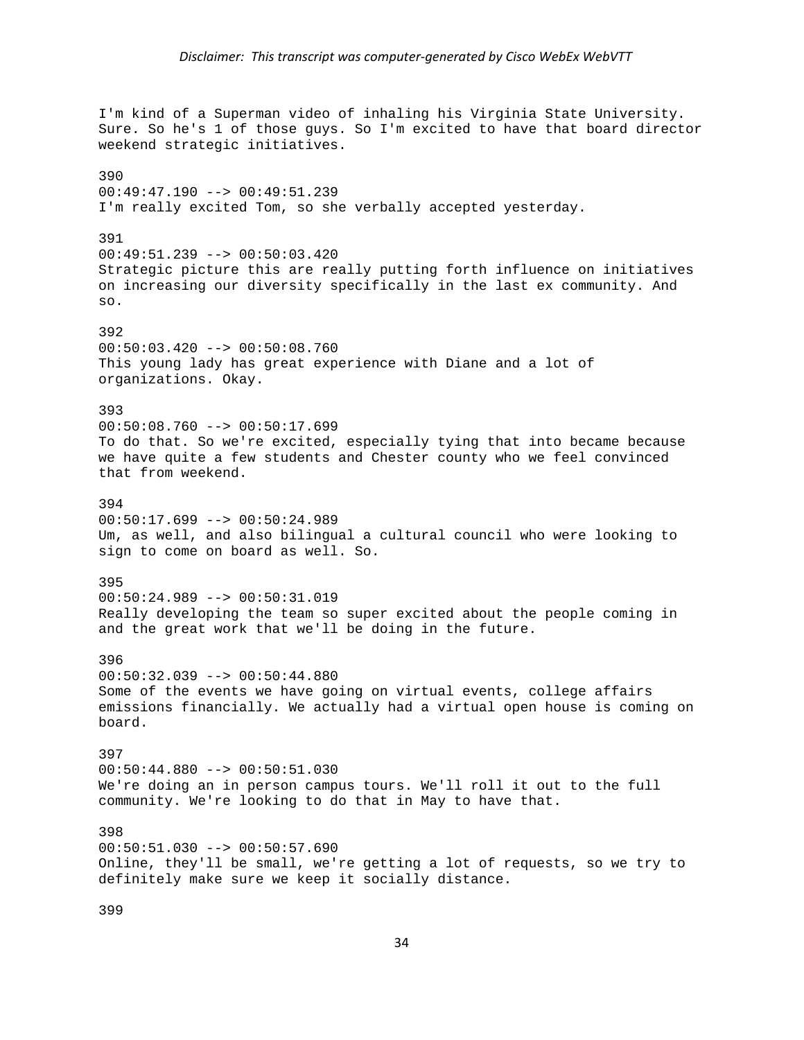I'm kind of a Superman video of inhaling his Virginia State University. Sure. So he's 1 of those guys. So I'm excited to have that board director weekend strategic initiatives. 390 00:49:47.190 --> 00:49:51.239 I'm really excited Tom, so she verbally accepted yesterday. 391 00:49:51.239 --> 00:50:03.420 Strategic picture this are really putting forth influence on initiatives on increasing our diversity specifically in the last ex community. And so. 392 00:50:03.420 --> 00:50:08.760 This young lady has great experience with Diane and a lot of organizations. Okay. 393  $00:50:08.760$  -->  $00:50:17.699$ To do that. So we're excited, especially tying that into became because we have quite a few students and Chester county who we feel convinced that from weekend. 394  $00:50:17.699$  -->  $00:50:24.989$ Um, as well, and also bilingual a cultural council who were looking to sign to come on board as well. So. 395 00:50:24.989 --> 00:50:31.019 Really developing the team so super excited about the people coming in and the great work that we'll be doing in the future. 396  $00:50:32.039$  -->  $00:50:44.880$ Some of the events we have going on virtual events, college affairs emissions financially. We actually had a virtual open house is coming on board. 397 00:50:44.880 --> 00:50:51.030 We're doing an in person campus tours. We'll roll it out to the full community. We're looking to do that in May to have that. 398  $00:50:51.030$  -->  $00:50:57.690$ Online, they'll be small, we're getting a lot of requests, so we try to definitely make sure we keep it socially distance.

399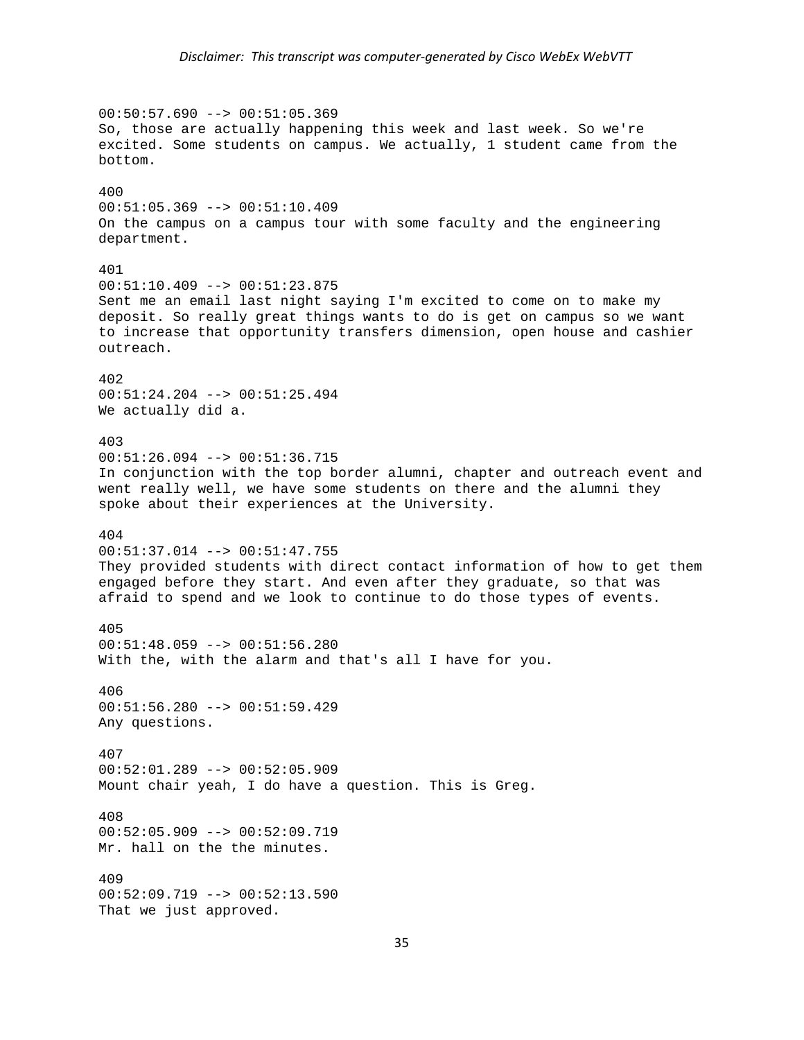$00:50:57.690$  -->  $00:51:05.369$ So, those are actually happening this week and last week. So we're excited. Some students on campus. We actually, 1 student came from the bottom. 400 00:51:05.369 --> 00:51:10.409 On the campus on a campus tour with some faculty and the engineering department. 401 00:51:10.409 --> 00:51:23.875 Sent me an email last night saying I'm excited to come on to make my deposit. So really great things wants to do is get on campus so we want to increase that opportunity transfers dimension, open house and cashier outreach. 402  $00:51:24.204$  -->  $00:51:25.494$ We actually did a. 403 00:51:26.094 --> 00:51:36.715 In conjunction with the top border alumni, chapter and outreach event and went really well, we have some students on there and the alumni they spoke about their experiences at the University. 404  $00:51:37.014$  -->  $00:51:47.755$ They provided students with direct contact information of how to get them engaged before they start. And even after they graduate, so that was afraid to spend and we look to continue to do those types of events. 405 00:51:48.059 --> 00:51:56.280 With the, with the alarm and that's all I have for you. 406 00:51:56.280 --> 00:51:59.429 Any questions. 407  $00:52:01.289$  -->  $00:52:05.909$ Mount chair yeah, I do have a question. This is Greg. 408  $00:52:05.909$  -->  $00:52:09.719$ Mr. hall on the the minutes. 409  $00:52:09.719$  -->  $00:52:13.590$ That we just approved.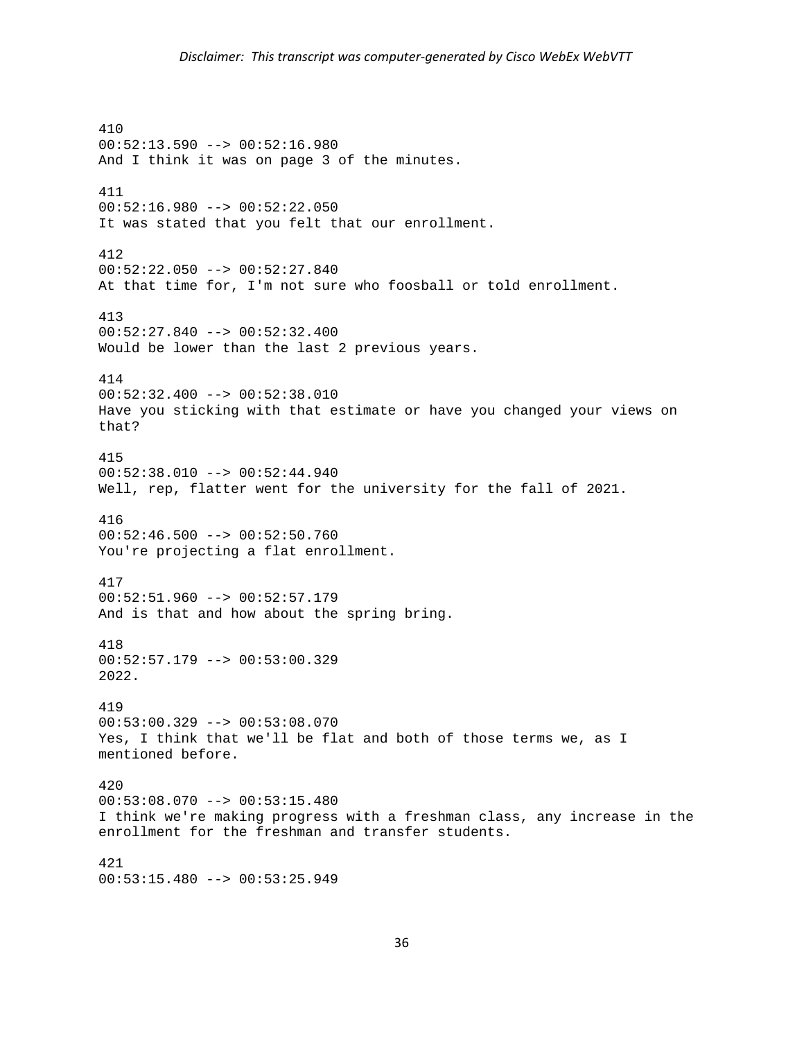410 00:52:13.590 --> 00:52:16.980 And I think it was on page 3 of the minutes. 411 00:52:16.980 --> 00:52:22.050 It was stated that you felt that our enrollment. 412 00:52:22.050 --> 00:52:27.840 At that time for, I'm not sure who foosball or told enrollment. 413 00:52:27.840 --> 00:52:32.400 Would be lower than the last 2 previous years. 414 00:52:32.400 --> 00:52:38.010 Have you sticking with that estimate or have you changed your views on that? 415 00:52:38.010 --> 00:52:44.940 Well, rep, flatter went for the university for the fall of 2021. 416 00:52:46.500 --> 00:52:50.760 You're projecting a flat enrollment. 417 00:52:51.960 --> 00:52:57.179 And is that and how about the spring bring. 418 00:52:57.179 --> 00:53:00.329 2022. 419 00:53:00.329 --> 00:53:08.070 Yes, I think that we'll be flat and both of those terms we, as I mentioned before. 420 00:53:08.070 --> 00:53:15.480 I think we're making progress with a freshman class, any increase in the enrollment for the freshman and transfer students. 421 00:53:15.480 --> 00:53:25.949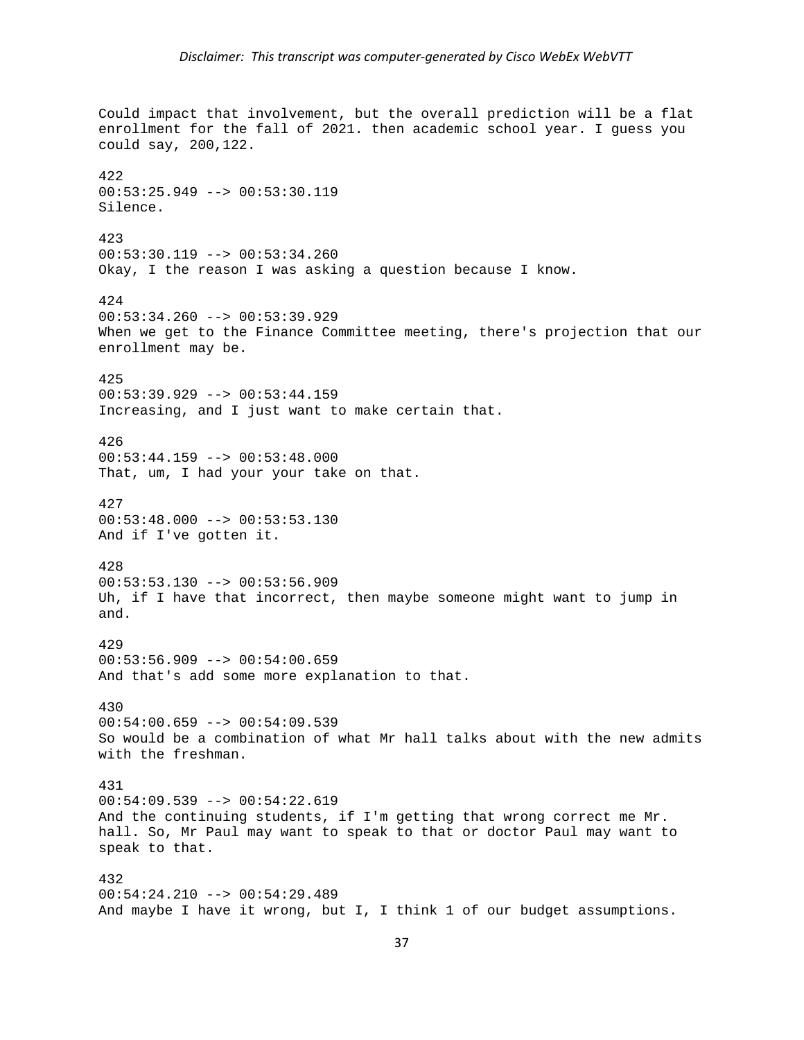Could impact that involvement, but the overall prediction will be a flat enrollment for the fall of 2021. then academic school year. I guess you could say, 200,122. 422 00:53:25.949 --> 00:53:30.119 Silence. 423 00:53:30.119 --> 00:53:34.260 Okay, I the reason I was asking a question because I know. 424 00:53:34.260 --> 00:53:39.929 When we get to the Finance Committee meeting, there's projection that our enrollment may be. 425 00:53:39.929 --> 00:53:44.159 Increasing, and I just want to make certain that. 426  $00:53:44.159$  -->  $00:53:48.000$ That, um, I had your your take on that. 427  $00:53:48.000$  -->  $00:53:53.130$ And if I've gotten it. 428 00:53:53.130 --> 00:53:56.909 Uh, if I have that incorrect, then maybe someone might want to jump in and. 429 00:53:56.909 --> 00:54:00.659 And that's add some more explanation to that. 430  $00:54:00.659$  -->  $00:54:09.539$ So would be a combination of what Mr hall talks about with the new admits with the freshman. 431 00:54:09.539 --> 00:54:22.619 And the continuing students, if I'm getting that wrong correct me Mr. hall. So, Mr Paul may want to speak to that or doctor Paul may want to speak to that. 432  $00:54:24.210$  -->  $00:54:29.489$ And maybe I have it wrong, but I, I think 1 of our budget assumptions.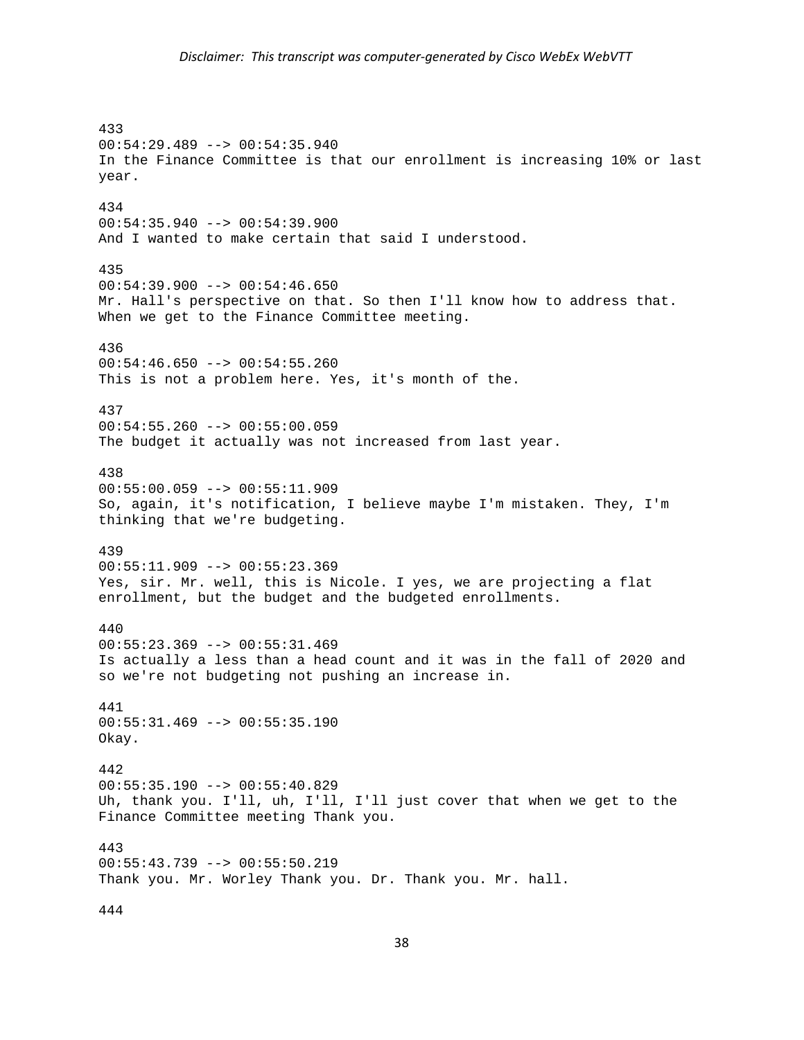433 00:54:29.489 --> 00:54:35.940 In the Finance Committee is that our enrollment is increasing 10% or last year. 434 00:54:35.940 --> 00:54:39.900 And I wanted to make certain that said I understood. 435  $00:54:39.900$  -->  $00:54:46.650$ Mr. Hall's perspective on that. So then I'll know how to address that. When we get to the Finance Committee meeting. 436  $00:54:46.650$  -->  $00:54:55.260$ This is not a problem here. Yes, it's month of the. 437 00:54:55.260 --> 00:55:00.059 The budget it actually was not increased from last year. 438 00:55:00.059 --> 00:55:11.909 So, again, it's notification, I believe maybe I'm mistaken. They, I'm thinking that we're budgeting. 439 00:55:11.909 --> 00:55:23.369 Yes, sir. Mr. well, this is Nicole. I yes, we are projecting a flat enrollment, but the budget and the budgeted enrollments. 440 00:55:23.369 --> 00:55:31.469 Is actually a less than a head count and it was in the fall of 2020 and so we're not budgeting not pushing an increase in. 441 00:55:31.469 --> 00:55:35.190 Okay. 442 00:55:35.190 --> 00:55:40.829 Uh, thank you. I'll, uh, I'll, I'll just cover that when we get to the Finance Committee meeting Thank you. 443 00:55:43.739 --> 00:55:50.219 Thank you. Mr. Worley Thank you. Dr. Thank you. Mr. hall.

444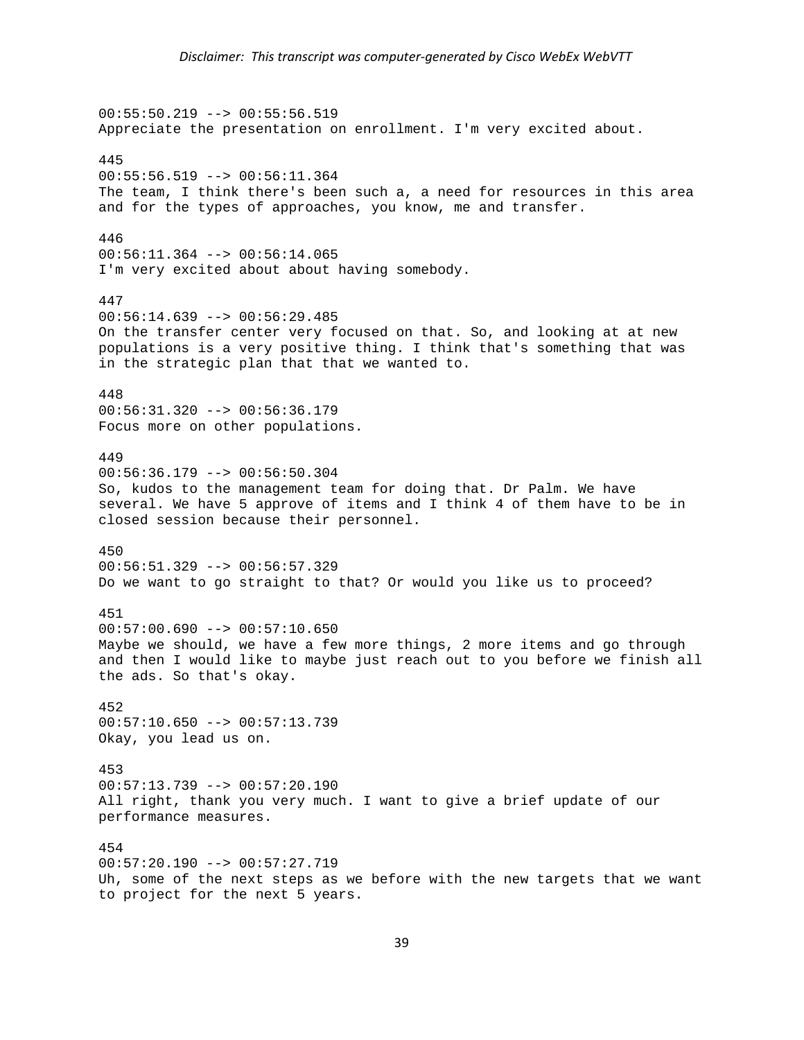00:55:50.219 --> 00:55:56.519 Appreciate the presentation on enrollment. I'm very excited about. 445  $00:55:56.519$  -->  $00:56:11.364$ The team, I think there's been such a, a need for resources in this area and for the types of approaches, you know, me and transfer. 446 00:56:11.364 --> 00:56:14.065 I'm very excited about about having somebody. 447 00:56:14.639 --> 00:56:29.485 On the transfer center very focused on that. So, and looking at at new populations is a very positive thing. I think that's something that was in the strategic plan that that we wanted to. 448 00:56:31.320 --> 00:56:36.179 Focus more on other populations. 449 00:56:36.179 --> 00:56:50.304 So, kudos to the management team for doing that. Dr Palm. We have several. We have 5 approve of items and I think 4 of them have to be in closed session because their personnel. 450 00:56:51.329 --> 00:56:57.329 Do we want to go straight to that? Or would you like us to proceed? 451  $00:57:00.690$  -->  $00:57:10.650$ Maybe we should, we have a few more things, 2 more items and go through and then I would like to maybe just reach out to you before we finish all the ads. So that's okay. 452 00:57:10.650 --> 00:57:13.739 Okay, you lead us on. 453 00:57:13.739 --> 00:57:20.190 All right, thank you very much. I want to give a brief update of our performance measures. 454  $00:57:20.190$  -->  $00:57:27.719$ Uh, some of the next steps as we before with the new targets that we want to project for the next 5 years.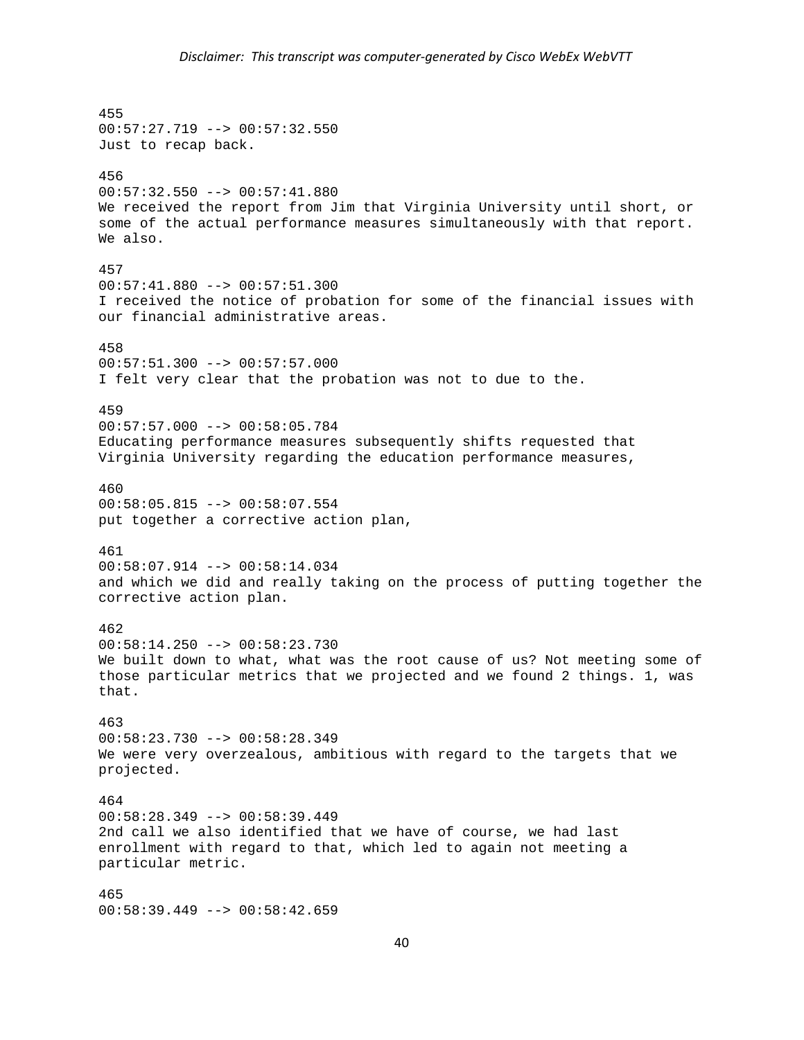455 00:57:27.719 --> 00:57:32.550 Just to recap back. 456 00:57:32.550 --> 00:57:41.880 We received the report from Jim that Virginia University until short, or some of the actual performance measures simultaneously with that report. We also. 457 00:57:41.880 --> 00:57:51.300 I received the notice of probation for some of the financial issues with our financial administrative areas. 458  $00:57:51.300$  -->  $00:57:57.000$ I felt very clear that the probation was not to due to the. 459 00:57:57.000 --> 00:58:05.784 Educating performance measures subsequently shifts requested that Virginia University regarding the education performance measures, 460 00:58:05.815 --> 00:58:07.554 put together a corrective action plan, 461 00:58:07.914 --> 00:58:14.034 and which we did and really taking on the process of putting together the corrective action plan. 462  $00:58:14.250$  -->  $00:58:23.730$ We built down to what, what was the root cause of us? Not meeting some of those particular metrics that we projected and we found 2 things. 1, was that. 463 00:58:23.730 --> 00:58:28.349 We were very overzealous, ambitious with regard to the targets that we projected. 464 00:58:28.349 --> 00:58:39.449 2nd call we also identified that we have of course, we had last enrollment with regard to that, which led to again not meeting a particular metric. 465 00:58:39.449 --> 00:58:42.659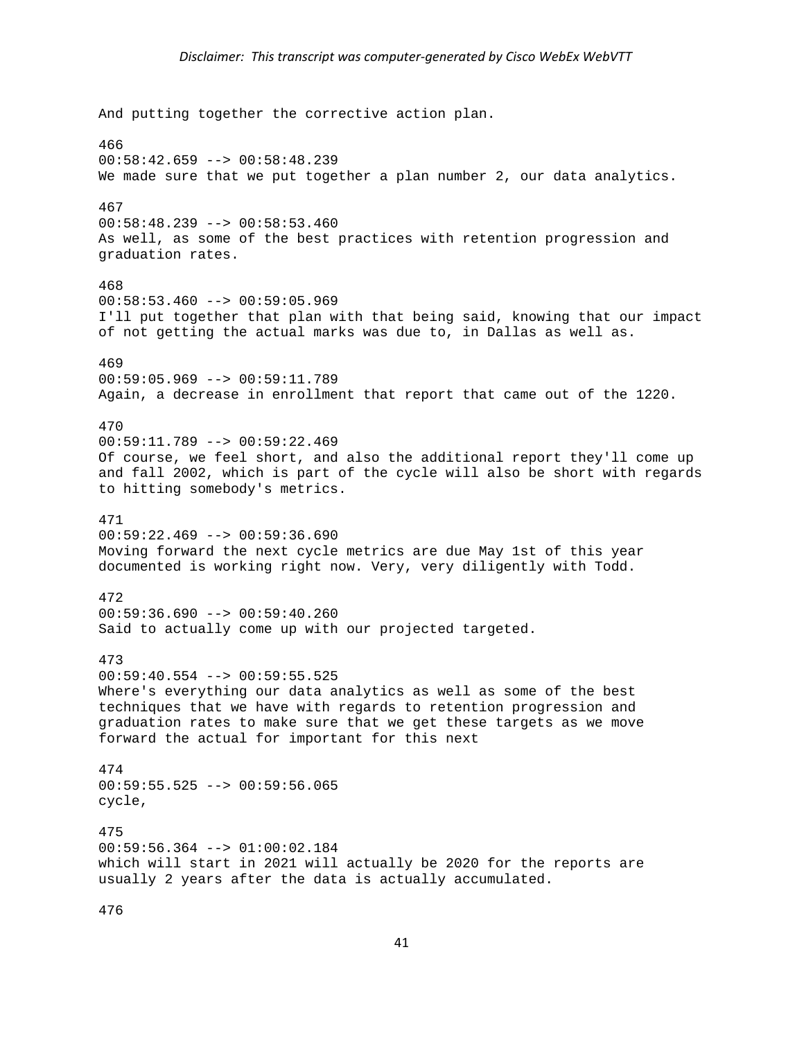And putting together the corrective action plan. 466  $00:58:42.659$  -->  $00:58:48.239$ We made sure that we put together a plan number 2, our data analytics. 467 00:58:48.239 --> 00:58:53.460 As well, as some of the best practices with retention progression and graduation rates. 468  $00:58:53.460$  -->  $00:59:05.969$ I'll put together that plan with that being said, knowing that our impact of not getting the actual marks was due to, in Dallas as well as. 469 00:59:05.969 --> 00:59:11.789 Again, a decrease in enrollment that report that came out of the 1220. 470 00:59:11.789 --> 00:59:22.469 Of course, we feel short, and also the additional report they'll come up and fall 2002, which is part of the cycle will also be short with regards to hitting somebody's metrics. 471 00:59:22.469 --> 00:59:36.690 Moving forward the next cycle metrics are due May 1st of this year documented is working right now. Very, very diligently with Todd. 472  $00:59:36.690$  -->  $00:59:40.260$ Said to actually come up with our projected targeted. 473  $00:59:40.554$  -->  $00:59:55.525$ Where's everything our data analytics as well as some of the best techniques that we have with regards to retention progression and graduation rates to make sure that we get these targets as we move forward the actual for important for this next 474 00:59:55.525 --> 00:59:56.065 cycle, 475 00:59:56.364 --> 01:00:02.184 which will start in 2021 will actually be 2020 for the reports are usually 2 years after the data is actually accumulated.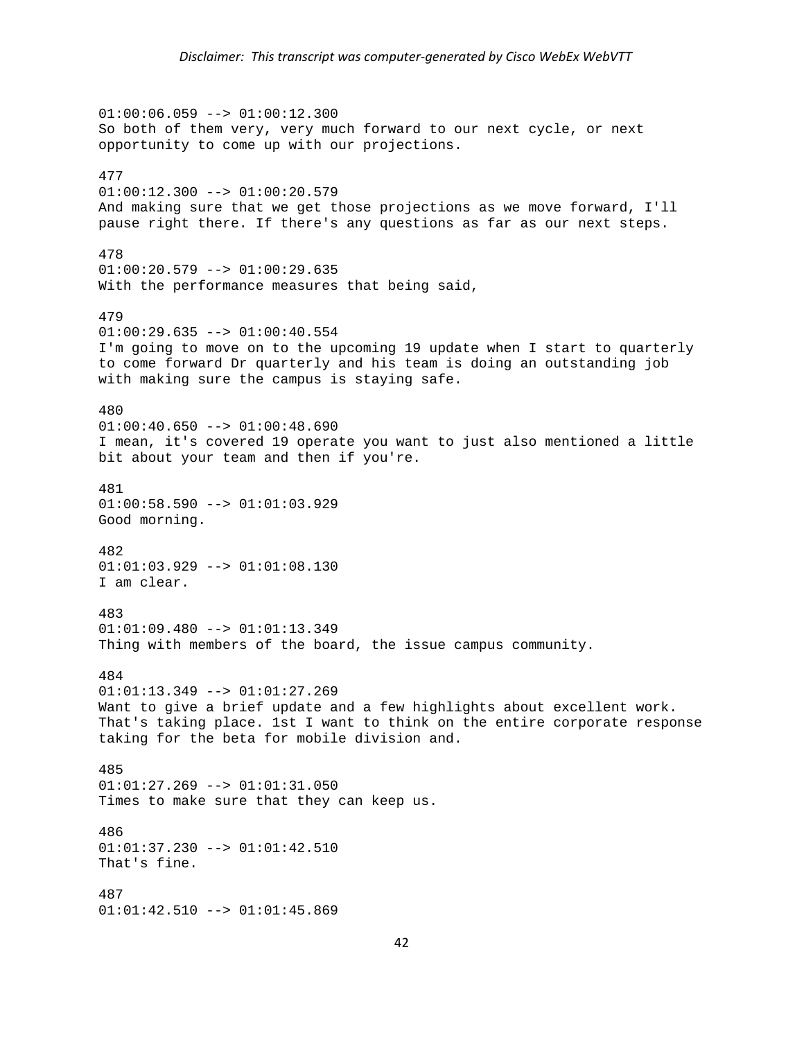$01:00:06.059$  -->  $01:00:12.300$ So both of them very, very much forward to our next cycle, or next opportunity to come up with our projections. 477  $01:00:12.300$  -->  $01:00:20.579$ And making sure that we get those projections as we move forward, I'll pause right there. If there's any questions as far as our next steps. 478  $01:00:20.579$  -->  $01:00:29.635$ With the performance measures that being said, 479 01:00:29.635 --> 01:00:40.554 I'm going to move on to the upcoming 19 update when I start to quarterly to come forward Dr quarterly and his team is doing an outstanding job with making sure the campus is staying safe. 480  $01:00:40.650$  -->  $01:00:48.690$ I mean, it's covered 19 operate you want to just also mentioned a little bit about your team and then if you're. 481  $01:00:58.590$  -->  $01:01:03.929$ Good morning. 482 01:01:03.929 --> 01:01:08.130 I am clear. 483 01:01:09.480 --> 01:01:13.349 Thing with members of the board, the issue campus community. 484 01:01:13.349 --> 01:01:27.269 Want to give a brief update and a few highlights about excellent work. That's taking place. 1st I want to think on the entire corporate response taking for the beta for mobile division and. 485 01:01:27.269 --> 01:01:31.050 Times to make sure that they can keep us. 486 01:01:37.230 --> 01:01:42.510 That's fine. 487 01:01:42.510 --> 01:01:45.869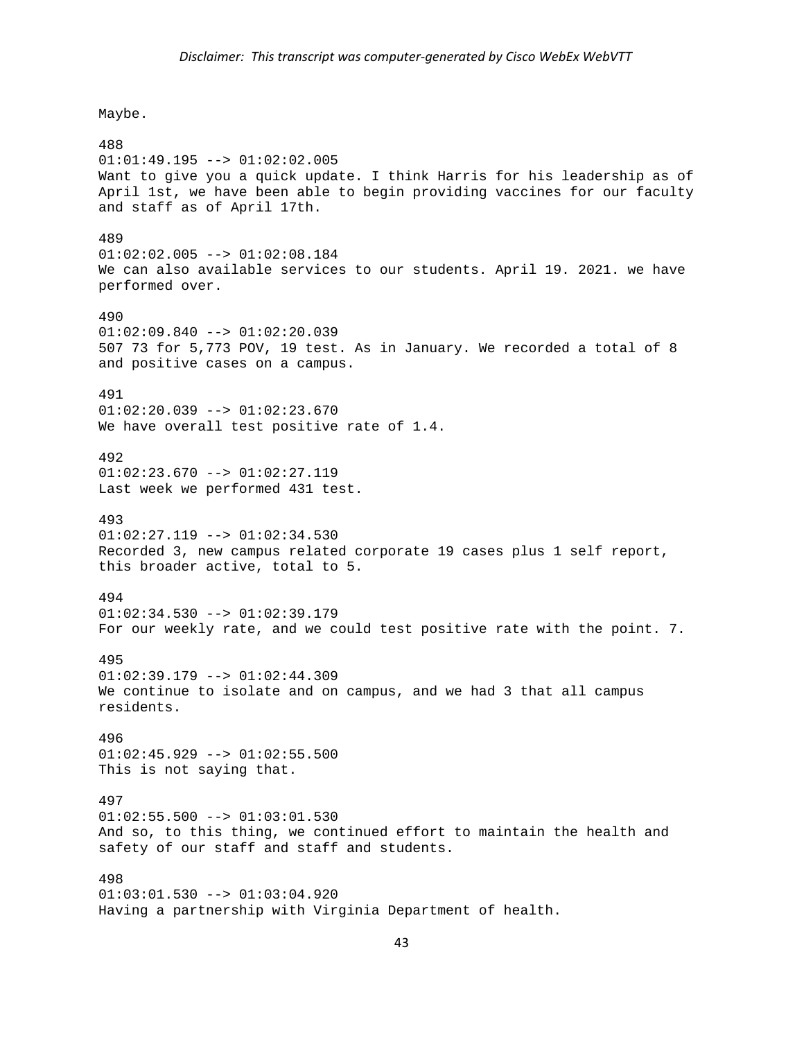Maybe.

488  $01:01:49.195$  -->  $01:02:02.005$ Want to give you a quick update. I think Harris for his leadership as of April 1st, we have been able to begin providing vaccines for our faculty and staff as of April 17th. 489  $01:02:02.005$  -->  $01:02:08.184$ We can also available services to our students. April 19. 2021. we have performed over. 490 01:02:09.840 --> 01:02:20.039 507 73 for 5,773 POV, 19 test. As in January. We recorded a total of 8 and positive cases on a campus. 491 01:02:20.039 --> 01:02:23.670 We have overall test positive rate of 1.4. 492 01:02:23.670 --> 01:02:27.119 Last week we performed 431 test. 493 01:02:27.119 --> 01:02:34.530 Recorded 3, new campus related corporate 19 cases plus 1 self report, this broader active, total to 5. 494  $01:02:34.530$  -->  $01:02:39.179$ For our weekly rate, and we could test positive rate with the point. 7. 495  $01:02:39.179$  -->  $01:02:44.309$ We continue to isolate and on campus, and we had 3 that all campus residents. 496  $01:02:45.929$  -->  $01:02:55.500$ This is not saying that. 497 01:02:55.500 --> 01:03:01.530 And so, to this thing, we continued effort to maintain the health and safety of our staff and staff and students. 498  $01:03:01.530$  -->  $01:03:04.920$ Having a partnership with Virginia Department of health.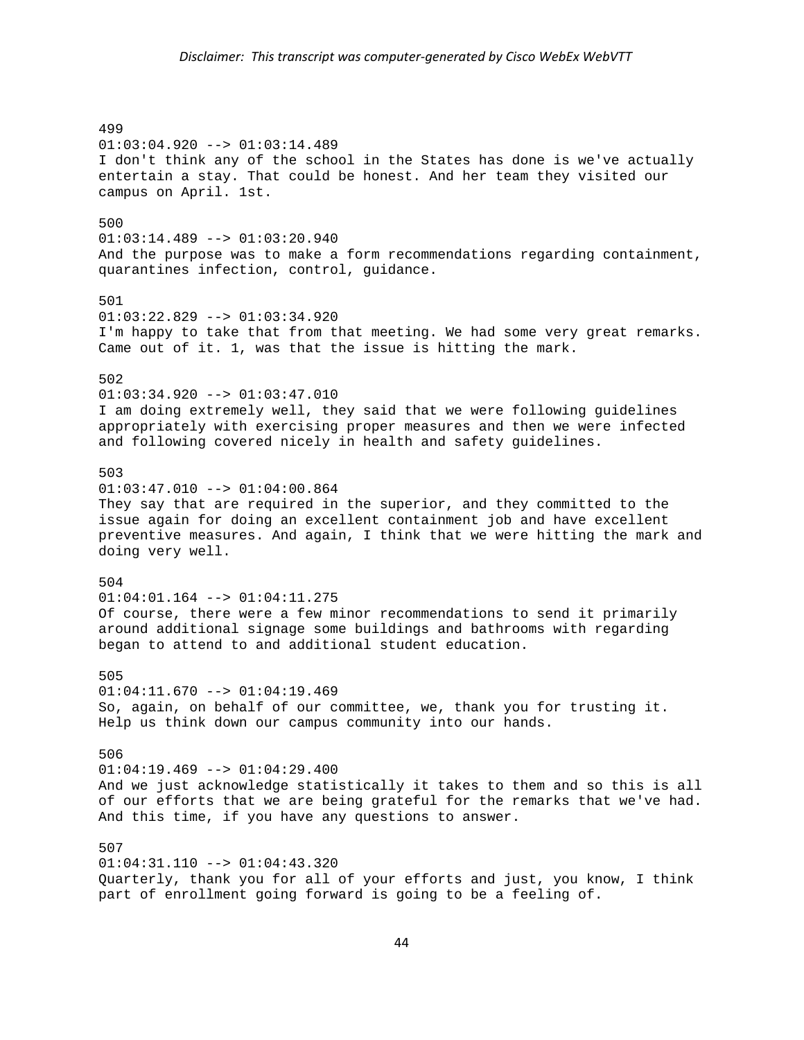499 01:03:04.920 --> 01:03:14.489 I don't think any of the school in the States has done is we've actually entertain a stay. That could be honest. And her team they visited our campus on April. 1st. 500 01:03:14.489 --> 01:03:20.940 And the purpose was to make a form recommendations regarding containment, quarantines infection, control, guidance. 501 01:03:22.829 --> 01:03:34.920 I'm happy to take that from that meeting. We had some very great remarks. Came out of it. 1, was that the issue is hitting the mark. 502  $01:03:34.920$  -->  $01:03:47.010$ I am doing extremely well, they said that we were following guidelines appropriately with exercising proper measures and then we were infected and following covered nicely in health and safety guidelines. 503  $01:03:47.010$  -->  $01:04:00.864$ They say that are required in the superior, and they committed to the issue again for doing an excellent containment job and have excellent preventive measures. And again, I think that we were hitting the mark and doing very well. 504 01:04:01.164 --> 01:04:11.275 Of course, there were a few minor recommendations to send it primarily around additional signage some buildings and bathrooms with regarding began to attend to and additional student education. 505 01:04:11.670 --> 01:04:19.469 So, again, on behalf of our committee, we, thank you for trusting it. Help us think down our campus community into our hands. 506  $01:04:19.469$  -->  $01:04:29.400$ And we just acknowledge statistically it takes to them and so this is all of our efforts that we are being grateful for the remarks that we've had. And this time, if you have any questions to answer. 507  $01:04:31.110$  -->  $01:04:43.320$ Quarterly, thank you for all of your efforts and just, you know, I think

part of enrollment going forward is going to be a feeling of.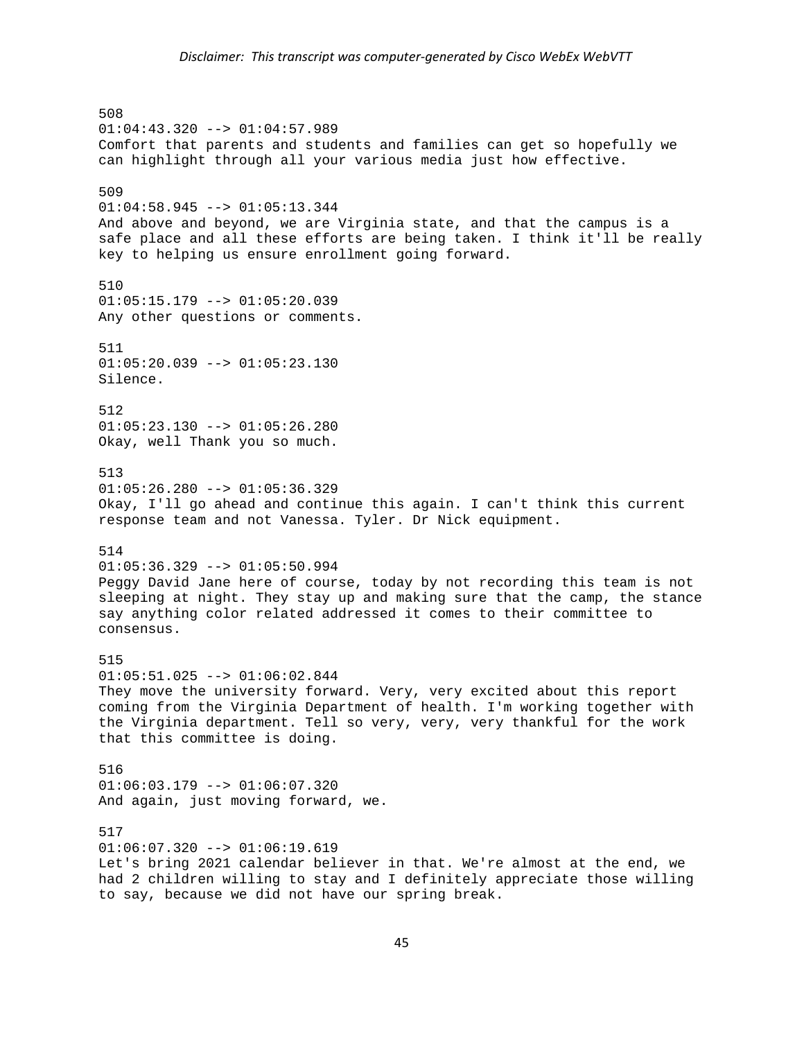508  $01:04:43.320$  -->  $01:04:57.989$ Comfort that parents and students and families can get so hopefully we can highlight through all your various media just how effective. 509 01:04:58.945 --> 01:05:13.344 And above and beyond, we are Virginia state, and that the campus is a safe place and all these efforts are being taken. I think it'll be really key to helping us ensure enrollment going forward. 510  $01:05:15.179$  -->  $01:05:20.039$ Any other questions or comments. 511  $01:05:20.039$  -->  $01:05:23.130$ Silence. 512 01:05:23.130 --> 01:05:26.280 Okay, well Thank you so much. 513  $01:05:26.280$  -->  $01:05:36.329$ Okay, I'll go ahead and continue this again. I can't think this current response team and not Vanessa. Tyler. Dr Nick equipment. 514  $01:05:36.329$  -->  $01:05:50.994$ Peggy David Jane here of course, today by not recording this team is not sleeping at night. They stay up and making sure that the camp, the stance say anything color related addressed it comes to their committee to consensus. 515  $01:05:51.025$  -->  $01:06:02.844$ They move the university forward. Very, very excited about this report coming from the Virginia Department of health. I'm working together with the Virginia department. Tell so very, very, very thankful for the work that this committee is doing. 516 01:06:03.179 --> 01:06:07.320 And again, just moving forward, we. 517  $01:06:07.320$  -->  $01:06:19.619$ Let's bring 2021 calendar believer in that. We're almost at the end, we had 2 children willing to stay and I definitely appreciate those willing to say, because we did not have our spring break.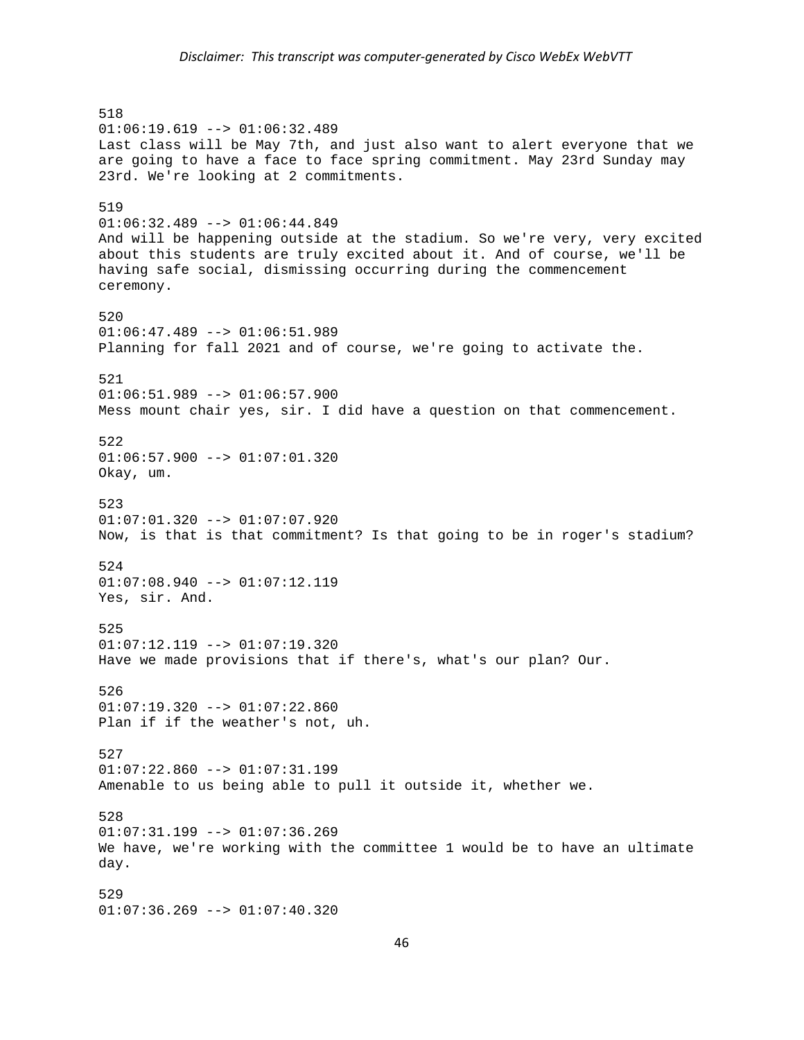518 01:06:19.619 --> 01:06:32.489 Last class will be May 7th, and just also want to alert everyone that we are going to have a face to face spring commitment. May 23rd Sunday may 23rd. We're looking at 2 commitments. 519 01:06:32.489 --> 01:06:44.849 And will be happening outside at the stadium. So we're very, very excited about this students are truly excited about it. And of course, we'll be having safe social, dismissing occurring during the commencement ceremony. 520 01:06:47.489 --> 01:06:51.989 Planning for fall 2021 and of course, we're going to activate the. 521 01:06:51.989 --> 01:06:57.900 Mess mount chair yes, sir. I did have a question on that commencement. 522  $01:06:57.900$  -->  $01:07:01.320$ Okay, um. 523 01:07:01.320 --> 01:07:07.920 Now, is that is that commitment? Is that going to be in roger's stadium? 524 01:07:08.940 --> 01:07:12.119 Yes, sir. And. 525  $01:07:12.119$  -->  $01:07:19.320$ Have we made provisions that if there's, what's our plan? Our. 526 01:07:19.320 --> 01:07:22.860 Plan if if the weather's not, uh. 527  $01:07:22.860$  -->  $01:07:31.199$ Amenable to us being able to pull it outside it, whether we. 528  $01:07:31.199$  -->  $01:07:36.269$ We have, we're working with the committee 1 would be to have an ultimate day. 529  $01:07:36.269$  -->  $01:07:40.320$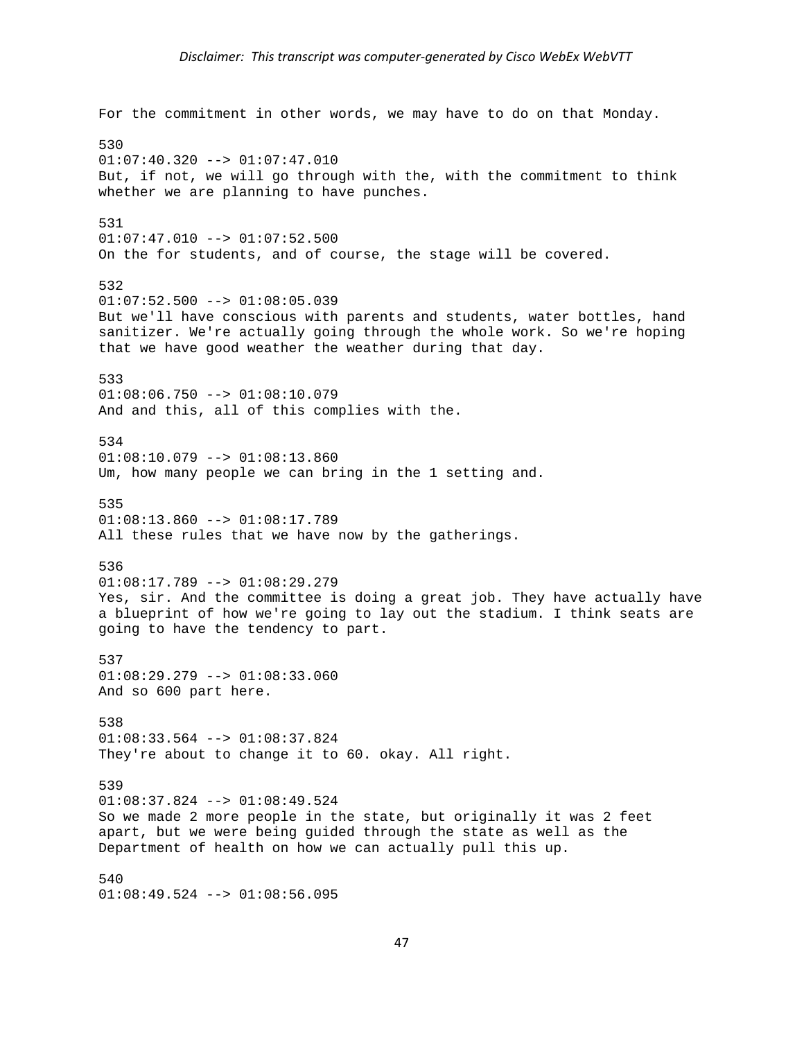For the commitment in other words, we may have to do on that Monday. 530  $01:07:40.320$  -->  $01:07:47.010$ But, if not, we will go through with the, with the commitment to think whether we are planning to have punches. 531 01:07:47.010 --> 01:07:52.500 On the for students, and of course, the stage will be covered. 532  $01:07:52.500$  -->  $01:08:05.039$ But we'll have conscious with parents and students, water bottles, hand sanitizer. We're actually going through the whole work. So we're hoping that we have good weather the weather during that day. 533  $01:08:06.750$  -->  $01:08:10.079$ And and this, all of this complies with the. 534  $01:08:10.079$  -->  $01:08:13.860$ Um, how many people we can bring in the 1 setting and. 535 01:08:13.860 --> 01:08:17.789 All these rules that we have now by the gatherings. 536 01:08:17.789 --> 01:08:29.279 Yes, sir. And the committee is doing a great job. They have actually have a blueprint of how we're going to lay out the stadium. I think seats are going to have the tendency to part. 537  $01:08:29.279$  -->  $01:08:33.060$ And so 600 part here. 538 01:08:33.564 --> 01:08:37.824 They're about to change it to 60. okay. All right. 539 01:08:37.824 --> 01:08:49.524 So we made 2 more people in the state, but originally it was 2 feet apart, but we were being guided through the state as well as the Department of health on how we can actually pull this up. 540  $01:08:49.524$  -->  $01:08:56.095$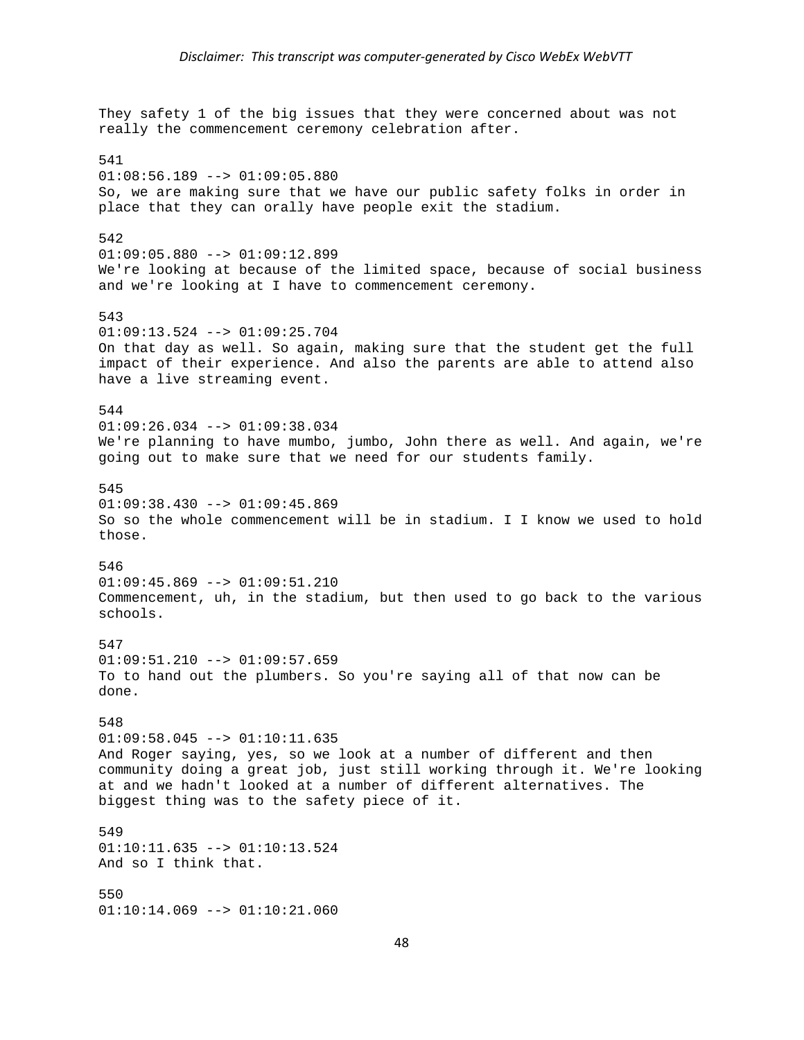They safety 1 of the big issues that they were concerned about was not really the commencement ceremony celebration after. 541  $01:08:56.189$  -->  $01:09:05.880$ So, we are making sure that we have our public safety folks in order in place that they can orally have people exit the stadium. 542 01:09:05.880 --> 01:09:12.899 We're looking at because of the limited space, because of social business and we're looking at I have to commencement ceremony. 543 01:09:13.524 --> 01:09:25.704 On that day as well. So again, making sure that the student get the full impact of their experience. And also the parents are able to attend also have a live streaming event. 544 01:09:26.034 --> 01:09:38.034 We're planning to have mumbo, jumbo, John there as well. And again, we're going out to make sure that we need for our students family. 545  $01:09:38.430$  -->  $01:09:45.869$ So so the whole commencement will be in stadium. I I know we used to hold those. 546 01:09:45.869 --> 01:09:51.210 Commencement, uh, in the stadium, but then used to go back to the various schools. 547  $01:09:51.210$  -->  $01:09:57.659$ To to hand out the plumbers. So you're saying all of that now can be done. 548  $01:09:58.045$  -->  $01:10:11.635$ And Roger saying, yes, so we look at a number of different and then community doing a great job, just still working through it. We're looking at and we hadn't looked at a number of different alternatives. The biggest thing was to the safety piece of it. 549  $01:10:11.635$  -->  $01:10:13.524$ And so I think that. 550  $01:10:14.069$  -->  $01:10:21.060$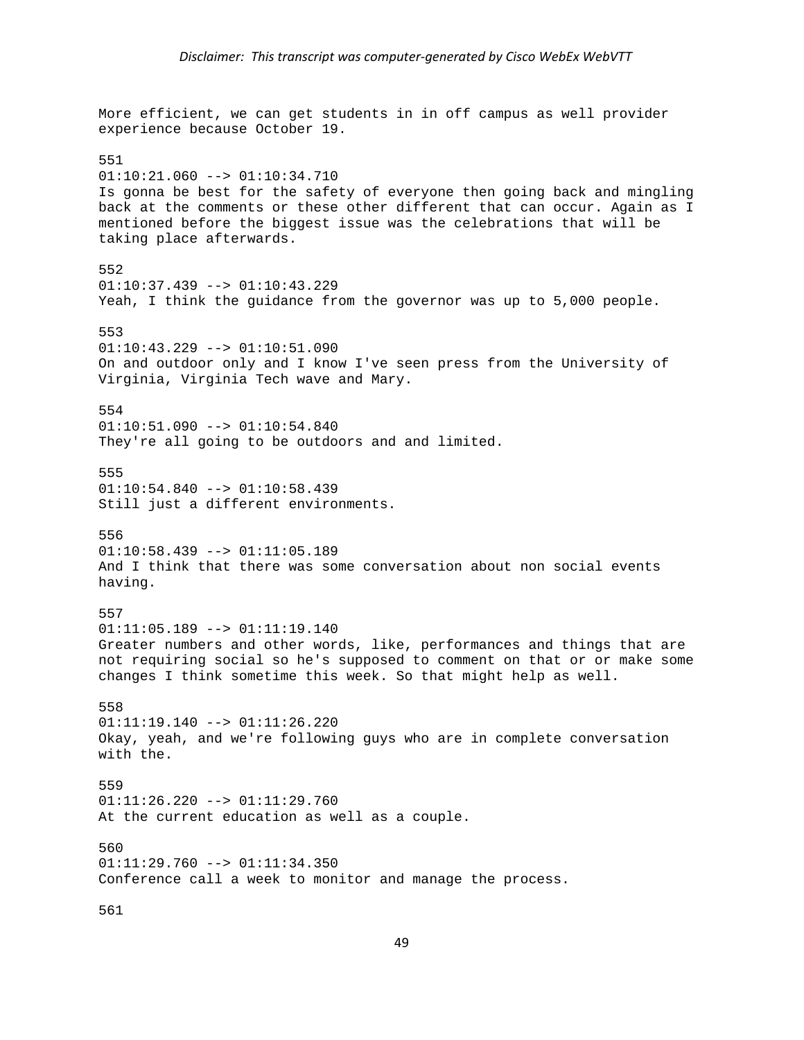More efficient, we can get students in in off campus as well provider experience because October 19. 551  $01:10:21.060$  -->  $01:10:34.710$ Is gonna be best for the safety of everyone then going back and mingling back at the comments or these other different that can occur. Again as I mentioned before the biggest issue was the celebrations that will be taking place afterwards. 552  $01:10:37.439$  -->  $01:10:43.229$ Yeah, I think the guidance from the governor was up to 5,000 people. 553 01:10:43.229 --> 01:10:51.090 On and outdoor only and I know I've seen press from the University of Virginia, Virginia Tech wave and Mary. 554 01:10:51.090 --> 01:10:54.840 They're all going to be outdoors and and limited. 555  $01:10:54.840$  -->  $01:10:58.439$ Still just a different environments. 556  $01:10:58.439$  -->  $01:11:05.189$ And I think that there was some conversation about non social events having. 557  $01:11:05.189$  -->  $01:11:19.140$ Greater numbers and other words, like, performances and things that are not requiring social so he's supposed to comment on that or or make some changes I think sometime this week. So that might help as well. 558 01:11:19.140 --> 01:11:26.220 Okay, yeah, and we're following guys who are in complete conversation with the. 559  $01:11:26.220$  -->  $01:11:29.760$ At the current education as well as a couple. 560  $01:11:29.760$  -->  $01:11:34.350$ Conference call a week to monitor and manage the process. 561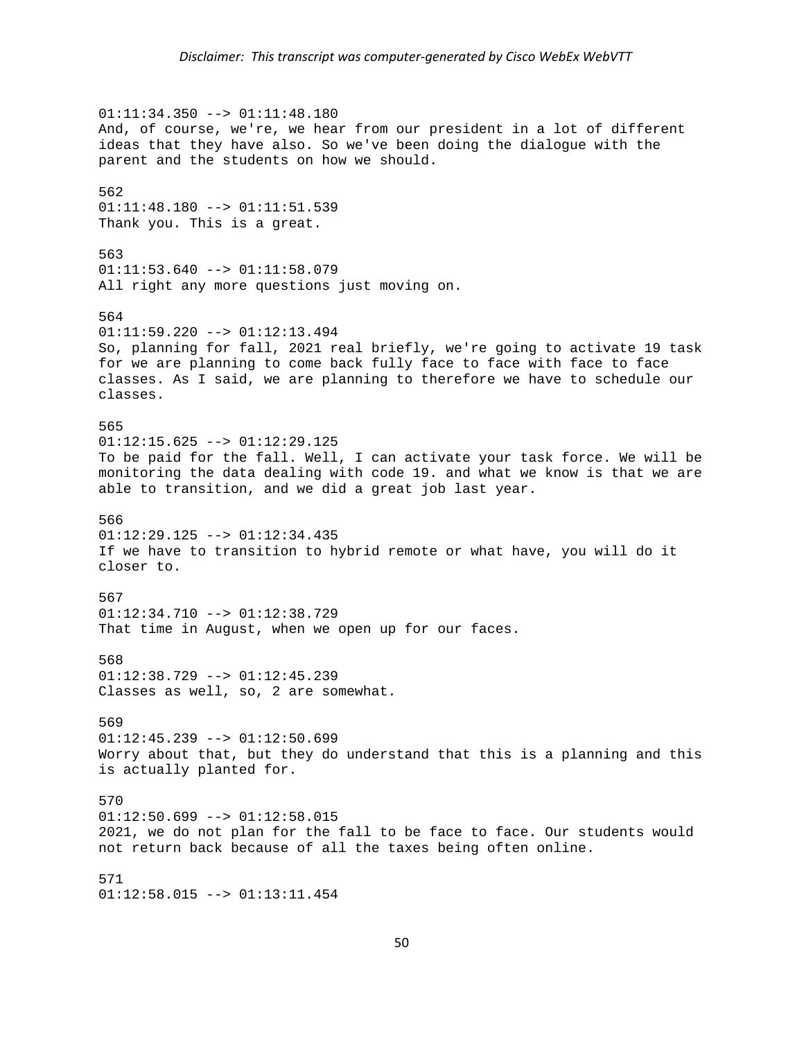01:11:34.350 --> 01:11:48.180 And, of course, we're, we hear from our president in a lot of different ideas that they have also. So we've been doing the dialogue with the parent and the students on how we should. 562 01:11:48.180 --> 01:11:51.539 Thank you. This is a great. 563  $01:11:53.640$  -->  $01:11:58.079$ All right any more questions just moving on. 564 01:11:59.220 --> 01:12:13.494 So, planning for fall, 2021 real briefly, we're going to activate 19 task for we are planning to come back fully face to face with face to face classes. As I said, we are planning to therefore we have to schedule our classes. 565 01:12:15.625 --> 01:12:29.125 To be paid for the fall. Well, I can activate your task force. We will be monitoring the data dealing with code 19. and what we know is that we are able to transition, and we did a great job last year. 566 01:12:29.125 --> 01:12:34.435 If we have to transition to hybrid remote or what have, you will do it closer to. 567  $01:12:34.710$  -->  $01:12:38.729$ That time in August, when we open up for our faces. 568  $01:12:38.729$  -->  $01:12:45.239$ Classes as well, so, 2 are somewhat. 569  $01:12:45.239$  -->  $01:12:50.699$ Worry about that, but they do understand that this is a planning and this is actually planted for. 570 01:12:50.699 --> 01:12:58.015 2021, we do not plan for the fall to be face to face. Our students would not return back because of all the taxes being often online. 571 01:12:58.015 --> 01:13:11.454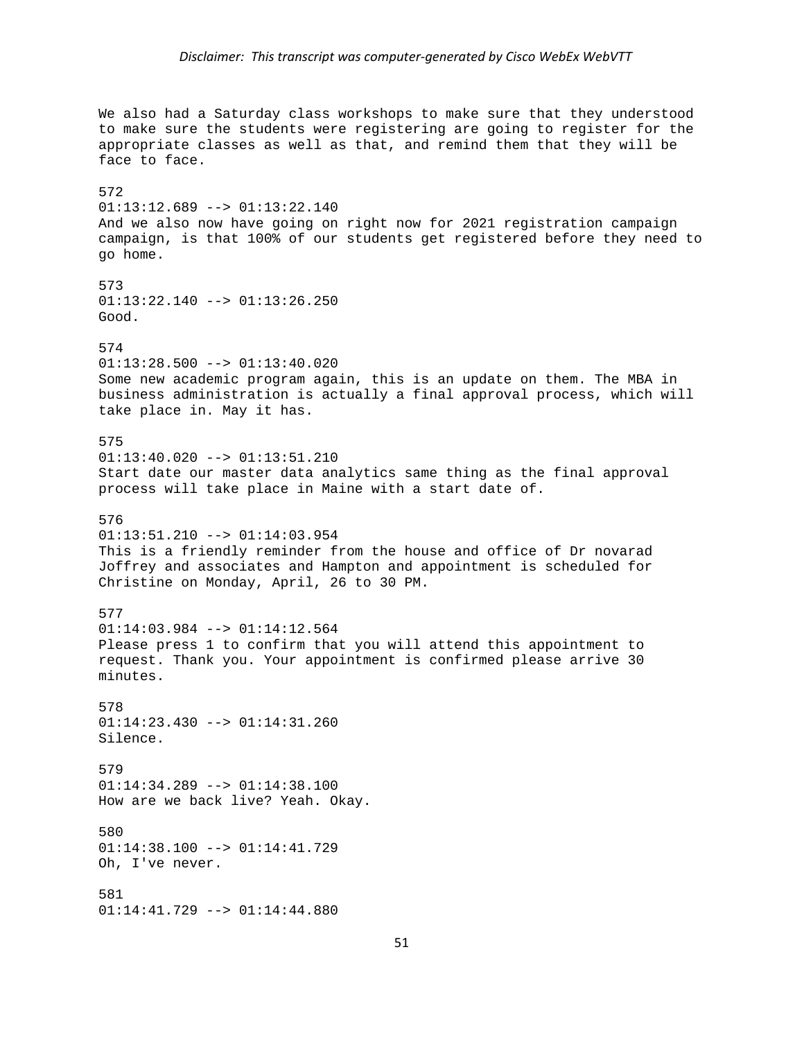We also had a Saturday class workshops to make sure that they understood to make sure the students were registering are going to register for the appropriate classes as well as that, and remind them that they will be face to face. 572 01:13:12.689 --> 01:13:22.140 And we also now have going on right now for 2021 registration campaign campaign, is that 100% of our students get registered before they need to go home. 573  $01:13:22.140$  -->  $01:13:26.250$ Good. 574  $01:13:28.500$  -->  $01:13:40.020$ Some new academic program again, this is an update on them. The MBA in business administration is actually a final approval process, which will take place in. May it has. 575  $01:13:40.020$  -->  $01:13:51.210$ Start date our master data analytics same thing as the final approval process will take place in Maine with a start date of. 576 01:13:51.210 --> 01:14:03.954 This is a friendly reminder from the house and office of Dr novarad Joffrey and associates and Hampton and appointment is scheduled for Christine on Monday, April, 26 to 30 PM. 577 01:14:03.984 --> 01:14:12.564 Please press 1 to confirm that you will attend this appointment to request. Thank you. Your appointment is confirmed please arrive 30 minutes. 578 01:14:23.430 --> 01:14:31.260 Silence. 579 01:14:34.289 --> 01:14:38.100 How are we back live? Yeah. Okay. 580 01:14:38.100 --> 01:14:41.729 Oh, I've never. 581 01:14:41.729 --> 01:14:44.880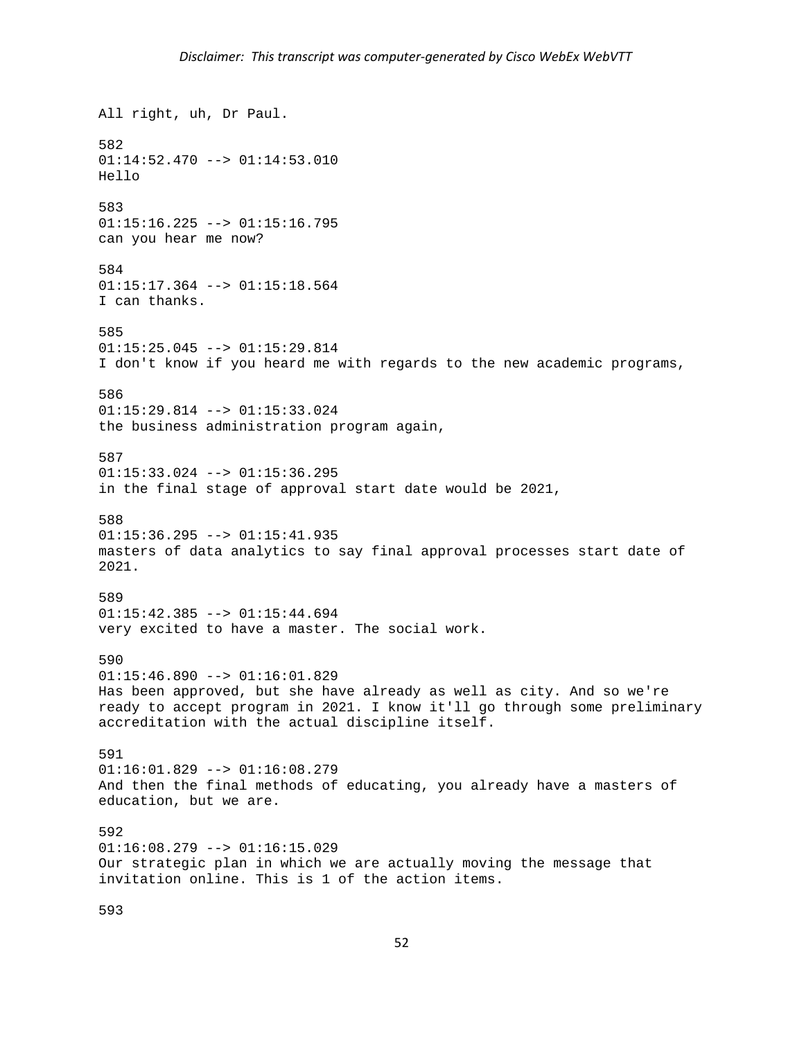All right, uh, Dr Paul. 582 01:14:52.470 --> 01:14:53.010 Hello 583 01:15:16.225 --> 01:15:16.795 can you hear me now? 584  $01:15:17.364$  -->  $01:15:18.564$ I can thanks. 585 01:15:25.045 --> 01:15:29.814 I don't know if you heard me with regards to the new academic programs, 586 01:15:29.814 --> 01:15:33.024 the business administration program again, 587 01:15:33.024 --> 01:15:36.295 in the final stage of approval start date would be 2021, 588  $01:15:36.295$  -->  $01:15:41.935$ masters of data analytics to say final approval processes start date of 2021. 589 01:15:42.385 --> 01:15:44.694 very excited to have a master. The social work. 590  $01:15:46.890$  -->  $01:16:01.829$ Has been approved, but she have already as well as city. And so we're ready to accept program in 2021. I know it'll go through some preliminary accreditation with the actual discipline itself. 591 01:16:01.829 --> 01:16:08.279 And then the final methods of educating, you already have a masters of education, but we are. 592  $01:16:08.279$  -->  $01:16:15.029$ Our strategic plan in which we are actually moving the message that invitation online. This is 1 of the action items.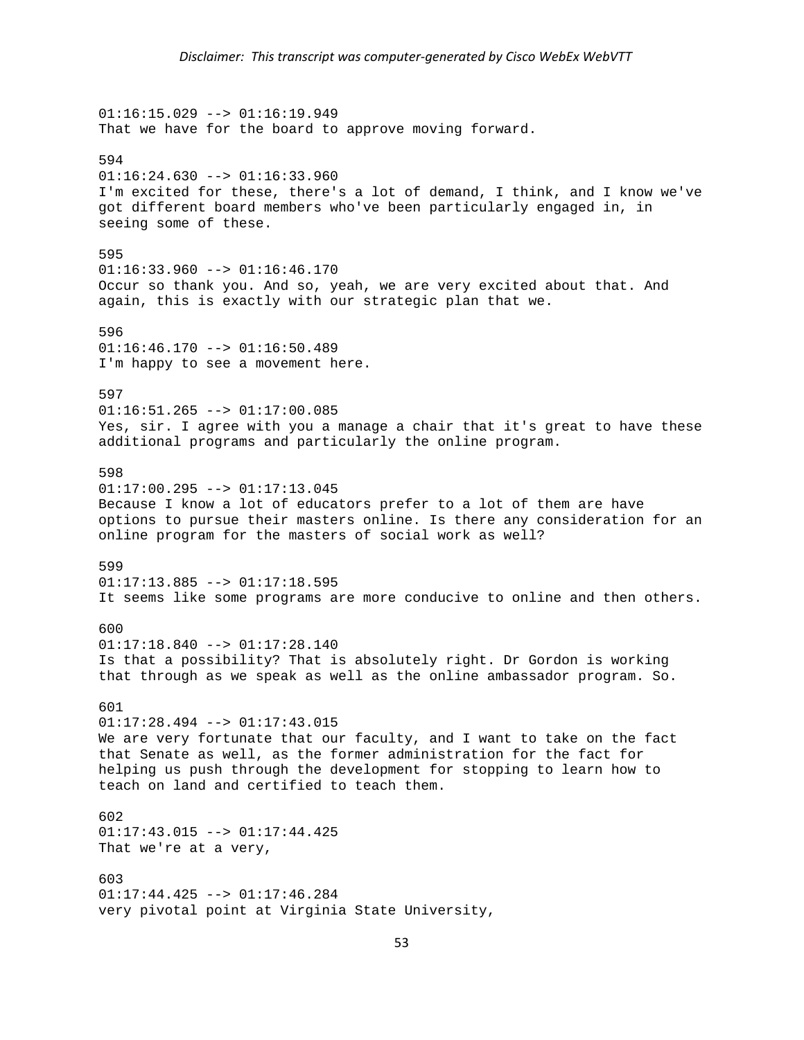$01:16:15.029$  -->  $01:16:19.949$ That we have for the board to approve moving forward. 594  $01:16:24.630$  -->  $01:16:33.960$ I'm excited for these, there's a lot of demand, I think, and I know we've got different board members who've been particularly engaged in, in seeing some of these. 595  $01:16:33.960$  -->  $01:16:46.170$ Occur so thank you. And so, yeah, we are very excited about that. And again, this is exactly with our strategic plan that we. 596 01:16:46.170 --> 01:16:50.489 I'm happy to see a movement here. 597  $01:16:51.265$  -->  $01:17:00.085$ Yes, sir. I agree with you a manage a chair that it's great to have these additional programs and particularly the online program. 598  $01:17:00.295$  -->  $01:17:13.045$ Because I know a lot of educators prefer to a lot of them are have options to pursue their masters online. Is there any consideration for an online program for the masters of social work as well? 599 01:17:13.885 --> 01:17:18.595 It seems like some programs are more conducive to online and then others.  $600$ 01:17:18.840 --> 01:17:28.140 Is that a possibility? That is absolutely right. Dr Gordon is working that through as we speak as well as the online ambassador program. So. 601  $01:17:28.494$  -->  $01:17:43.015$ We are very fortunate that our faculty, and I want to take on the fact that Senate as well, as the former administration for the fact for helping us push through the development for stopping to learn how to teach on land and certified to teach them. 602  $01:17:43.015$  -->  $01:17:44.425$ That we're at a very, 603 01:17:44.425 --> 01:17:46.284 very pivotal point at Virginia State University,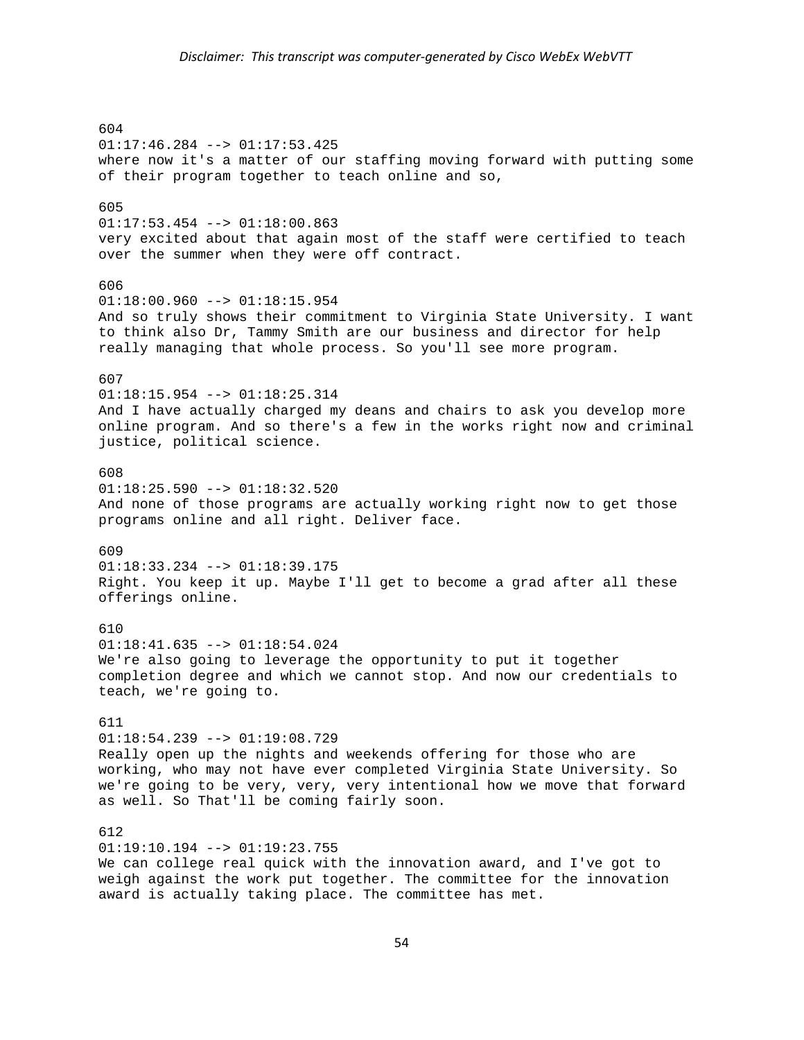604 01:17:46.284 --> 01:17:53.425 where now it's a matter of our staffing moving forward with putting some of their program together to teach online and so, 605 01:17:53.454 --> 01:18:00.863 very excited about that again most of the staff were certified to teach over the summer when they were off contract. 606  $01:18:00.960$  -->  $01:18:15.954$ And so truly shows their commitment to Virginia State University. I want to think also Dr, Tammy Smith are our business and director for help really managing that whole process. So you'll see more program. 607  $01:18:15.954$  -->  $01:18:25.314$ And I have actually charged my deans and chairs to ask you develop more online program. And so there's a few in the works right now and criminal justice, political science. 608  $01:18:25.590$  -->  $01:18:32.520$ And none of those programs are actually working right now to get those programs online and all right. Deliver face. 609 01:18:33.234 --> 01:18:39.175 Right. You keep it up. Maybe I'll get to become a grad after all these offerings online. 610 01:18:41.635 --> 01:18:54.024 We're also going to leverage the opportunity to put it together completion degree and which we cannot stop. And now our credentials to teach, we're going to. 611  $01:18:54.239$  -->  $01:19:08.729$ Really open up the nights and weekends offering for those who are working, who may not have ever completed Virginia State University. So we're going to be very, very, very intentional how we move that forward as well. So That'll be coming fairly soon. 612 01:19:10.194 --> 01:19:23.755 We can college real quick with the innovation award, and I've got to weigh against the work put together. The committee for the innovation award is actually taking place. The committee has met.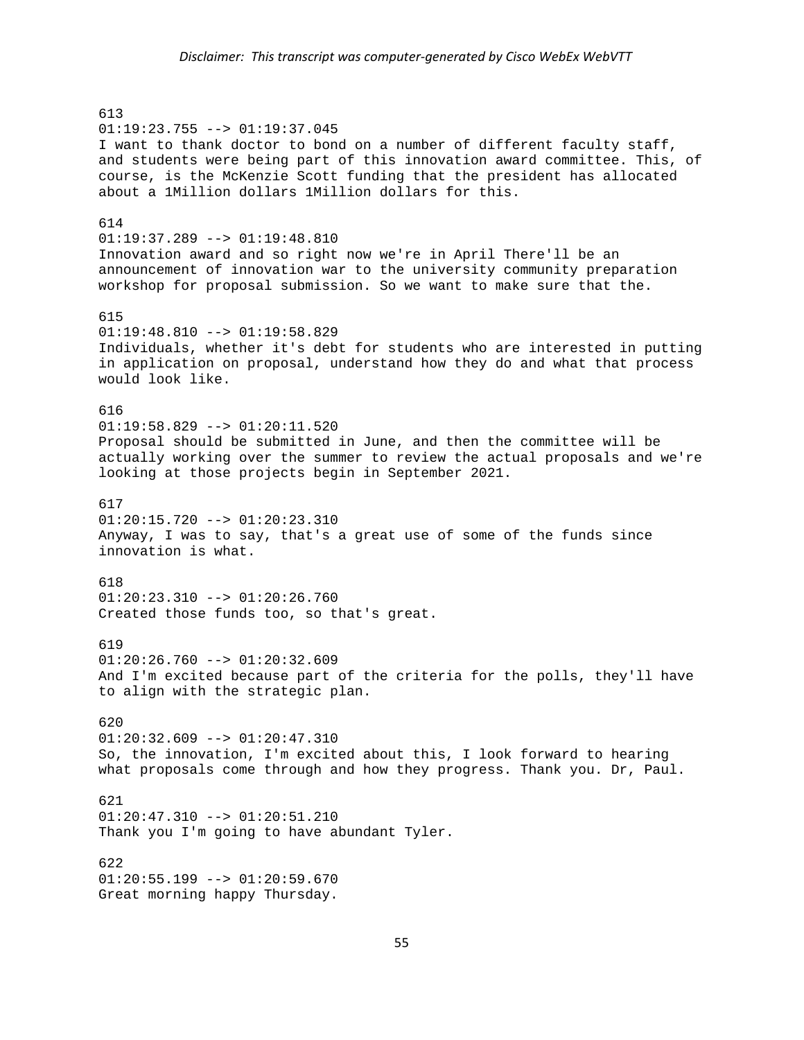613 01:19:23.755 --> 01:19:37.045 I want to thank doctor to bond on a number of different faculty staff, and students were being part of this innovation award committee. This, of course, is the McKenzie Scott funding that the president has allocated about a 1Million dollars 1Million dollars for this. 614 01:19:37.289 --> 01:19:48.810 Innovation award and so right now we're in April There'll be an announcement of innovation war to the university community preparation workshop for proposal submission. So we want to make sure that the. 615 01:19:48.810 --> 01:19:58.829 Individuals, whether it's debt for students who are interested in putting in application on proposal, understand how they do and what that process would look like. 616 01:19:58.829 --> 01:20:11.520 Proposal should be submitted in June, and then the committee will be actually working over the summer to review the actual proposals and we're looking at those projects begin in September 2021. 617  $01:20:15.720$  -->  $01:20:23.310$ Anyway, I was to say, that's a great use of some of the funds since innovation is what. 618 01:20:23.310 --> 01:20:26.760 Created those funds too, so that's great. 619  $01:20:26.760$  -->  $01:20:32.609$ And I'm excited because part of the criteria for the polls, they'll have to align with the strategic plan. 620  $01:20:32.609$  -->  $01:20:47.310$ So, the innovation, I'm excited about this, I look forward to hearing what proposals come through and how they progress. Thank you. Dr, Paul. 621 01:20:47.310 --> 01:20:51.210 Thank you I'm going to have abundant Tyler. 622 01:20:55.199 --> 01:20:59.670 Great morning happy Thursday.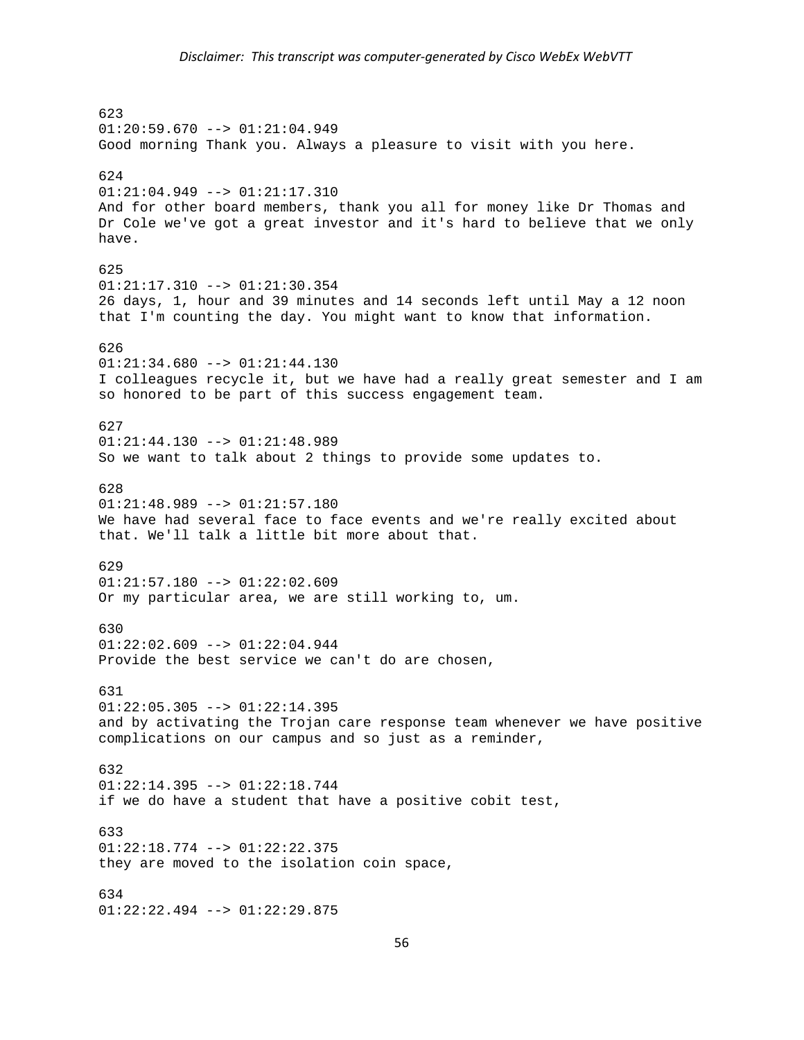623  $01:20:59.670$  -->  $01:21:04.949$ Good morning Thank you. Always a pleasure to visit with you here. 624 01:21:04.949 --> 01:21:17.310 And for other board members, thank you all for money like Dr Thomas and Dr Cole we've got a great investor and it's hard to believe that we only have. 625  $01:21:17.310$  -->  $01:21:30.354$ 26 days, 1, hour and 39 minutes and 14 seconds left until May a 12 noon that I'm counting the day. You might want to know that information. 626  $01:21:34.680$  -->  $01:21:44.130$ I colleagues recycle it, but we have had a really great semester and I am so honored to be part of this success engagement team. 627 01:21:44.130 --> 01:21:48.989 So we want to talk about 2 things to provide some updates to. 628  $01:21:48.989$  -->  $01:21:57.180$ We have had several face to face events and we're really excited about that. We'll talk a little bit more about that. 629 01:21:57.180 --> 01:22:02.609 Or my particular area, we are still working to, um. 630 01:22:02.609 --> 01:22:04.944 Provide the best service we can't do are chosen, 631  $01:22:05.305$  -->  $01:22:14.395$ and by activating the Trojan care response team whenever we have positive complications on our campus and so just as a reminder, 632 01:22:14.395 --> 01:22:18.744 if we do have a student that have a positive cobit test, 633 01:22:18.774 --> 01:22:22.375 they are moved to the isolation coin space, 634 01:22:22.494 --> 01:22:29.875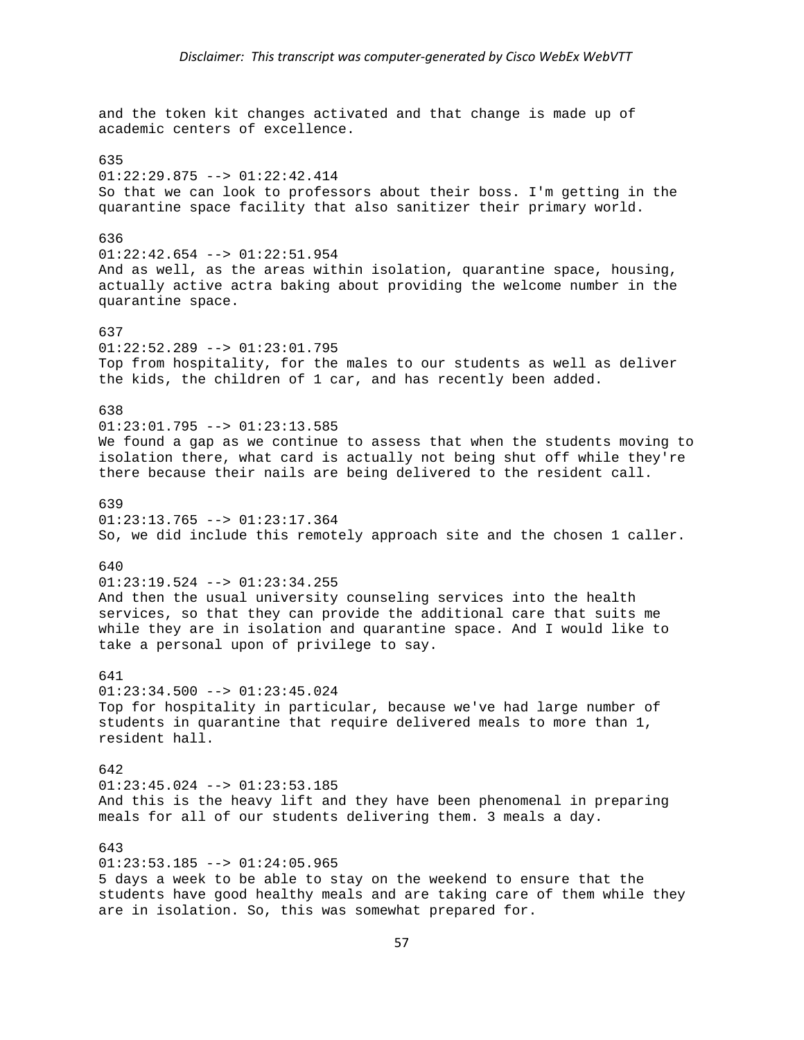and the token kit changes activated and that change is made up of academic centers of excellence. 635  $01:22:29.875$  -->  $01:22:42.414$ So that we can look to professors about their boss. I'm getting in the quarantine space facility that also sanitizer their primary world. 636 01:22:42.654 --> 01:22:51.954 And as well, as the areas within isolation, quarantine space, housing, actually active actra baking about providing the welcome number in the quarantine space. 637 01:22:52.289 --> 01:23:01.795 Top from hospitality, for the males to our students as well as deliver the kids, the children of 1 car, and has recently been added. 638 01:23:01.795 --> 01:23:13.585 We found a gap as we continue to assess that when the students moving to isolation there, what card is actually not being shut off while they're there because their nails are being delivered to the resident call. 639  $01:23:13.765$  -->  $01:23:17.364$ So, we did include this remotely approach site and the chosen 1 caller. 640  $01:23:19.524$  -->  $01:23:34.255$ And then the usual university counseling services into the health services, so that they can provide the additional care that suits me while they are in isolation and quarantine space. And I would like to take a personal upon of privilege to say. 641 01:23:34.500 --> 01:23:45.024 Top for hospitality in particular, because we've had large number of students in quarantine that require delivered meals to more than 1, resident hall. 642 01:23:45.024 --> 01:23:53.185 And this is the heavy lift and they have been phenomenal in preparing meals for all of our students delivering them. 3 meals a day. 643  $01:23:53.185$  -->  $01:24:05.965$ 5 days a week to be able to stay on the weekend to ensure that the students have good healthy meals and are taking care of them while they are in isolation. So, this was somewhat prepared for.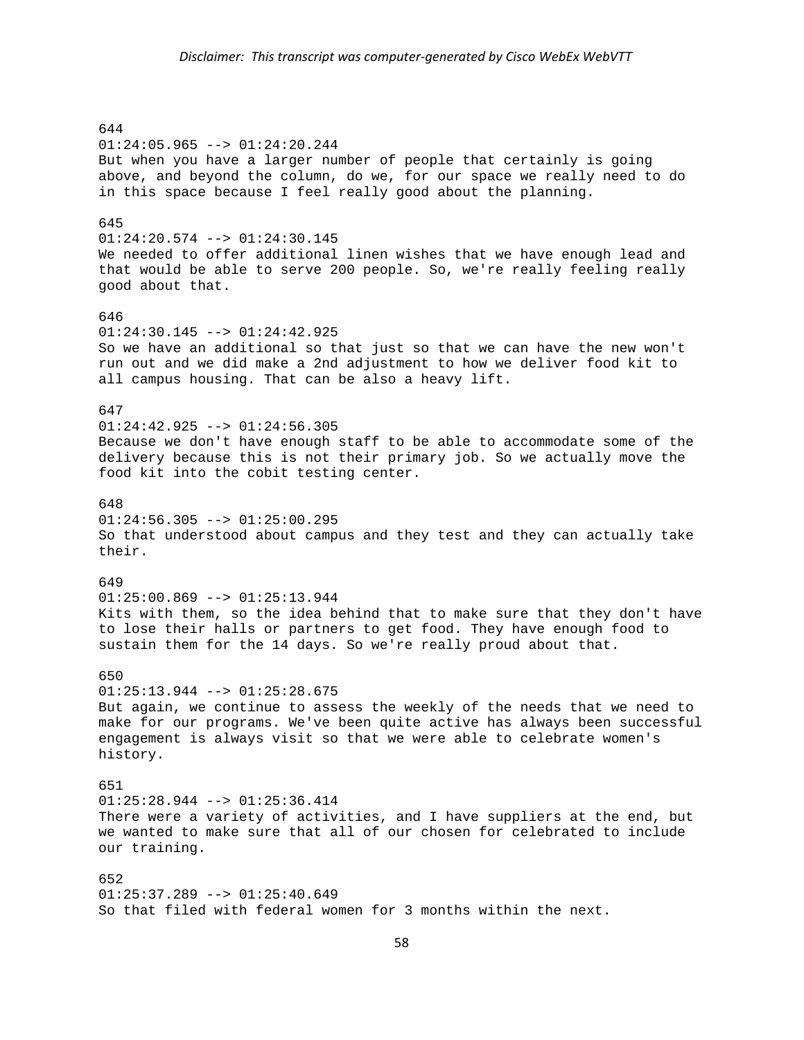644 01:24:05.965 --> 01:24:20.244 But when you have a larger number of people that certainly is going above, and beyond the column, do we, for our space we really need to do in this space because I feel really good about the planning. 645 01:24:20.574 --> 01:24:30.145 We needed to offer additional linen wishes that we have enough lead and that would be able to serve 200 people. So, we're really feeling really good about that. 646 01:24:30.145 --> 01:24:42.925 So we have an additional so that just so that we can have the new won't run out and we did make a 2nd adjustment to how we deliver food kit to all campus housing. That can be also a heavy lift. 647 01:24:42.925 --> 01:24:56.305 Because we don't have enough staff to be able to accommodate some of the delivery because this is not their primary job. So we actually move the food kit into the cobit testing center. 648  $01:24:56.305$  -->  $01:25:00.295$ So that understood about campus and they test and they can actually take their. 649 01:25:00.869 --> 01:25:13.944 Kits with them, so the idea behind that to make sure that they don't have to lose their halls or partners to get food. They have enough food to sustain them for the 14 days. So we're really proud about that. 650 01:25:13.944 --> 01:25:28.675 But again, we continue to assess the weekly of the needs that we need to make for our programs. We've been quite active has always been successful engagement is always visit so that we were able to celebrate women's history. 651 01:25:28.944 --> 01:25:36.414 There were a variety of activities, and I have suppliers at the end, but we wanted to make sure that all of our chosen for celebrated to include our training. 652  $01:25:37.289$  -->  $01:25:40.649$ So that filed with federal women for 3 months within the next.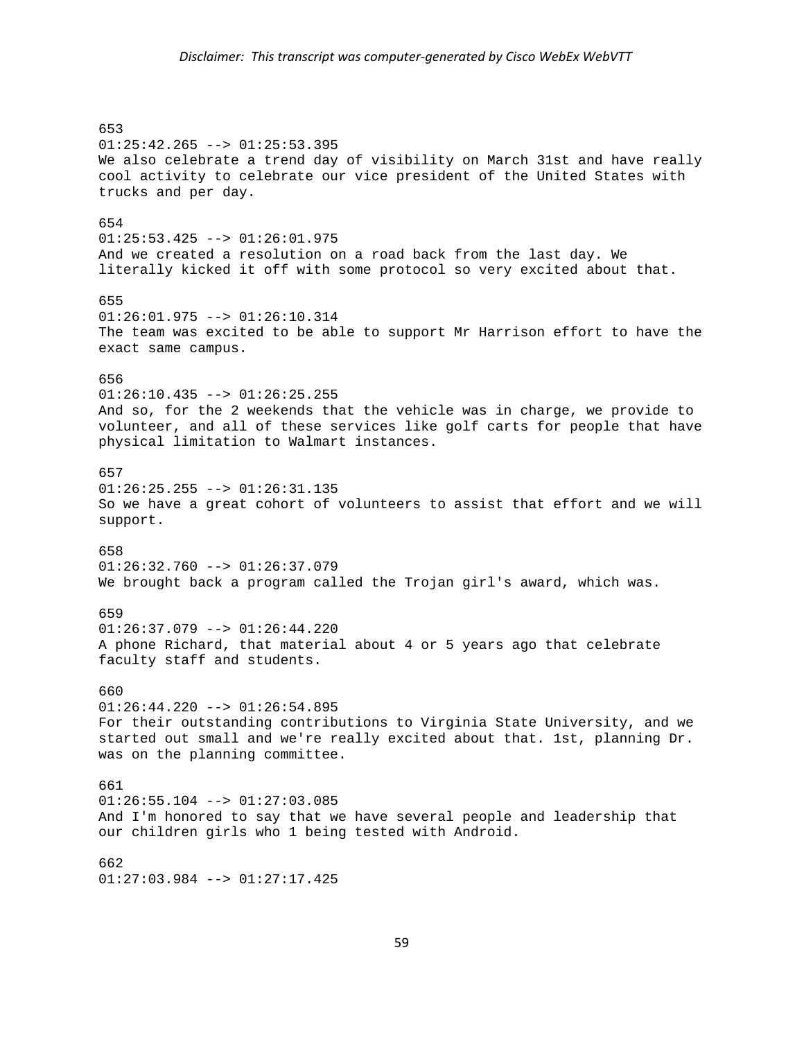## *Disclaimer: This transcript was computer‐generated by Cisco WebEx WebVTT*

653 01:25:42.265 --> 01:25:53.395 We also celebrate a trend day of visibility on March 31st and have really cool activity to celebrate our vice president of the United States with trucks and per day. 654 01:25:53.425 --> 01:26:01.975 And we created a resolution on a road back from the last day. We literally kicked it off with some protocol so very excited about that. 655 01:26:01.975 --> 01:26:10.314 The team was excited to be able to support Mr Harrison effort to have the exact same campus. 656  $01:26:10.435$  -->  $01:26:25.255$ And so, for the 2 weekends that the vehicle was in charge, we provide to volunteer, and all of these services like golf carts for people that have physical limitation to Walmart instances. 657  $01:26:25.255$  -->  $01:26:31.135$ So we have a great cohort of volunteers to assist that effort and we will support. 658  $01:26:32.760$  -->  $01:26:37.079$ We brought back a program called the Trojan girl's award, which was. 659  $01:26:37.079$  -->  $01:26:44.220$ A phone Richard, that material about 4 or 5 years ago that celebrate faculty staff and students. 660  $01:26:44.220$  -->  $01:26:54.895$ For their outstanding contributions to Virginia State University, and we started out small and we're really excited about that. 1st, planning Dr. was on the planning committee. 661 01:26:55.104 --> 01:27:03.085 And I'm honored to say that we have several people and leadership that our children girls who 1 being tested with Android. 662 01:27:03.984 --> 01:27:17.425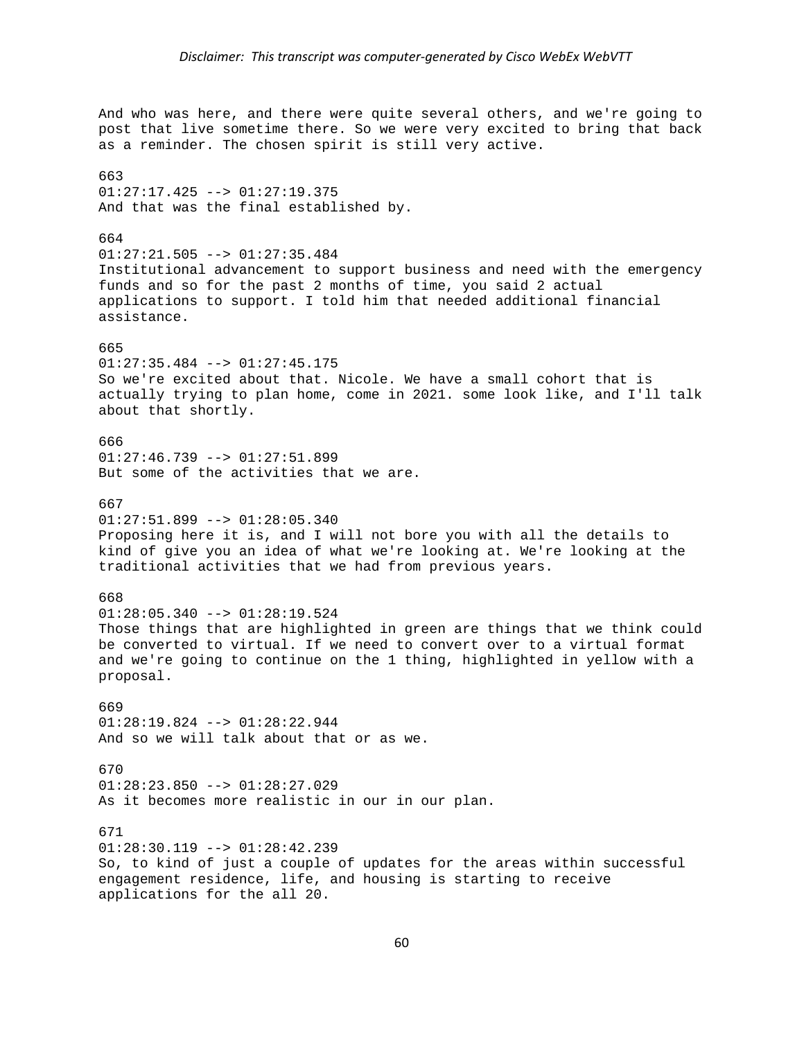And who was here, and there were quite several others, and we're going to post that live sometime there. So we were very excited to bring that back as a reminder. The chosen spirit is still very active. 663  $01:27:17.425$  -->  $01:27:19.375$ And that was the final established by. 664  $01:27:21.505$  -->  $01:27:35.484$ Institutional advancement to support business and need with the emergency funds and so for the past 2 months of time, you said 2 actual applications to support. I told him that needed additional financial assistance. 665  $01:27:35.484$  -->  $01:27:45.175$ So we're excited about that. Nicole. We have a small cohort that is actually trying to plan home, come in 2021. some look like, and I'll talk about that shortly. 666  $01:27:46.739$  -->  $01:27:51.899$ But some of the activities that we are. 667 01:27:51.899 --> 01:28:05.340 Proposing here it is, and I will not bore you with all the details to kind of give you an idea of what we're looking at. We're looking at the traditional activities that we had from previous years. 668  $01:28:05.340$  -->  $01:28:19.524$ Those things that are highlighted in green are things that we think could be converted to virtual. If we need to convert over to a virtual format and we're going to continue on the 1 thing, highlighted in yellow with a proposal. 669 01:28:19.824 --> 01:28:22.944 And so we will talk about that or as we. 670 01:28:23.850 --> 01:28:27.029 As it becomes more realistic in our in our plan. 671  $01:28:30.119$  -->  $01:28:42.239$ So, to kind of just a couple of updates for the areas within successful engagement residence, life, and housing is starting to receive applications for the all 20.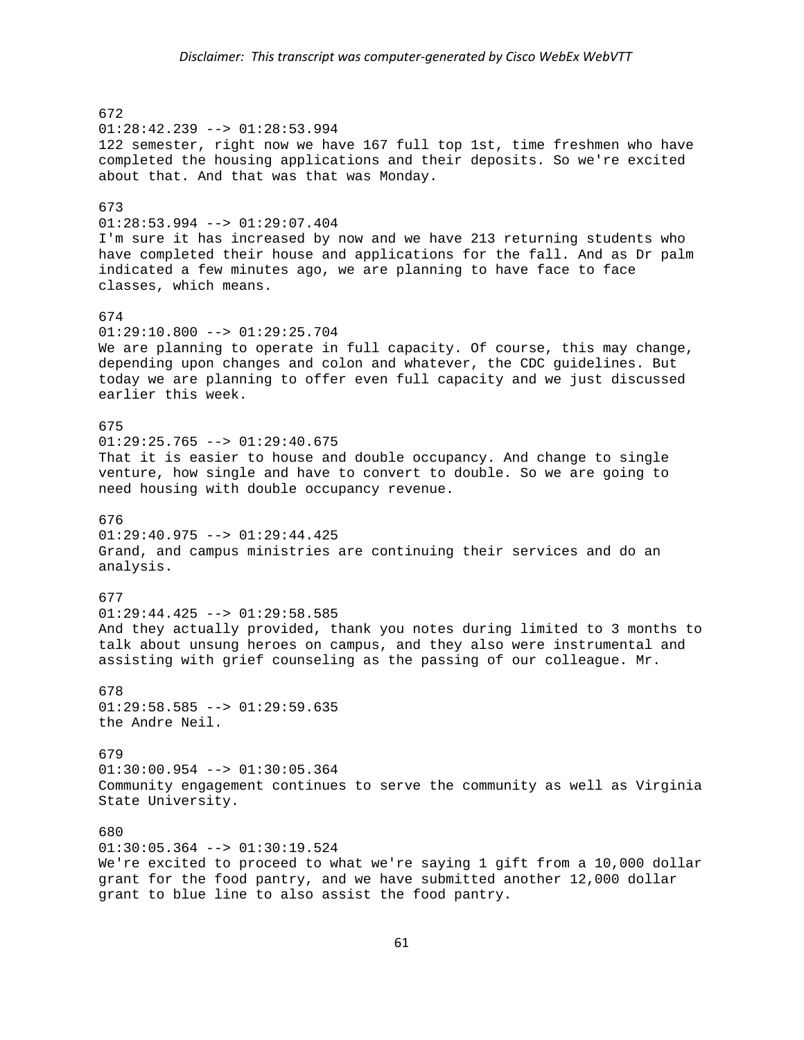672 01:28:42.239 --> 01:28:53.994 122 semester, right now we have 167 full top 1st, time freshmen who have completed the housing applications and their deposits. So we're excited about that. And that was that was Monday. 673 01:28:53.994 --> 01:29:07.404 I'm sure it has increased by now and we have 213 returning students who have completed their house and applications for the fall. And as Dr palm indicated a few minutes ago, we are planning to have face to face classes, which means. 674 01:29:10.800 --> 01:29:25.704 We are planning to operate in full capacity. Of course, this may change, depending upon changes and colon and whatever, the CDC guidelines. But today we are planning to offer even full capacity and we just discussed earlier this week. 675  $01:29:25.765$  -->  $01:29:40.675$ That it is easier to house and double occupancy. And change to single venture, how single and have to convert to double. So we are going to need housing with double occupancy revenue. 676 01:29:40.975 --> 01:29:44.425 Grand, and campus ministries are continuing their services and do an analysis. 677  $01:29:44.425$  -->  $01:29:58.585$ And they actually provided, thank you notes during limited to 3 months to talk about unsung heroes on campus, and they also were instrumental and assisting with grief counseling as the passing of our colleague. Mr. 678  $01:29:58.585$  -->  $01:29:59.635$ the Andre Neil. 679  $01:30:00.954$  -->  $01:30:05.364$ Community engagement continues to serve the community as well as Virginia State University. 680 01:30:05.364 --> 01:30:19.524 We're excited to proceed to what we're saying 1 gift from a 10,000 dollar grant for the food pantry, and we have submitted another 12,000 dollar grant to blue line to also assist the food pantry.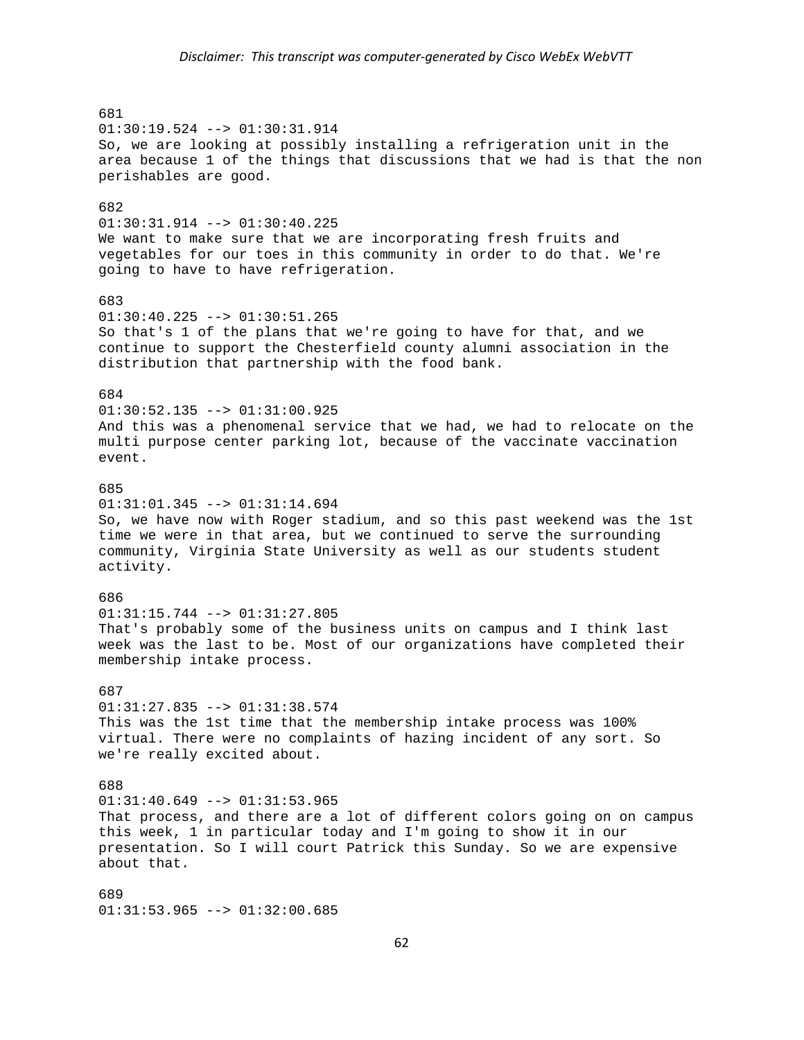681 01:30:19.524 --> 01:30:31.914 So, we are looking at possibly installing a refrigeration unit in the area because 1 of the things that discussions that we had is that the non perishables are good. 682 01:30:31.914 --> 01:30:40.225 We want to make sure that we are incorporating fresh fruits and vegetables for our toes in this community in order to do that. We're going to have to have refrigeration. 683 01:30:40.225 --> 01:30:51.265 So that's 1 of the plans that we're going to have for that, and we continue to support the Chesterfield county alumni association in the distribution that partnership with the food bank. 684  $01:30:52.135$  -->  $01:31:00.925$ And this was a phenomenal service that we had, we had to relocate on the multi purpose center parking lot, because of the vaccinate vaccination event. 685  $01:31:01.345$  -->  $01:31:14.694$ So, we have now with Roger stadium, and so this past weekend was the 1st time we were in that area, but we continued to serve the surrounding community, Virginia State University as well as our students student activity. 686 01:31:15.744 --> 01:31:27.805 That's probably some of the business units on campus and I think last week was the last to be. Most of our organizations have completed their membership intake process. 687 01:31:27.835 --> 01:31:38.574 This was the 1st time that the membership intake process was 100% virtual. There were no complaints of hazing incident of any sort. So we're really excited about. 688 01:31:40.649 --> 01:31:53.965 That process, and there are a lot of different colors going on on campus this week, 1 in particular today and I'm going to show it in our presentation. So I will court Patrick this Sunday. So we are expensive about that. 689 01:31:53.965 --> 01:32:00.685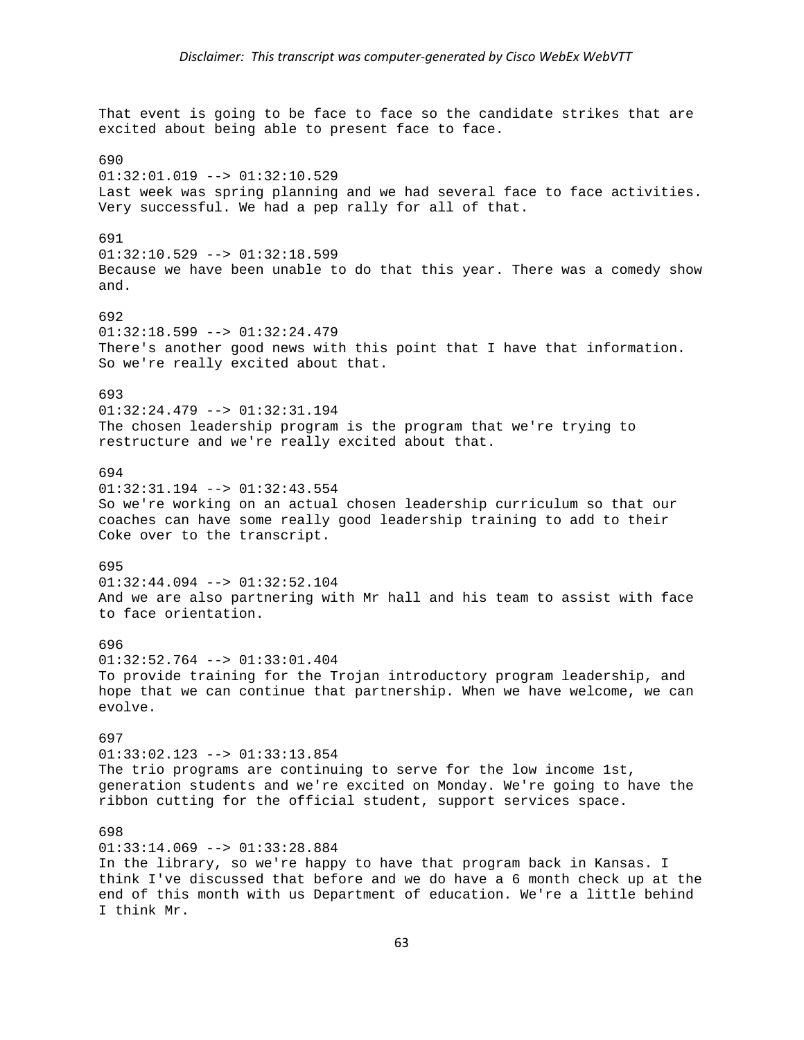That event is going to be face to face so the candidate strikes that are excited about being able to present face to face. 690  $01:32:01.019$  -->  $01:32:10.529$ Last week was spring planning and we had several face to face activities. Very successful. We had a pep rally for all of that. 691  $01:32:10.529$  -->  $01:32:18.599$ Because we have been unable to do that this year. There was a comedy show and. 692 01:32:18.599 --> 01:32:24.479 There's another good news with this point that I have that information. So we're really excited about that. 693 01:32:24.479 --> 01:32:31.194 The chosen leadership program is the program that we're trying to restructure and we're really excited about that. 694 01:32:31.194 --> 01:32:43.554 So we're working on an actual chosen leadership curriculum so that our coaches can have some really good leadership training to add to their Coke over to the transcript. 695 01:32:44.094 --> 01:32:52.104 And we are also partnering with Mr hall and his team to assist with face to face orientation. 696 01:32:52.764 --> 01:33:01.404 To provide training for the Trojan introductory program leadership, and hope that we can continue that partnership. When we have welcome, we can evolve. 697 01:33:02.123 --> 01:33:13.854 The trio programs are continuing to serve for the low income 1st, generation students and we're excited on Monday. We're going to have the ribbon cutting for the official student, support services space. 698  $01:33:14.069$  -->  $01:33:28.884$ In the library, so we're happy to have that program back in Kansas. I think I've discussed that before and we do have a 6 month check up at the end of this month with us Department of education. We're a little behind

I think Mr.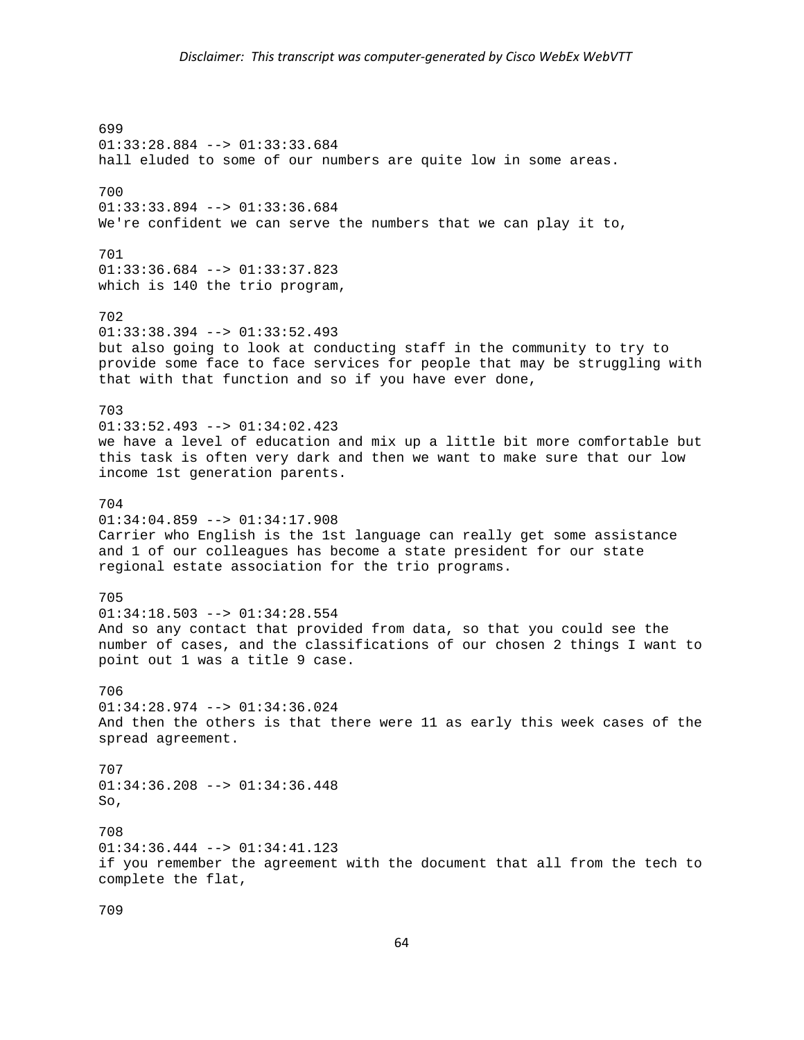699 01:33:28.884 --> 01:33:33.684 hall eluded to some of our numbers are quite low in some areas. 700 01:33:33.894 --> 01:33:36.684 We're confident we can serve the numbers that we can play it to, 701 01:33:36.684 --> 01:33:37.823 which is 140 the trio program, 702 01:33:38.394 --> 01:33:52.493 but also going to look at conducting staff in the community to try to provide some face to face services for people that may be struggling with that with that function and so if you have ever done, 703 01:33:52.493 --> 01:34:02.423 we have a level of education and mix up a little bit more comfortable but this task is often very dark and then we want to make sure that our low income 1st generation parents. 704 01:34:04.859 --> 01:34:17.908 Carrier who English is the 1st language can really get some assistance and 1 of our colleagues has become a state president for our state regional estate association for the trio programs. 705  $01:34:18.503$  -->  $01:34:28.554$ And so any contact that provided from data, so that you could see the number of cases, and the classifications of our chosen 2 things I want to point out 1 was a title 9 case. 706 01:34:28.974 --> 01:34:36.024 And then the others is that there were 11 as early this week cases of the spread agreement. 707 01:34:36.208 --> 01:34:36.448 So, 708 01:34:36.444 --> 01:34:41.123 if you remember the agreement with the document that all from the tech to complete the flat,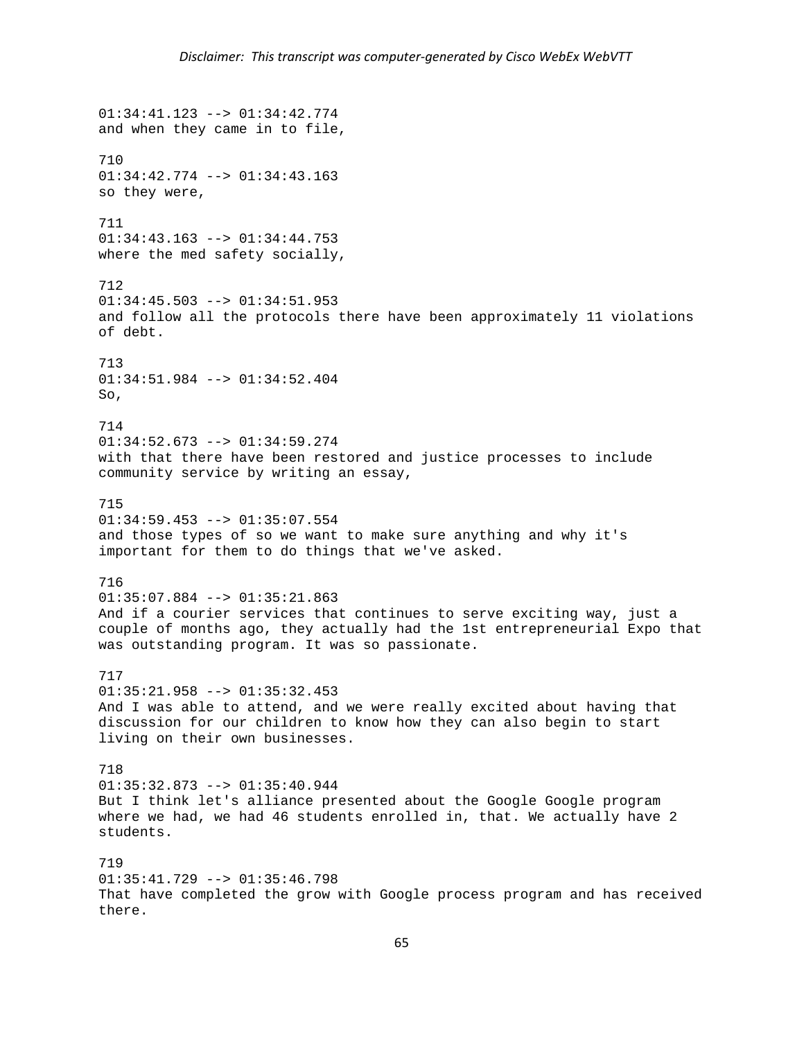01:34:41.123 --> 01:34:42.774 and when they came in to file, 710 01:34:42.774 --> 01:34:43.163 so they were, 711 01:34:43.163 --> 01:34:44.753 where the med safety socially, 712 01:34:45.503 --> 01:34:51.953 and follow all the protocols there have been approximately 11 violations of debt. 713 01:34:51.984 --> 01:34:52.404 So, 714 01:34:52.673 --> 01:34:59.274 with that there have been restored and justice processes to include community service by writing an essay, 715 01:34:59.453 --> 01:35:07.554 and those types of so we want to make sure anything and why it's important for them to do things that we've asked. 716 01:35:07.884 --> 01:35:21.863 And if a courier services that continues to serve exciting way, just a couple of months ago, they actually had the 1st entrepreneurial Expo that was outstanding program. It was so passionate. 717 01:35:21.958 --> 01:35:32.453 And I was able to attend, and we were really excited about having that discussion for our children to know how they can also begin to start living on their own businesses. 718 01:35:32.873 --> 01:35:40.944 But I think let's alliance presented about the Google Google program where we had, we had 46 students enrolled in, that. We actually have 2 students. 719 01:35:41.729 --> 01:35:46.798 That have completed the grow with Google process program and has received there.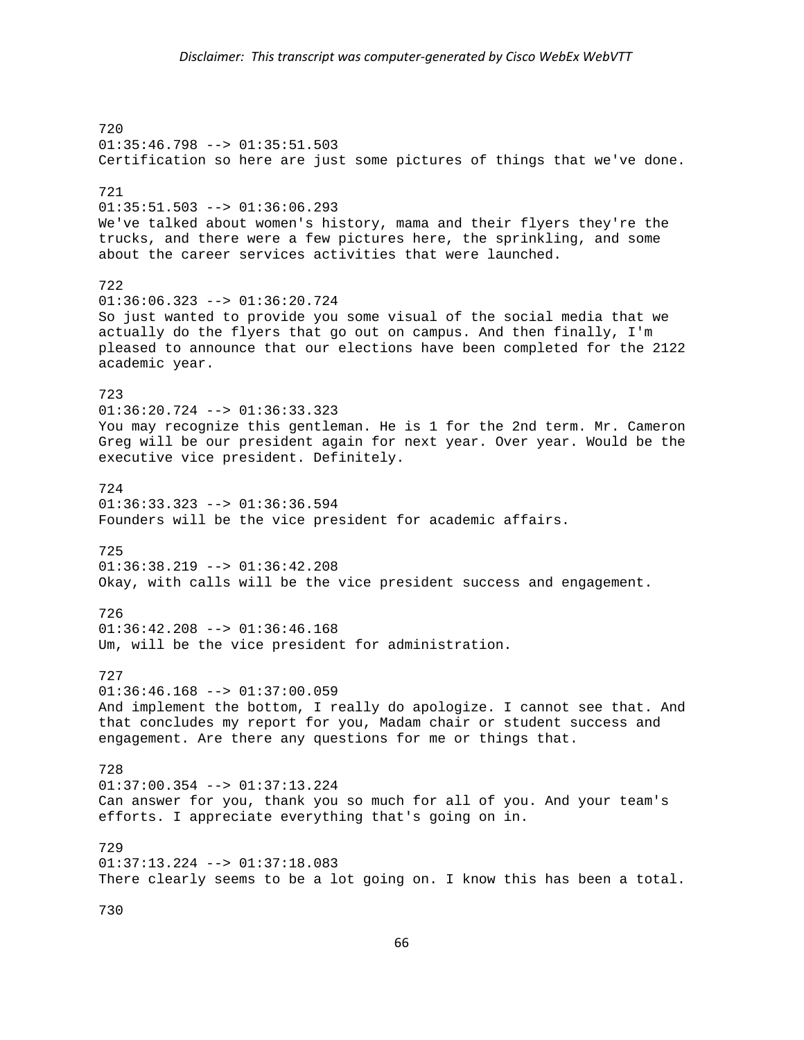720 01:35:46.798 --> 01:35:51.503 Certification so here are just some pictures of things that we've done. 721 01:35:51.503 --> 01:36:06.293 We've talked about women's history, mama and their flyers they're the trucks, and there were a few pictures here, the sprinkling, and some about the career services activities that were launched. 722 01:36:06.323 --> 01:36:20.724 So just wanted to provide you some visual of the social media that we actually do the flyers that go out on campus. And then finally, I'm pleased to announce that our elections have been completed for the 2122 academic year. 723 01:36:20.724 --> 01:36:33.323 You may recognize this gentleman. He is 1 for the 2nd term. Mr. Cameron Greg will be our president again for next year. Over year. Would be the executive vice president. Definitely. 724 01:36:33.323 --> 01:36:36.594 Founders will be the vice president for academic affairs. 725  $01:36:38.219$  -->  $01:36:42.208$ Okay, with calls will be the vice president success and engagement. 726 01:36:42.208 --> 01:36:46.168 Um, will be the vice president for administration. 727  $01:36:46.168$  -->  $01:37:00.059$ And implement the bottom, I really do apologize. I cannot see that. And that concludes my report for you, Madam chair or student success and engagement. Are there any questions for me or things that. 728 01:37:00.354 --> 01:37:13.224 Can answer for you, thank you so much for all of you. And your team's efforts. I appreciate everything that's going on in. 729  $01:37:13.224$  -->  $01:37:18.083$ There clearly seems to be a lot going on. I know this has been a total. 730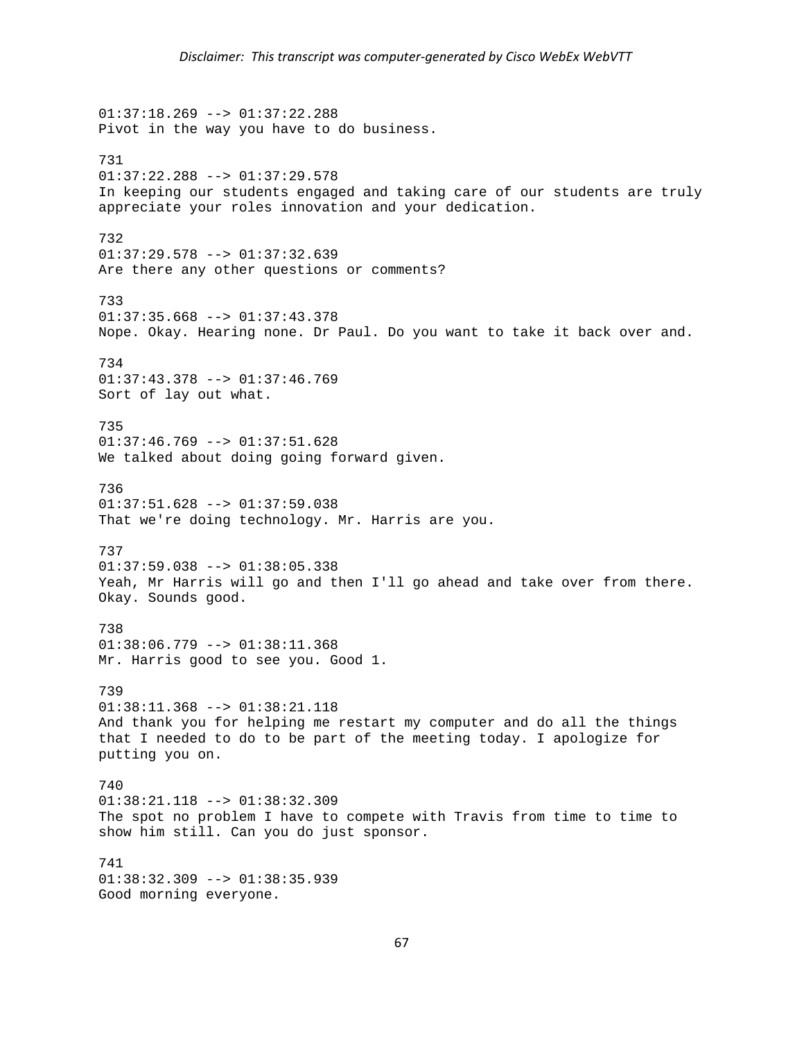01:37:18.269 --> 01:37:22.288 Pivot in the way you have to do business. 731  $01:37:22.288$  -->  $01:37:29.578$ In keeping our students engaged and taking care of our students are truly appreciate your roles innovation and your dedication. 732 01:37:29.578 --> 01:37:32.639 Are there any other questions or comments? 733  $01:37:35.668$  -->  $01:37:43.378$ Nope. Okay. Hearing none. Dr Paul. Do you want to take it back over and. 734 01:37:43.378 --> 01:37:46.769 Sort of lay out what. 735 01:37:46.769 --> 01:37:51.628 We talked about doing going forward given. 736  $01:37:51.628$  -->  $01:37:59.038$ That we're doing technology. Mr. Harris are you. 737 01:37:59.038 --> 01:38:05.338 Yeah, Mr Harris will go and then I'll go ahead and take over from there. Okay. Sounds good. 738 01:38:06.779 --> 01:38:11.368 Mr. Harris good to see you. Good 1. 739 01:38:11.368 --> 01:38:21.118 And thank you for helping me restart my computer and do all the things that I needed to do to be part of the meeting today. I apologize for putting you on. 740 01:38:21.118 --> 01:38:32.309 The spot no problem I have to compete with Travis from time to time to show him still. Can you do just sponsor. 741 01:38:32.309 --> 01:38:35.939 Good morning everyone.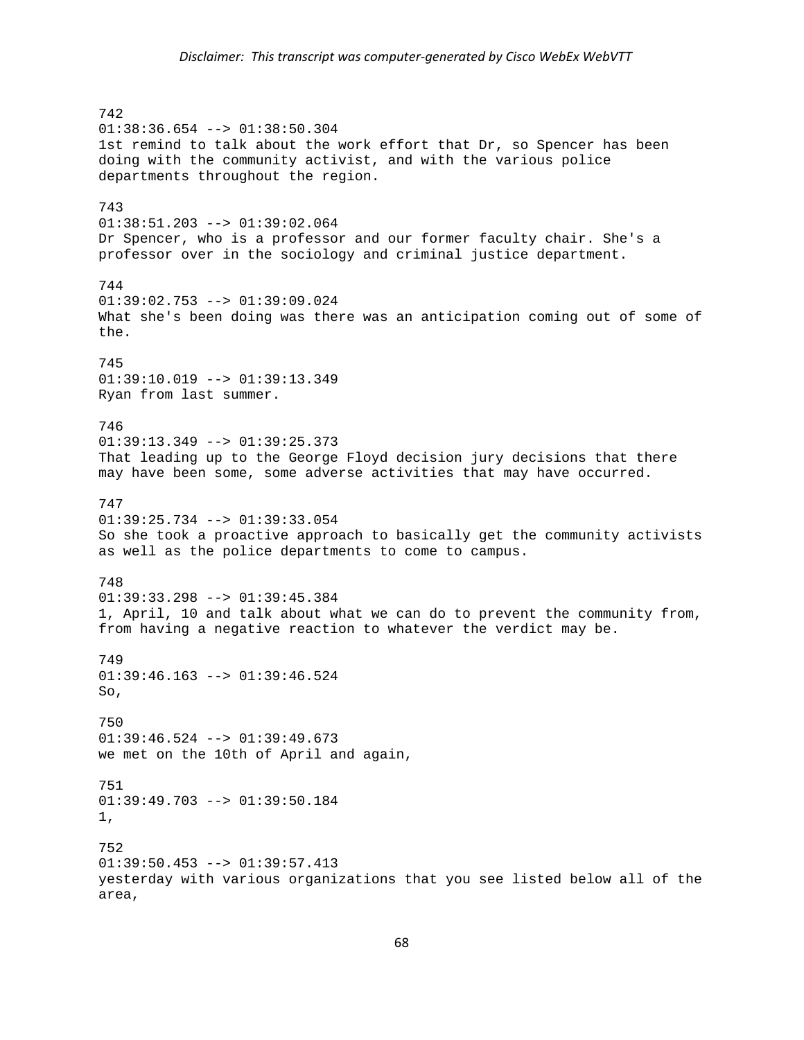742 01:38:36.654 --> 01:38:50.304 1st remind to talk about the work effort that Dr, so Spencer has been doing with the community activist, and with the various police departments throughout the region. 743 01:38:51.203 --> 01:39:02.064 Dr Spencer, who is a professor and our former faculty chair. She's a professor over in the sociology and criminal justice department. 744 01:39:02.753 --> 01:39:09.024 What she's been doing was there was an anticipation coming out of some of the. 745 01:39:10.019 --> 01:39:13.349 Ryan from last summer. 746 01:39:13.349 --> 01:39:25.373 That leading up to the George Floyd decision jury decisions that there may have been some, some adverse activities that may have occurred. 747 01:39:25.734 --> 01:39:33.054 So she took a proactive approach to basically get the community activists as well as the police departments to come to campus. 748 01:39:33.298 --> 01:39:45.384 1, April, 10 and talk about what we can do to prevent the community from, from having a negative reaction to whatever the verdict may be. 749 01:39:46.163 --> 01:39:46.524 So, 750  $01:39:46.524$  -->  $01:39:49.673$ we met on the 10th of April and again, 751 01:39:49.703 --> 01:39:50.184 1, 752  $01:39:50.453$  -->  $01:39:57.413$ yesterday with various organizations that you see listed below all of the area,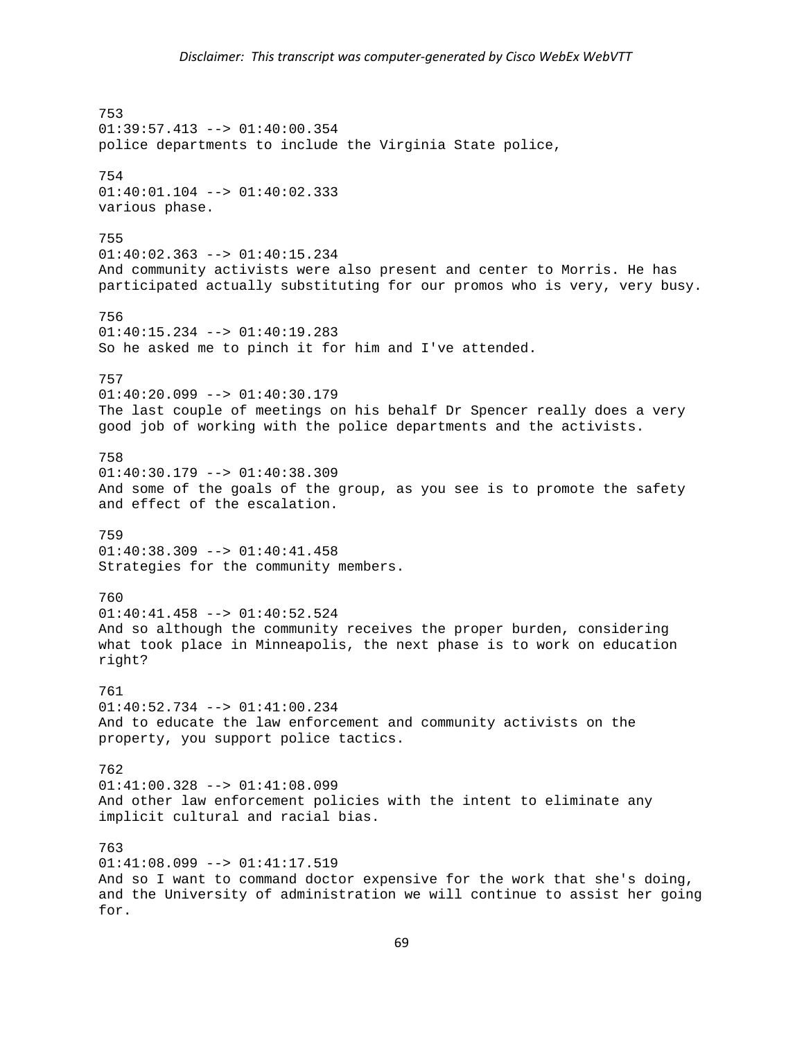753 01:39:57.413 --> 01:40:00.354 police departments to include the Virginia State police, 754 01:40:01.104 --> 01:40:02.333 various phase. 755 01:40:02.363 --> 01:40:15.234 And community activists were also present and center to Morris. He has participated actually substituting for our promos who is very, very busy. 756 01:40:15.234 --> 01:40:19.283 So he asked me to pinch it for him and I've attended. 757  $01:40:20.099$  -->  $01:40:30.179$ The last couple of meetings on his behalf Dr Spencer really does a very good job of working with the police departments and the activists. 758 01:40:30.179 --> 01:40:38.309 And some of the goals of the group, as you see is to promote the safety and effect of the escalation. 759  $01:40:38.309$  -->  $01:40:41.458$ Strategies for the community members. 760 01:40:41.458 --> 01:40:52.524 And so although the community receives the proper burden, considering what took place in Minneapolis, the next phase is to work on education right? 761 01:40:52.734 --> 01:41:00.234 And to educate the law enforcement and community activists on the property, you support police tactics. 762 01:41:00.328 --> 01:41:08.099 And other law enforcement policies with the intent to eliminate any implicit cultural and racial bias. 763  $01:41:08.099$  -->  $01:41:17.519$ And so I want to command doctor expensive for the work that she's doing, and the University of administration we will continue to assist her going for.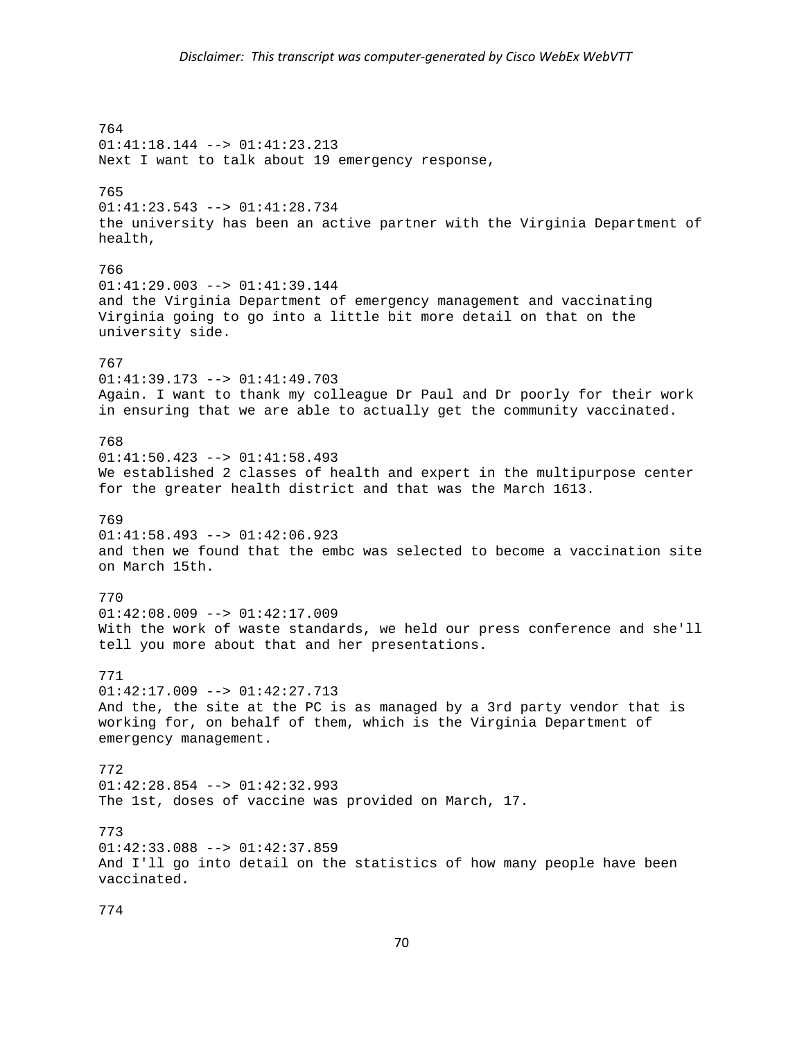764 01:41:18.144 --> 01:41:23.213 Next I want to talk about 19 emergency response, 765  $01:41:23.543$  -->  $01:41:28.734$ the university has been an active partner with the Virginia Department of health, 766  $01:41:29.003$  -->  $01:41:39.144$ and the Virginia Department of emergency management and vaccinating Virginia going to go into a little bit more detail on that on the university side. 767 01:41:39.173 --> 01:41:49.703 Again. I want to thank my colleague Dr Paul and Dr poorly for their work in ensuring that we are able to actually get the community vaccinated. 768  $01:41:50.423$  -->  $01:41:58.493$ We established 2 classes of health and expert in the multipurpose center for the greater health district and that was the March 1613. 769 01:41:58.493 --> 01:42:06.923 and then we found that the embc was selected to become a vaccination site on March 15th. 770  $01:42:08.009$  -->  $01:42:17.009$ With the work of waste standards, we held our press conference and she'll tell you more about that and her presentations. 771 01:42:17.009 --> 01:42:27.713 And the, the site at the PC is as managed by a 3rd party vendor that is working for, on behalf of them, which is the Virginia Department of emergency management. 772 01:42:28.854 --> 01:42:32.993 The 1st, doses of vaccine was provided on March, 17. 773  $01:42:33.088$  -->  $01:42:37.859$ And I'll go into detail on the statistics of how many people have been vaccinated. 774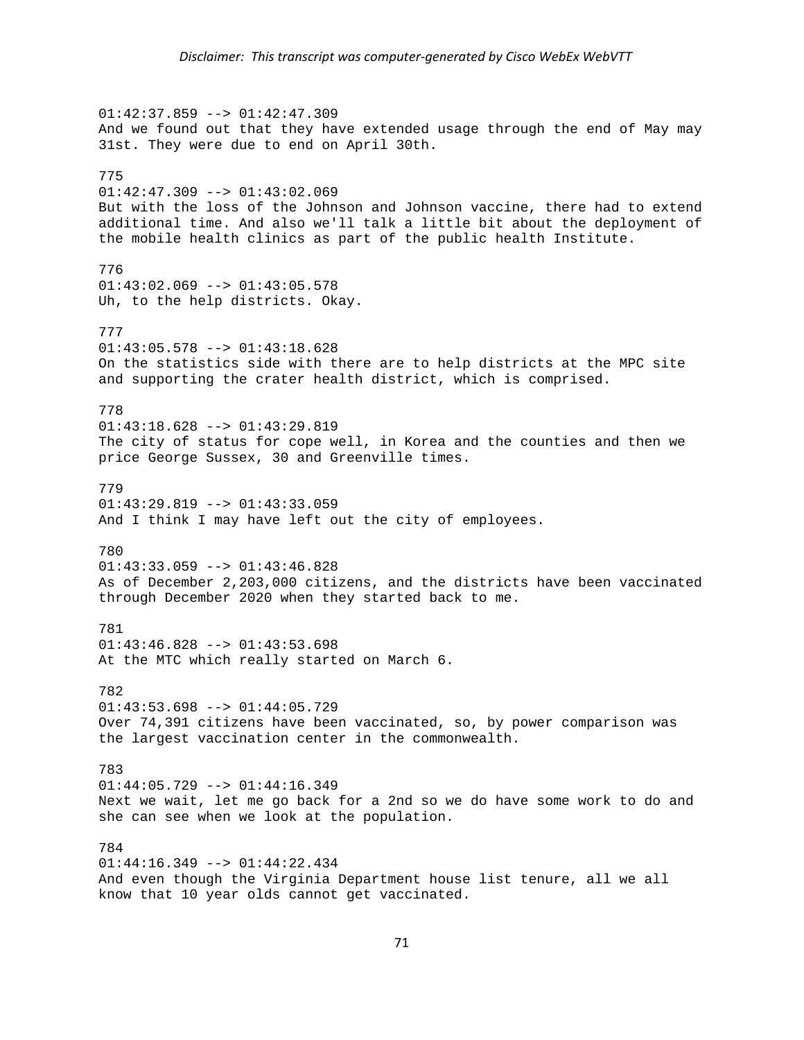01:42:37.859 --> 01:42:47.309 And we found out that they have extended usage through the end of May may 31st. They were due to end on April 30th. 775  $01:42:47.309$  -->  $01:43:02.069$ But with the loss of the Johnson and Johnson vaccine, there had to extend additional time. And also we'll talk a little bit about the deployment of the mobile health clinics as part of the public health Institute. 776  $01:43:02.069$  -->  $01:43:05.578$ Uh, to the help districts. Okay. 777 01:43:05.578 --> 01:43:18.628 On the statistics side with there are to help districts at the MPC site and supporting the crater health district, which is comprised. 778 01:43:18.628 --> 01:43:29.819 The city of status for cope well, in Korea and the counties and then we price George Sussex, 30 and Greenville times. 779  $01:43:29.819$  -->  $01:43:33.059$ And I think I may have left out the city of employees. 780 01:43:33.059 --> 01:43:46.828 As of December 2,203,000 citizens, and the districts have been vaccinated through December 2020 when they started back to me. 781  $01:43:46.828$  -->  $01:43:53.698$ At the MTC which really started on March 6. 782  $01:43:53.698$  -->  $01:44:05.729$ Over 74,391 citizens have been vaccinated, so, by power comparison was the largest vaccination center in the commonwealth. 783 01:44:05.729 --> 01:44:16.349 Next we wait, let me go back for a 2nd so we do have some work to do and she can see when we look at the population. 784  $01:44:16.349$  -->  $01:44:22.434$ And even though the Virginia Department house list tenure, all we all know that 10 year olds cannot get vaccinated.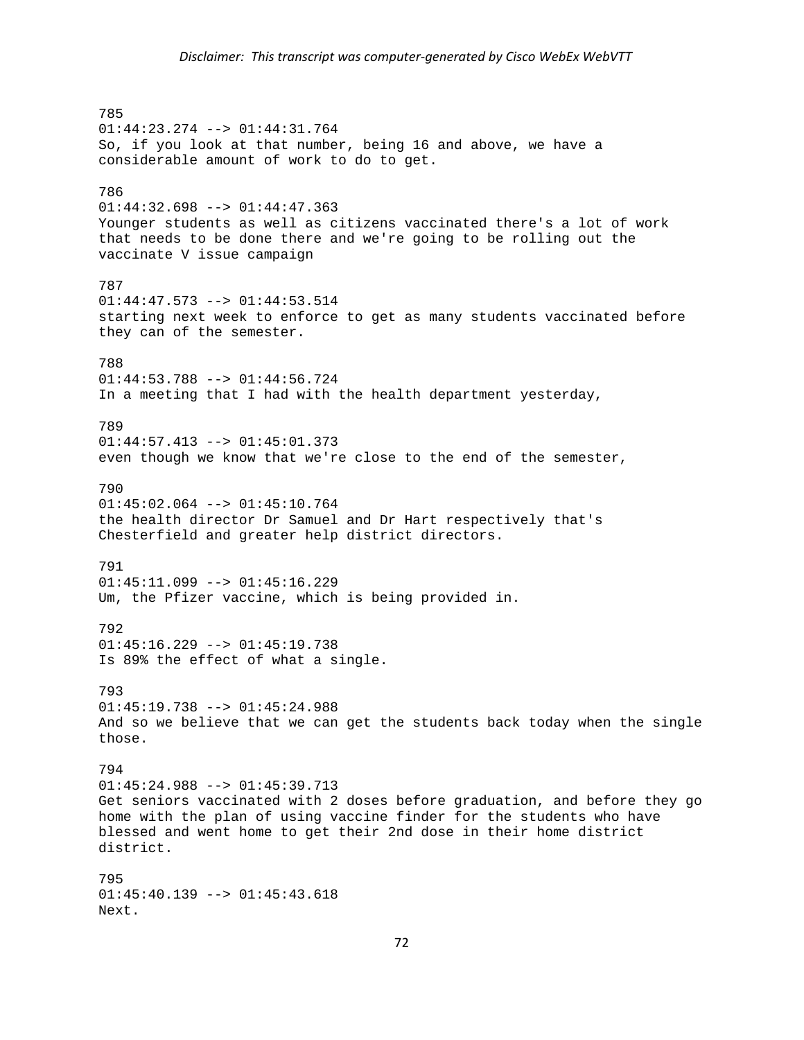785 01:44:23.274 --> 01:44:31.764 So, if you look at that number, being 16 and above, we have a considerable amount of work to do to get. 786 01:44:32.698 --> 01:44:47.363 Younger students as well as citizens vaccinated there's a lot of work that needs to be done there and we're going to be rolling out the vaccinate V issue campaign 787 01:44:47.573 --> 01:44:53.514 starting next week to enforce to get as many students vaccinated before they can of the semester. 788 01:44:53.788 --> 01:44:56.724 In a meeting that I had with the health department yesterday, 789 01:44:57.413 --> 01:45:01.373 even though we know that we're close to the end of the semester, 790  $01:45:02.064$  -->  $01:45:10.764$ the health director Dr Samuel and Dr Hart respectively that's Chesterfield and greater help district directors. 791 01:45:11.099 --> 01:45:16.229 Um, the Pfizer vaccine, which is being provided in. 792 01:45:16.229 --> 01:45:19.738 Is 89% the effect of what a single. 793  $01:45:19.738$  -->  $01:45:24.988$ And so we believe that we can get the students back today when the single those. 794 01:45:24.988 --> 01:45:39.713 Get seniors vaccinated with 2 doses before graduation, and before they go home with the plan of using vaccine finder for the students who have blessed and went home to get their 2nd dose in their home district district. 795 01:45:40.139 --> 01:45:43.618 Next.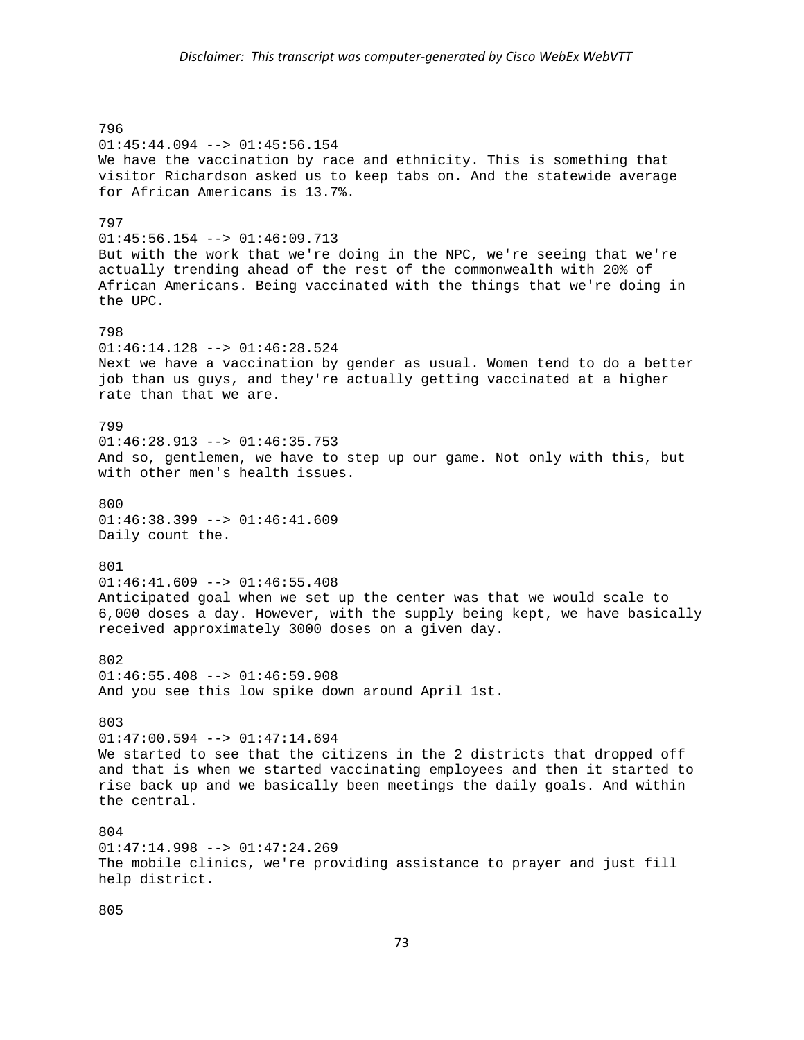796 01:45:44.094 --> 01:45:56.154 We have the vaccination by race and ethnicity. This is something that visitor Richardson asked us to keep tabs on. And the statewide average for African Americans is 13.7%. 797 01:45:56.154 --> 01:46:09.713 But with the work that we're doing in the NPC, we're seeing that we're actually trending ahead of the rest of the commonwealth with 20% of African Americans. Being vaccinated with the things that we're doing in the UPC. 798 01:46:14.128 --> 01:46:28.524 Next we have a vaccination by gender as usual. Women tend to do a better job than us guys, and they're actually getting vaccinated at a higher rate than that we are. 799 01:46:28.913 --> 01:46:35.753 And so, gentlemen, we have to step up our game. Not only with this, but with other men's health issues. 800 01:46:38.399 --> 01:46:41.609 Daily count the. 801 01:46:41.609 --> 01:46:55.408 Anticipated goal when we set up the center was that we would scale to 6,000 doses a day. However, with the supply being kept, we have basically received approximately 3000 doses on a given day. 802  $01:46:55.408$  -->  $01:46:59.908$ And you see this low spike down around April 1st. 803  $01:47:00.594$  -->  $01:47:14.694$ We started to see that the citizens in the 2 districts that dropped off and that is when we started vaccinating employees and then it started to rise back up and we basically been meetings the daily goals. And within the central. 804  $01:47:14.998$  -->  $01:47:24.269$ The mobile clinics, we're providing assistance to prayer and just fill help district. 805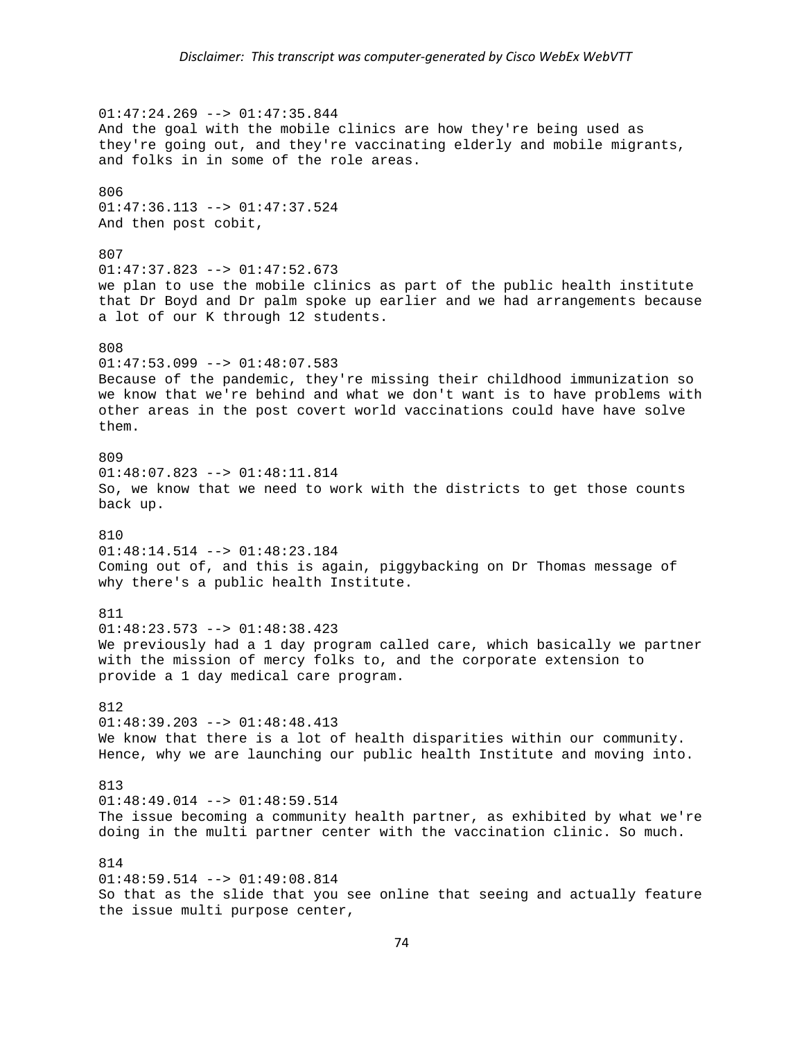$01:47:24.269$  -->  $01:47:35.844$ And the goal with the mobile clinics are how they're being used as they're going out, and they're vaccinating elderly and mobile migrants, and folks in in some of the role areas. 806 01:47:36.113 --> 01:47:37.524 And then post cobit, 807 01:47:37.823 --> 01:47:52.673 we plan to use the mobile clinics as part of the public health institute that Dr Boyd and Dr palm spoke up earlier and we had arrangements because a lot of our K through 12 students. 808  $01:47:53.099$  -->  $01:48:07.583$ Because of the pandemic, they're missing their childhood immunization so we know that we're behind and what we don't want is to have problems with other areas in the post covert world vaccinations could have have solve them. 809 01:48:07.823 --> 01:48:11.814 So, we know that we need to work with the districts to get those counts back up. 810  $01:48:14.514$  -->  $01:48:23.184$ Coming out of, and this is again, piggybacking on Dr Thomas message of why there's a public health Institute. 811 01:48:23.573 --> 01:48:38.423 We previously had a 1 day program called care, which basically we partner with the mission of mercy folks to, and the corporate extension to provide a 1 day medical care program. 812  $01:48:39.203$  -->  $01:48:48.413$ We know that there is a lot of health disparities within our community. Hence, why we are launching our public health Institute and moving into. 813 01:48:49.014 --> 01:48:59.514 The issue becoming a community health partner, as exhibited by what we're doing in the multi partner center with the vaccination clinic. So much. 814 01:48:59.514 --> 01:49:08.814 So that as the slide that you see online that seeing and actually feature the issue multi purpose center,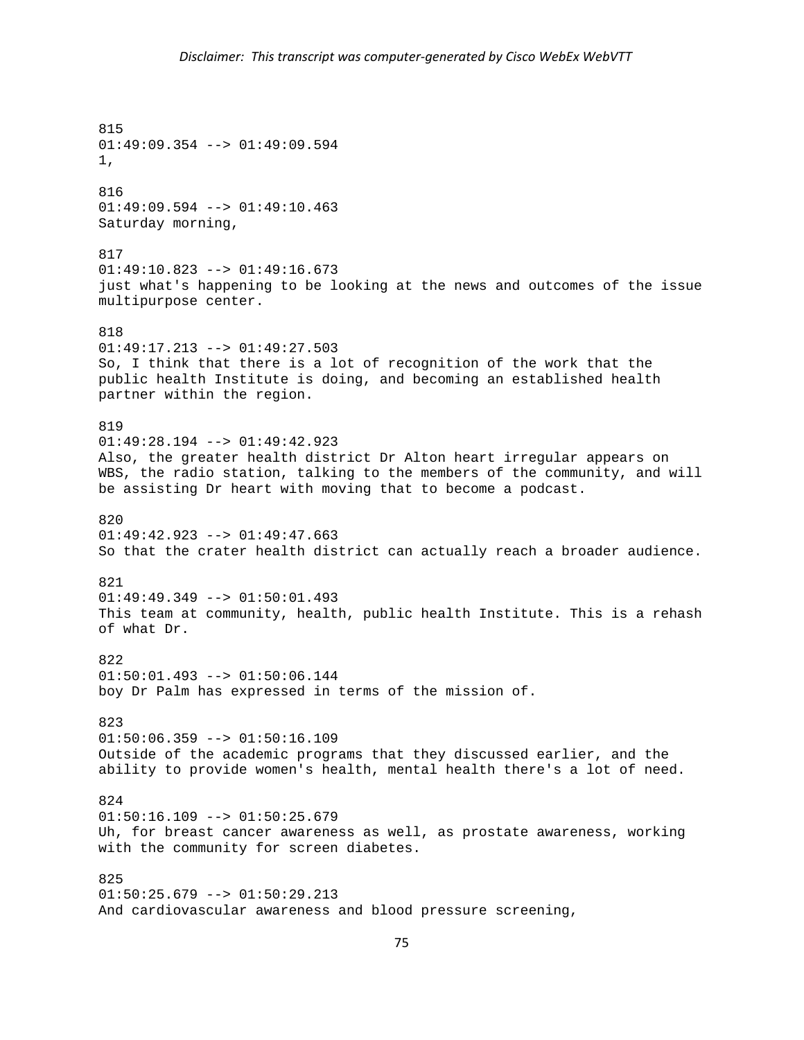815 01:49:09.354 --> 01:49:09.594 1, 816  $01:49:09.594$  -->  $01:49:10.463$ Saturday morning, 817  $01:49:10.823$  -->  $01:49:16.673$ just what's happening to be looking at the news and outcomes of the issue multipurpose center. 818 01:49:17.213 --> 01:49:27.503 So, I think that there is a lot of recognition of the work that the public health Institute is doing, and becoming an established health partner within the region. 819 01:49:28.194 --> 01:49:42.923 Also, the greater health district Dr Alton heart irregular appears on WBS, the radio station, talking to the members of the community, and will be assisting Dr heart with moving that to become a podcast.  $820$ 01:49:42.923 --> 01:49:47.663 So that the crater health district can actually reach a broader audience. 821 01:49:49.349 --> 01:50:01.493 This team at community, health, public health Institute. This is a rehash of what Dr. 822  $01:50:01.493$  -->  $01:50:06.144$ boy Dr Palm has expressed in terms of the mission of. 823  $01:50:06.359$  -->  $01:50:16.109$ Outside of the academic programs that they discussed earlier, and the ability to provide women's health, mental health there's a lot of need. 824 01:50:16.109 --> 01:50:25.679 Uh, for breast cancer awareness as well, as prostate awareness, working with the community for screen diabetes. 825  $01:50:25.679$  -->  $01:50:29.213$ And cardiovascular awareness and blood pressure screening,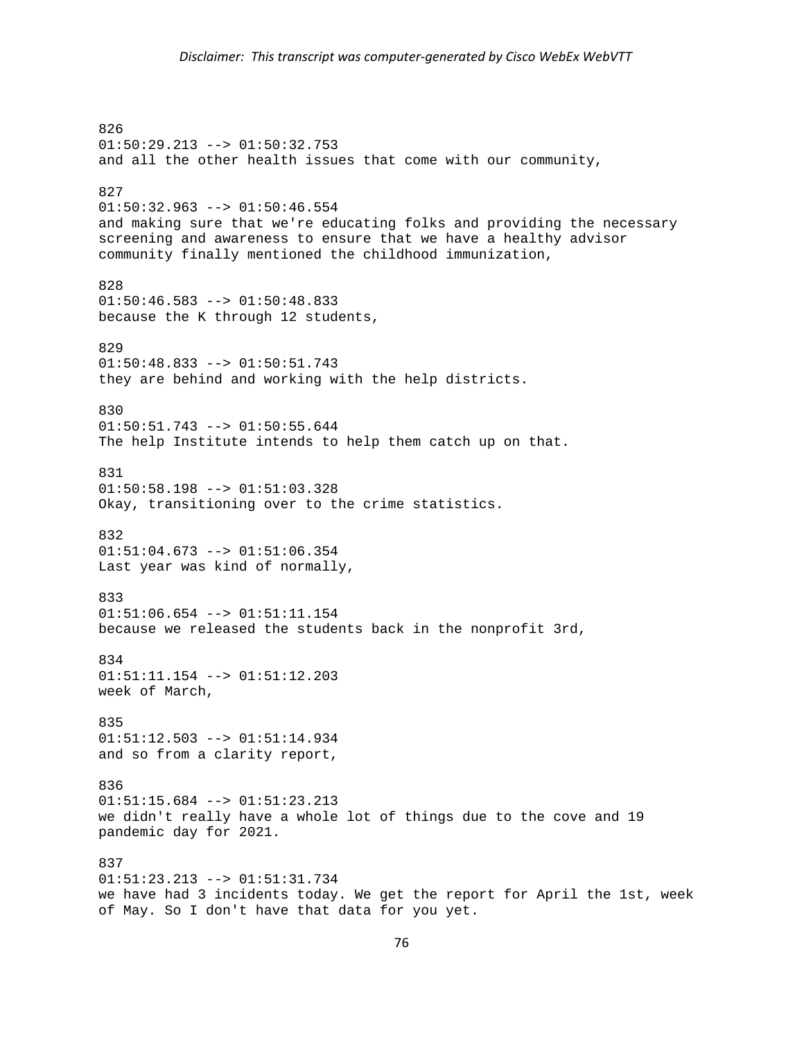826 01:50:29.213 --> 01:50:32.753 and all the other health issues that come with our community, 827 01:50:32.963 --> 01:50:46.554 and making sure that we're educating folks and providing the necessary screening and awareness to ensure that we have a healthy advisor community finally mentioned the childhood immunization, 828 01:50:46.583 --> 01:50:48.833 because the K through 12 students, 829  $01:50:48.833$  -->  $01:50:51.743$ they are behind and working with the help districts. 830 01:50:51.743 --> 01:50:55.644 The help Institute intends to help them catch up on that. 831  $01:50:58.198$  -->  $01:51:03.328$ Okay, transitioning over to the crime statistics. 832  $01:51:04.673$  -->  $01:51:06.354$ Last year was kind of normally, 833  $01:51:06.654$  -->  $01:51:11.154$ because we released the students back in the nonprofit 3rd, 834  $01:51:11.154$  -->  $01:51:12.203$ week of March, 835 01:51:12.503 --> 01:51:14.934 and so from a clarity report, 836 01:51:15.684 --> 01:51:23.213 we didn't really have a whole lot of things due to the cove and 19 pandemic day for 2021. 837 01:51:23.213 --> 01:51:31.734 we have had 3 incidents today. We get the report for April the 1st, week of May. So I don't have that data for you yet.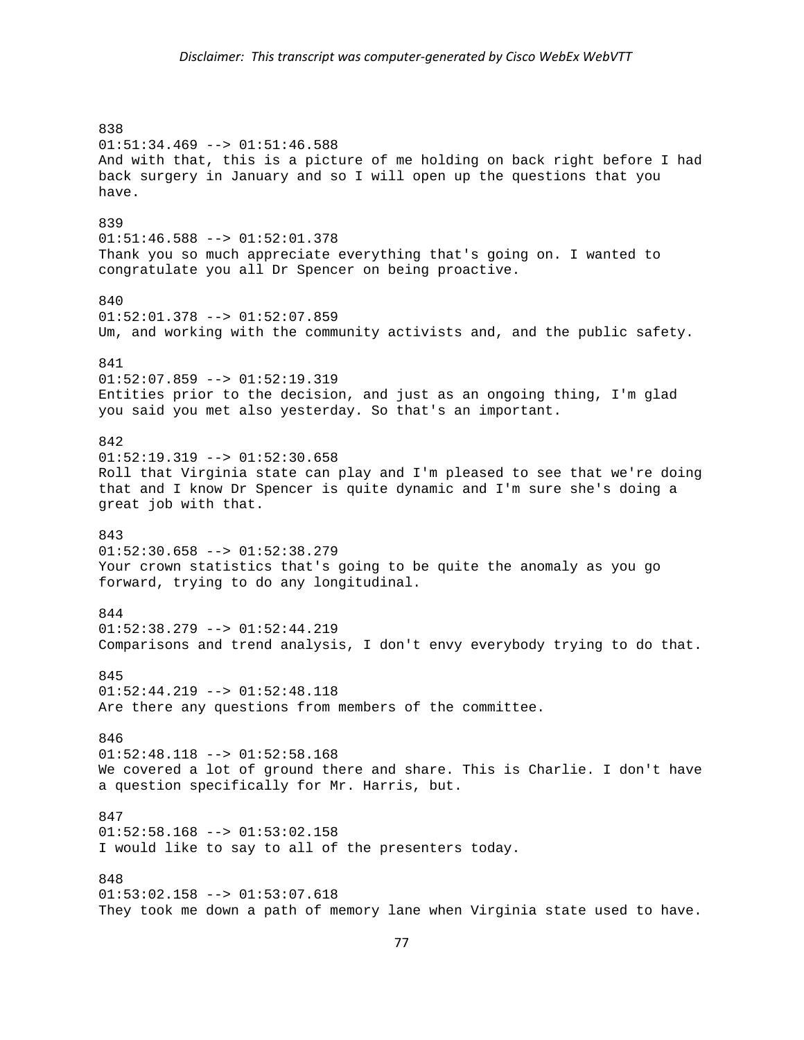838 01:51:34.469 --> 01:51:46.588 And with that, this is a picture of me holding on back right before I had back surgery in January and so I will open up the questions that you have. 839 01:51:46.588 --> 01:52:01.378 Thank you so much appreciate everything that's going on. I wanted to congratulate you all Dr Spencer on being proactive. 840 01:52:01.378 --> 01:52:07.859 Um, and working with the community activists and, and the public safety. 841 01:52:07.859 --> 01:52:19.319 Entities prior to the decision, and just as an ongoing thing, I'm glad you said you met also yesterday. So that's an important. 842  $01:52:19.319$  -->  $01:52:30.658$ Roll that Virginia state can play and I'm pleased to see that we're doing that and I know Dr Spencer is quite dynamic and I'm sure she's doing a great job with that. 843  $01:52:30.658$  -->  $01:52:38.279$ Your crown statistics that's going to be quite the anomaly as you go forward, trying to do any longitudinal. 844 01:52:38.279 --> 01:52:44.219 Comparisons and trend analysis, I don't envy everybody trying to do that. 845 01:52:44.219 --> 01:52:48.118 Are there any questions from members of the committee. 846  $01:52:48.118$  -->  $01:52:58.168$ We covered a lot of ground there and share. This is Charlie. I don't have a question specifically for Mr. Harris, but. 847  $01:52:58.168$  -->  $01:53:02.158$ I would like to say to all of the presenters today. 848  $01:53:02.158$  -->  $01:53:07.618$ They took me down a path of memory lane when Virginia state used to have.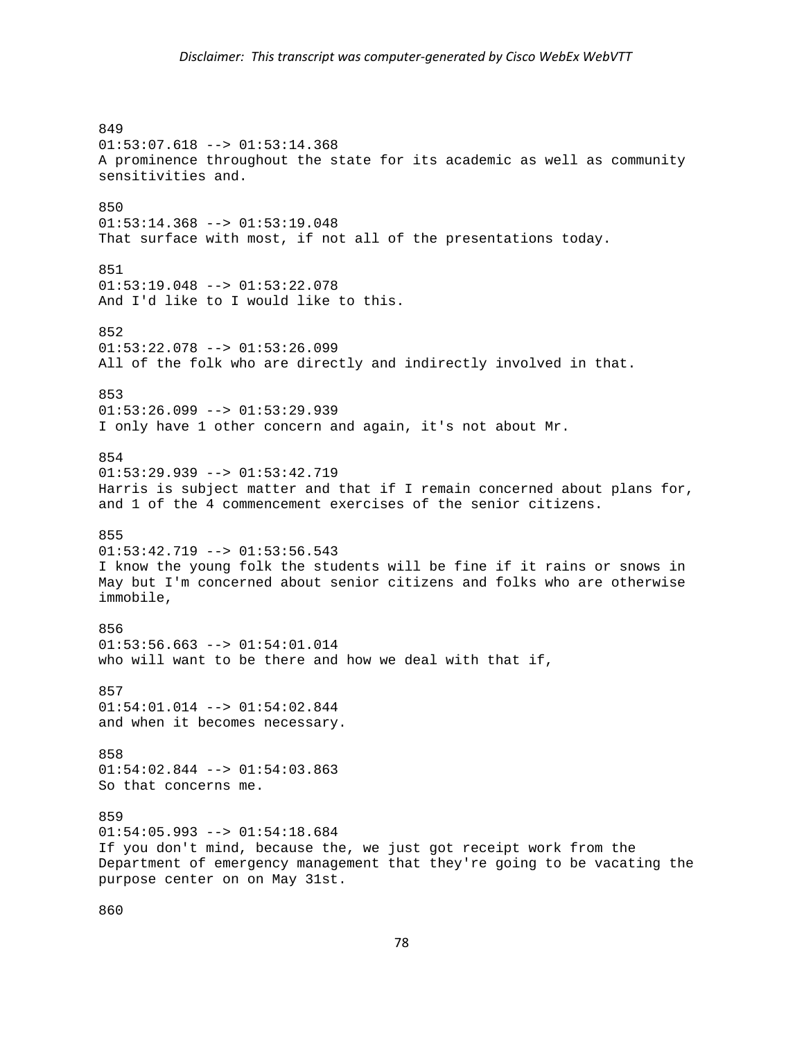849 01:53:07.618 --> 01:53:14.368 A prominence throughout the state for its academic as well as community sensitivities and. 850 01:53:14.368 --> 01:53:19.048 That surface with most, if not all of the presentations today. 851  $01:53:19.048$  -->  $01:53:22.078$ And I'd like to I would like to this. 852 01:53:22.078 --> 01:53:26.099 All of the folk who are directly and indirectly involved in that. 853  $01:53:26.099$  -->  $01:53:29.939$ I only have 1 other concern and again, it's not about Mr. 854 01:53:29.939 --> 01:53:42.719 Harris is subject matter and that if I remain concerned about plans for, and 1 of the 4 commencement exercises of the senior citizens. 855  $01:53:42.719$  -->  $01:53:56.543$ I know the young folk the students will be fine if it rains or snows in May but I'm concerned about senior citizens and folks who are otherwise immobile, 856 01:53:56.663 --> 01:54:01.014 who will want to be there and how we deal with that if, 857 01:54:01.014 --> 01:54:02.844 and when it becomes necessary. 858  $01:54:02.844$  -->  $01:54:03.863$ So that concerns me. 859 01:54:05.993 --> 01:54:18.684 If you don't mind, because the, we just got receipt work from the Department of emergency management that they're going to be vacating the purpose center on on May 31st.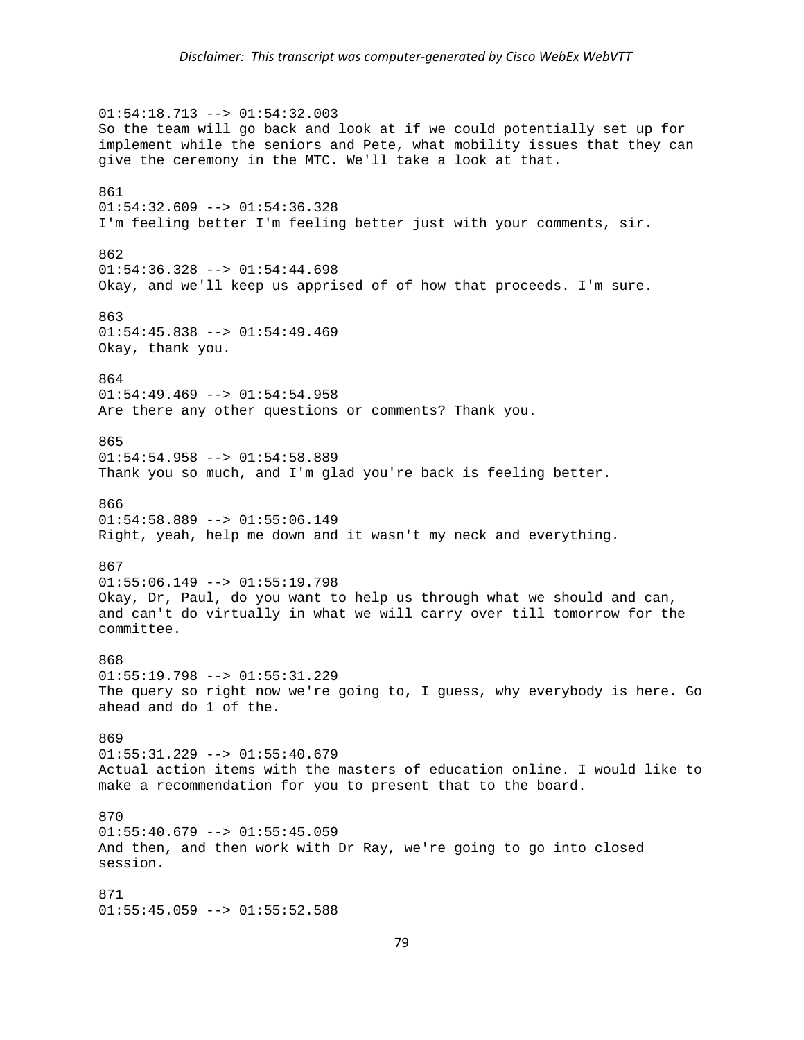01:54:18.713 --> 01:54:32.003 So the team will go back and look at if we could potentially set up for implement while the seniors and Pete, what mobility issues that they can give the ceremony in the MTC. We'll take a look at that. 861 01:54:32.609 --> 01:54:36.328 I'm feeling better I'm feeling better just with your comments, sir. 862  $01:54:36.328$  -->  $01:54:44.698$ Okay, and we'll keep us apprised of of how that proceeds. I'm sure. 863 01:54:45.838 --> 01:54:49.469 Okay, thank you. 864  $01:54:49.469$  -->  $01:54:54.958$ Are there any other questions or comments? Thank you. 865  $01:54:54.958$  -->  $01:54:58.889$ Thank you so much, and I'm glad you're back is feeling better. 866 01:54:58.889 --> 01:55:06.149 Right, yeah, help me down and it wasn't my neck and everything. 867  $01:55:06.149$  -->  $01:55:19.798$ Okay, Dr, Paul, do you want to help us through what we should and can, and can't do virtually in what we will carry over till tomorrow for the committee. 868  $01:55:19.798$  -->  $01:55:31.229$ The query so right now we're going to, I guess, why everybody is here. Go ahead and do 1 of the. 869  $01:55:31.229$  -->  $01:55:40.679$ Actual action items with the masters of education online. I would like to make a recommendation for you to present that to the board. 870  $01:55:40.679$  -->  $01:55:45.059$ And then, and then work with Dr Ray, we're going to go into closed session. 871  $01:55:45.059$  -->  $01:55:52.588$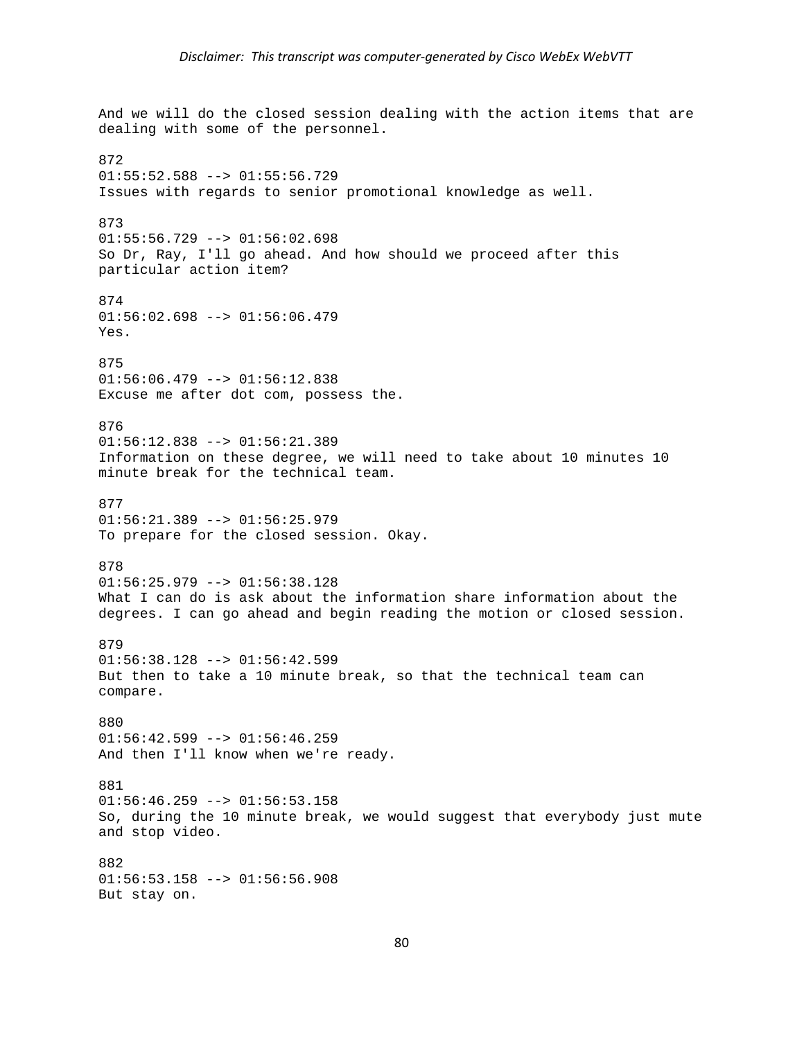And we will do the closed session dealing with the action items that are dealing with some of the personnel. 872  $01:55:52.588$  -->  $01:55:56.729$ Issues with regards to senior promotional knowledge as well. 873  $01:55:56.729$  -->  $01:56:02.698$ So Dr, Ray, I'll go ahead. And how should we proceed after this particular action item? 874  $01:56:02.698$  -->  $01:56:06.479$ Yes. 875 01:56:06.479 --> 01:56:12.838 Excuse me after dot com, possess the. 876 01:56:12.838 --> 01:56:21.389 Information on these degree, we will need to take about 10 minutes 10 minute break for the technical team. 877  $01:56:21.389$  -->  $01:56:25.979$ To prepare for the closed session. Okay. 878  $01:56:25.979$  -->  $01:56:38.128$ What I can do is ask about the information share information about the degrees. I can go ahead and begin reading the motion or closed session. 879  $01:56:38.128$  -->  $01:56:42.599$ But then to take a 10 minute break, so that the technical team can compare. 880  $01:56:42.599$  -->  $01:56:46.259$ And then I'll know when we're ready. 881  $01:56:46.259$  -->  $01:56:53.158$ So, during the 10 minute break, we would suggest that everybody just mute and stop video. 882 01:56:53.158 --> 01:56:56.908 But stay on.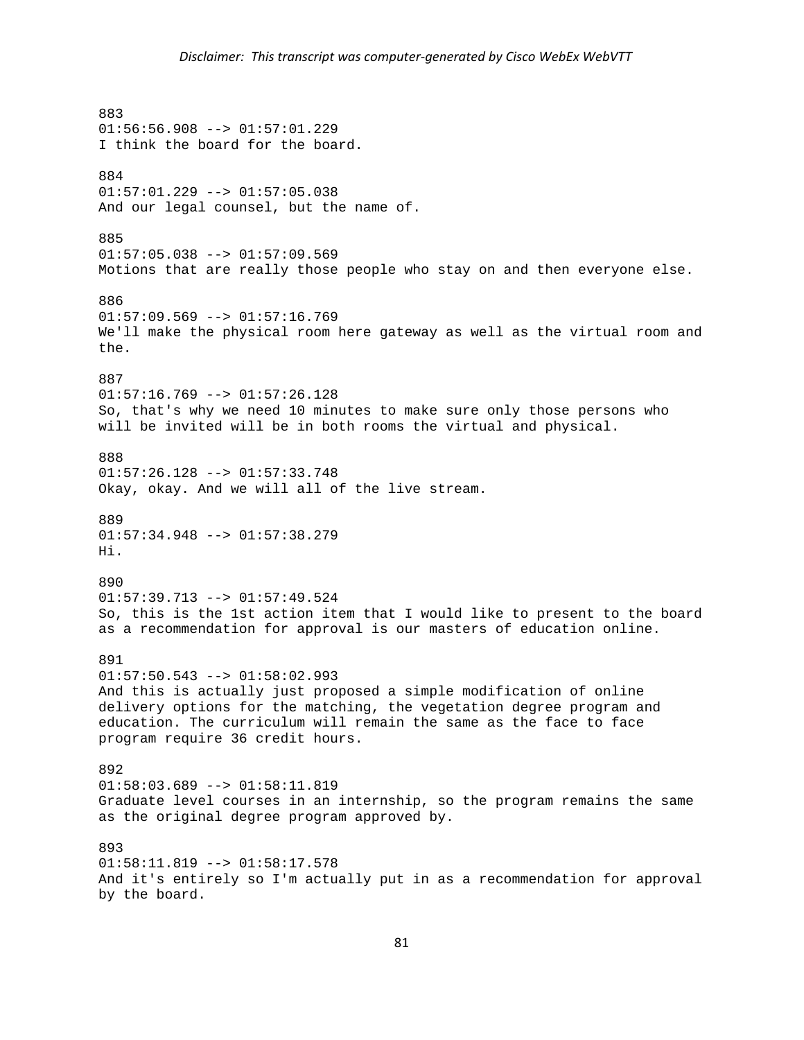883 01:56:56.908 --> 01:57:01.229 I think the board for the board. 884  $01:57:01.229$  -->  $01:57:05.038$ And our legal counsel, but the name of. 885 01:57:05.038 --> 01:57:09.569 Motions that are really those people who stay on and then everyone else. 886  $01:57:09.569$  -->  $01:57:16.769$ We'll make the physical room here gateway as well as the virtual room and the. 887  $01:57:16.769$  -->  $01:57:26.128$ So, that's why we need 10 minutes to make sure only those persons who will be invited will be in both rooms the virtual and physical. 888 01:57:26.128 --> 01:57:33.748 Okay, okay. And we will all of the live stream. 889 01:57:34.948 --> 01:57:38.279 Hi. 890 01:57:39.713 --> 01:57:49.524 So, this is the 1st action item that I would like to present to the board as a recommendation for approval is our masters of education online. 891  $01:57:50.543$  -->  $01:58:02.993$ And this is actually just proposed a simple modification of online delivery options for the matching, the vegetation degree program and education. The curriculum will remain the same as the face to face program require 36 credit hours. 892 01:58:03.689 --> 01:58:11.819 Graduate level courses in an internship, so the program remains the same as the original degree program approved by. 893  $01:58:11.819$  -->  $01:58:17.578$ And it's entirely so I'm actually put in as a recommendation for approval by the board.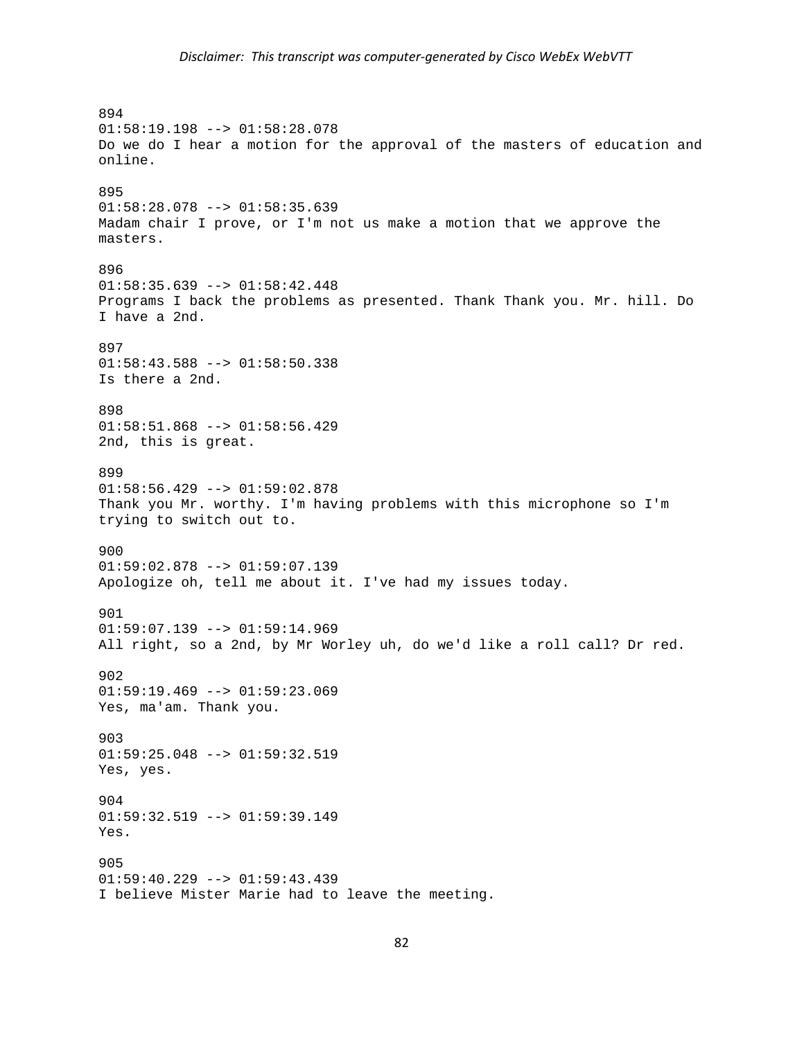894 01:58:19.198 --> 01:58:28.078 Do we do I hear a motion for the approval of the masters of education and online. 895 01:58:28.078 --> 01:58:35.639 Madam chair I prove, or I'm not us make a motion that we approve the masters. 896  $01:58:35.639$  -->  $01:58:42.448$ Programs I back the problems as presented. Thank Thank you. Mr. hill. Do I have a 2nd. 897  $01:58:43.588$  -->  $01:58:50.338$ Is there a 2nd. 898 01:58:51.868 --> 01:58:56.429 2nd, this is great. 899  $01:58:56.429$  -->  $01:59:02.878$ Thank you Mr. worthy. I'm having problems with this microphone so I'm trying to switch out to. 900 01:59:02.878 --> 01:59:07.139 Apologize oh, tell me about it. I've had my issues today. 901  $01:59:07.139$  -->  $01:59:14.969$ All right, so a 2nd, by Mr Worley uh, do we'd like a roll call? Dr red. 902  $01:59:19.469$  -->  $01:59:23.069$ Yes, ma'am. Thank you. 903 01:59:25.048 --> 01:59:32.519 Yes, yes. 904 01:59:32.519 --> 01:59:39.149 Yes. 905 01:59:40.229 --> 01:59:43.439 I believe Mister Marie had to leave the meeting.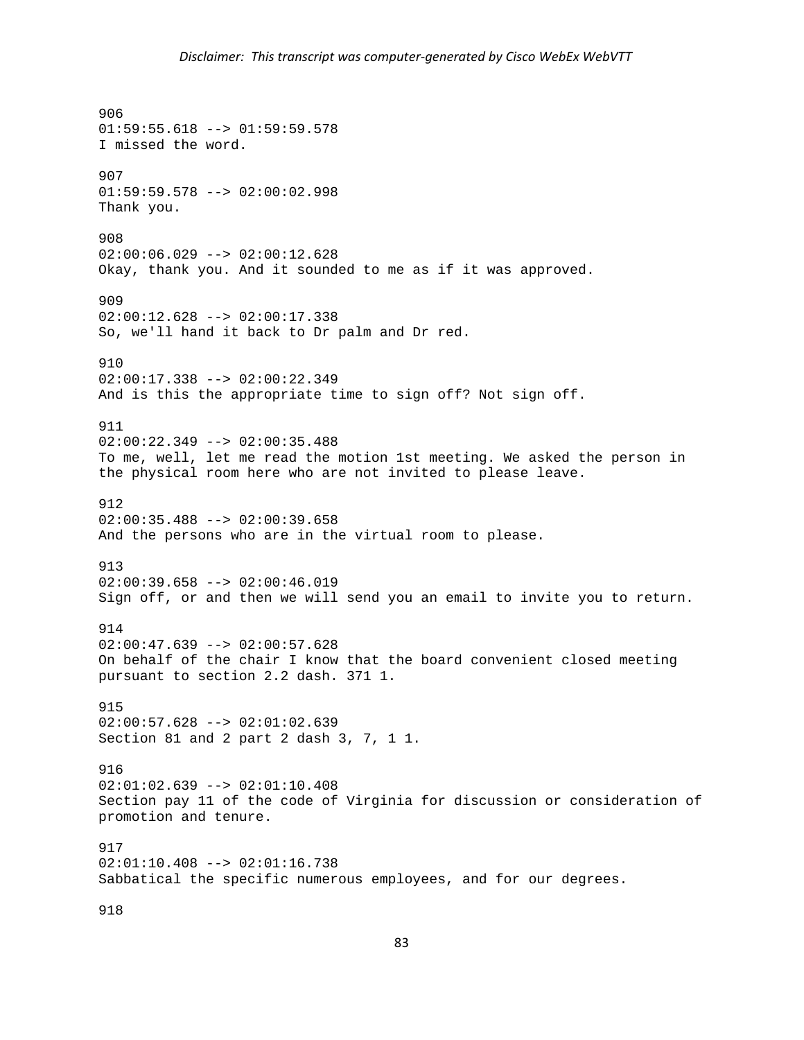906 01:59:55.618 --> 01:59:59.578 I missed the word. 907  $01:59:59.578$  -->  $02:00:02.998$ Thank you. 908 02:00:06.029 --> 02:00:12.628 Okay, thank you. And it sounded to me as if it was approved. 909 02:00:12.628 --> 02:00:17.338 So, we'll hand it back to Dr palm and Dr red. 910 02:00:17.338 --> 02:00:22.349 And is this the appropriate time to sign off? Not sign off. 911 02:00:22.349 --> 02:00:35.488 To me, well, let me read the motion 1st meeting. We asked the person in the physical room here who are not invited to please leave. 912  $02:00:35.488$  -->  $02:00:39.658$ And the persons who are in the virtual room to please. 913 02:00:39.658 --> 02:00:46.019 Sign off, or and then we will send you an email to invite you to return. 914  $02:00:47.639$  -->  $02:00:57.628$ On behalf of the chair I know that the board convenient closed meeting pursuant to section 2.2 dash. 371 1. 915 02:00:57.628 --> 02:01:02.639 Section 81 and 2 part 2 dash 3, 7, 1 1. 916 02:01:02.639 --> 02:01:10.408 Section pay 11 of the code of Virginia for discussion or consideration of promotion and tenure. 917  $02:01:10.408$  -->  $02:01:16.738$ Sabbatical the specific numerous employees, and for our degrees.